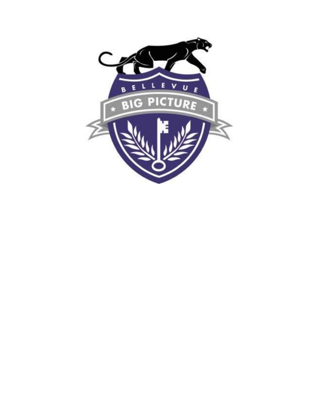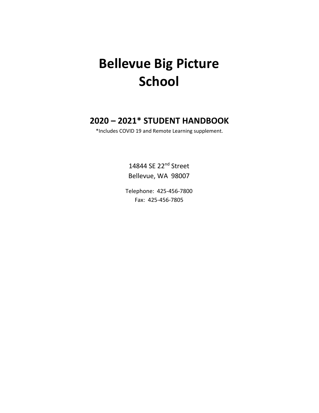# **Bellevue Big Picture School**

# **2020 – 2021\* STUDENT HANDBOOK**

\*Includes COVID 19 and Remote Learning supplement.

14844 SE 22nd Street Bellevue, WA 98007

Telephone: 425-456-7800 Fax: 425-456-7805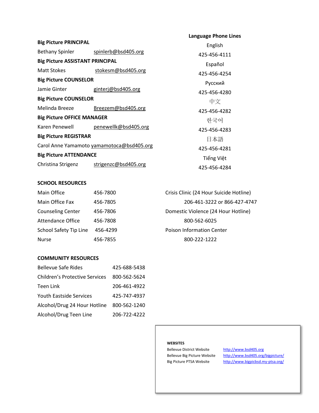|                                           |                      | <b>Language Phone Lines</b> |
|-------------------------------------------|----------------------|-----------------------------|
| <b>Big Picture PRINCIPAL</b>              | English              |                             |
| Bethany Spinler spinlerb@bsd405.org       |                      | 425-456-4111                |
| <b>Big Picture ASSISTANT PRINCIPAL</b>    |                      | Español                     |
| Matt Stokes                               | stokesm@bsd405.org   | 425-456-4254                |
| <b>Big Picture COUNSELOR</b>              |                      | Русский                     |
| Jamie Ginter                              | ginterj@bsd405.org   | 425-456-4280                |
| <b>Big Picture COUNSELOR</b>              |                      | 中文                          |
| Melinda Breeze                            | Breezem@bsd405.org   | 425-456-4282                |
| <b>Big Picture OFFICE MANAGER</b>         |                      | 하국어                         |
| Karen Penewell                            | penewellk@bsd405.org | 425-456-4283                |
| <b>Big Picture REGISTRAR</b>              |                      | 日本語                         |
| Carol Anne Yamamoto yamamotoca@bsd405.org |                      | 425-456-4281                |
| <b>Big Picture ATTENDANCE</b>             |                      | Tiếng Việt                  |
| Christina Strigenz                        | strigenzc@bsd405.org | 425-456-4284                |

#### **SCHOOL RESOURCES**

| Main Office              | 456-7800 | Crisis Clinic (24 Hour Suicide Hotline) |
|--------------------------|----------|-----------------------------------------|
| Main Office Fax          | 456-7805 | 206-461-3222 or 866-427-4747            |
| <b>Counseling Center</b> | 456-7806 | Domestic Violence (24 Hour Hotline)     |
| <b>Attendance Office</b> | 456-7808 | 800-562-6025                            |
| School Safety Tip Line   | 456-4299 | <b>Poison Information Center</b>        |
| <b>Nurse</b>             | 456-7855 | 800-222-1222                            |

## **COMMUNITY RESOURCES**

| <b>Bellevue Safe Rides</b>            | 425-688-5438 |
|---------------------------------------|--------------|
| <b>Children's Protective Services</b> | 800-562-5624 |
| Teen Link                             | 206-461-4922 |
| <b>Youth Eastside Services</b>        | 425-747-4937 |
| Alcohol/Drug 24 Hour Hotline          | 800-562-1240 |
| Alcohol/Drug Teen Line                | 206-722-4222 |

#### **WEBSITES**

Bellevue District Website [http://www.bsd405.org](http://www.bsd405.org/)

Bellevue Big Picture Website <http://www.bsd405.org/bigpicture/> Big Picture PTSA Website <http://www.bigpicbsd.my-ptsa.org/>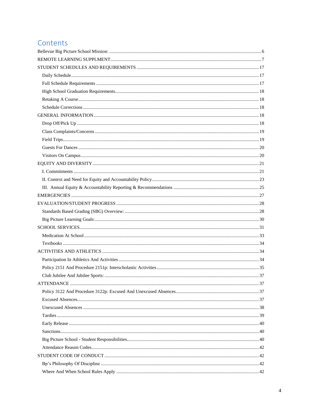# Contents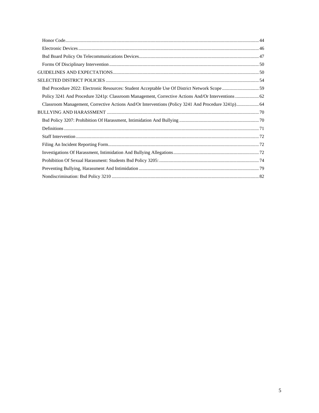| Bsd Procedure 2022: Electronic Resources: Student Acceptable Use Of District Network Scope  59     |  |
|----------------------------------------------------------------------------------------------------|--|
| Policy 3241 And Procedure 3241p: Classroom Management, Corrective Actions And/Or Interventions  62 |  |
| Classroom Management, Corrective Actions And/Or Interventions (Policy 3241 And Procedure 3241p) 64 |  |
|                                                                                                    |  |
|                                                                                                    |  |
|                                                                                                    |  |
|                                                                                                    |  |
|                                                                                                    |  |
|                                                                                                    |  |
|                                                                                                    |  |
|                                                                                                    |  |
|                                                                                                    |  |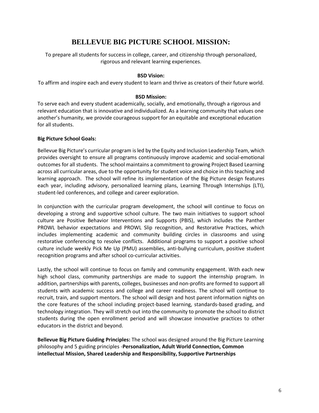# **BELLEVUE BIG PICTURE SCHOOL MISSION:**

<span id="page-5-0"></span>To prepare all students for success in college, career, and citizenship through personalized, rigorous and relevant learning experiences.

#### **BSD Vision:**

To affirm and inspire each and every student to learn and thrive as creators of their future world.

#### **BSD Mission:**

To serve each and every student academically, socially, and emotionally, through a rigorous and relevant education that is innovative and individualized. As a learning community that values one another's humanity, we provide courageous support for an equitable and exceptional education for all students.

## **Big Picture School Goals:**

Bellevue Big Picture's curricular program is led by the Equity and Inclusion Leadership Team, which provides oversight to ensure all programs continuously improve academic and social-emotional outcomes for all students. The school maintains a commitment to growing Project Based Learning across all curricular areas, due to the opportunity for student voice and choice in this teaching and learning approach. The school will refine its implementation of the Big Picture design features each year, including advisory, personalized learning plans, Learning Through Internships (LTI), student-led conferences, and college and career exploration.

In conjunction with the curricular program development, the school will continue to focus on developing a strong and supportive school culture. The two main initiatives to support school culture are Positive Behavior Interventions and Supports (PBIS), which includes the Panther PROWL behavior expectations and PROWL Slip recognition, and Restorative Practices, which includes implementing academic and community building circles in classrooms and using restorative conferencing to resolve conflicts. Additional programs to support a positive school culture include weekly Pick Me Up (PMU) assemblies, anti-bullying curriculum, positive student recognition programs and after school co-curricular activities.

Lastly, the school will continue to focus on family and community engagement. With each new high school class, community partnerships are made to support the internship program. In addition, partnerships with parents, colleges, businesses and non-profits are formed to support all students with academic success and college and career readiness. The school will continue to recruit, train, and support mentors. The school will design and host parent information nights on the core features of the school including project-based learning, standards-based grading, and technology integration. They will stretch out into the community to promote the school to district students during the open enrollment period and will showcase innovative practices to other educators in the district and beyond.

**Bellevue Big Picture Guiding Principles:** The school was designed around the Big Picture Learning philosophy and 5 guiding principles -**Personalization, Adult World Connection, Common intellectual Mission, Shared Leadership and Responsibility, Supportive Partnerships**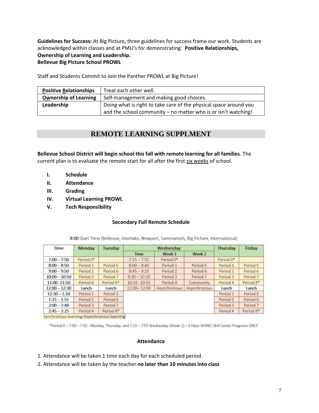**Guidelines for Success:** At Big Picture, three guidelines for success frame our work. Students are acknowledged within classes and at PMU's for demonstrating: **Positive Relationships, Ownership of Learning and Leadership. Bellevue Big Picture School PROWL** 

Staff and Students Commit to Join the Panther PROWL at Big Picture!

| <b>Positive Relationships</b> | Treat each other well.                                            |  |
|-------------------------------|-------------------------------------------------------------------|--|
| <b>Ownership of Learning</b>  | Self-management and making good choices.                          |  |
| Leadership                    | Doing what is right to take care of the physical space around you |  |
|                               | and the school community – no matter who is or isn't watching!    |  |

# **REMOTE LEARNING SUPPLMENT**

<span id="page-6-0"></span>**Bellevue School District will begin school this fall with remote learning for all families**. The current plan is to evaluate the remote start for all after the first six weeks of school.

- **I. Schedule**
- **II. Attendance**
- **III. Grading**
- **IV. Virtual Learning PROWL**
- **V. Tech Responsibility**

## **Secondary Full Remote Schedule**

| Wednesday      |                                            |              | Thursday  | Friday              |
|----------------|--------------------------------------------|--------------|-----------|---------------------|
| <b>Time</b>    | Week 1                                     | Week 2       |           |                     |
| $7:15 - 7:55$  | Period 0*                                  |              | Period 0* |                     |
| $8:00 - 8:40$  | Period 1                                   | Period 5     | Period 1  | Period 5            |
| $8:45 - 9:25$  | Period 2                                   | Period 6     | Period 2  | Period 6            |
| $9:30 - 10:10$ | Period 3                                   | Period 7     | Period 3  | Period <sub>7</sub> |
| 10:15-10:55    | Period 4                                   | Community    | Period 4  | Period 8*           |
| 11:00-12:00    | Asynchronous                               | Asynchronous | Lunch     | Lunch               |
|                |                                            |              | Period 1  | Period 5            |
|                |                                            |              | Period 2  | Period 6            |
|                |                                            |              | Period 3  | Period 7            |
|                |                                            |              | Period 4  | Period 8*           |
|                | Synchronous learning/Asynchronous learning |              |           |                     |

8:00 Start Time (Bellevue, Interlake, Newport, Sammamish, Big Picture, International)

\*Period 0-7:00-7:50 - Monday, Thursday, and 7:15-7:55 Wednesday (Week 1)-3-Hour WANIC Skill Center Programs ONLY

#### **Attendance**

- 1. Attendance will be taken 1 time each day for each scheduled period.
- 2. Attendance will be taken by the teacher **no later than 10 minutes into class**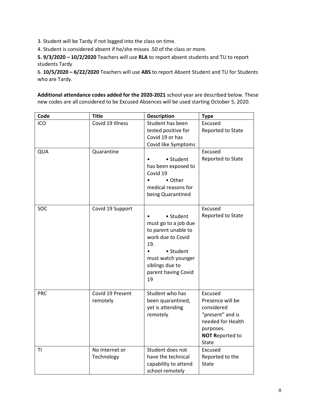3. Student will be Tardy if not logged into the class on time.

4. Student is considered absent if he/she misses .50 of the class or more.

**5. 9/3/2020 – 10/2/2020** Teachers will use **RLA** to report absent students and TU to report students Tardy

6. **10/5/2020 – 6/22/2020** Teachers will use **ABS** to report Absent Student and TU for Students who are Tardy.

**Additional attendance codes added for the 2020-2021** school year are described below. These new codes are all considered to be Excused Absences will be used starting October 5, 2020.

| Code       | <b>Title</b>                 | <b>Description</b>                                                                                                                                                      | <b>Type</b>                                                                                                                               |
|------------|------------------------------|-------------------------------------------------------------------------------------------------------------------------------------------------------------------------|-------------------------------------------------------------------------------------------------------------------------------------------|
| ICO        | Covid 19 Illness             | Student has been<br>tested positive for<br>Covid 19 or has<br>Covid like Symptoms                                                                                       | Excused<br>Reported to State                                                                                                              |
| QUA        | Quarantine                   | • Student<br>has been exposed to<br>Covid 19<br>• Other<br>medical reasons for<br>being Quarantined                                                                     | Excused<br>Reported to State                                                                                                              |
| SOC        | Covid 19 Support             | • Student<br>must go to a job due<br>to parent unable to<br>work due to Covid<br>19.<br>• Student<br>must watch younger<br>siblings due to<br>parent having Covid<br>19 | Excused<br>Reported to State                                                                                                              |
| <b>PRC</b> | Covid 19 Present<br>remotely | Student who has<br>been quarantined,<br>yet is attending<br>remotely                                                                                                    | Excused<br>Presence will be<br>considered<br>"present" and is<br>needed for Health<br>purposes.<br><b>NOT Reported to</b><br><b>State</b> |
| ΤI         | No Internet or<br>Technology | Student does not<br>have the technical<br>capability to attend<br>school remotely                                                                                       | Excused<br>Reported to the<br><b>State</b>                                                                                                |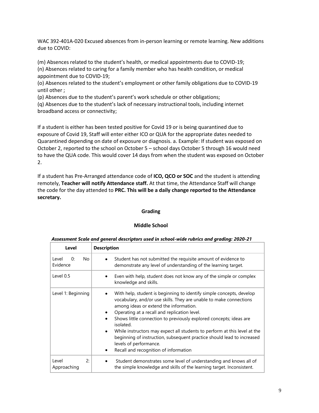WAC 392-401A-020 Excused absences from in-person learning or remote learning. New additions due to COVID:

(m) Absences related to the student's health, or medical appointments due to COVID-19; (n) Absences related to caring for a family member who has health condition, or medical appointment due to COVID-19;

(o) Absences related to the student's employment or other family obligations due to COVID-19 until other ;

(p) Absences due to the student's parent's work schedule or other obligations;

(q) Absences due to the student's lack of necessary instructional tools, including internet broadband access or connectivity;

If a student is either has been tested positive for Covid 19 or is being quarantined due to exposure of Covid 19, Staff will enter either ICO or QUA for the appropriate dates needed to Quarantined depending on date of exposure or diagnosis. a. Example: If student was exposed on October 2, reported to the school on October 5 – school days October 5 through 16 would need to have the QUA code. This would cover 14 days from when the student was exposed on October 2.

If a student has Pre-Arranged attendance code of **ICO, QCO or SOC** and the student is attending remotely, **Teacher will notify Attendance staff.** At that time, the Attendance Staff will change the code for the day attended to **PRC. This will be a daily change reported to the Attendance secretary.** 

## **Grading**

## **Middle School**

| Level                                 | <b>Description</b>                                                                                                                                                                                                                                                                                                                                                                                                                                                                                                                                             |
|---------------------------------------|----------------------------------------------------------------------------------------------------------------------------------------------------------------------------------------------------------------------------------------------------------------------------------------------------------------------------------------------------------------------------------------------------------------------------------------------------------------------------------------------------------------------------------------------------------------|
| No.<br>Level<br>0:<br>Evidence        | Student has not submitted the requisite amount of evidence to<br>demonstrate any level of understanding of the learning target.                                                                                                                                                                                                                                                                                                                                                                                                                                |
| Level 0.5                             | Even with help, student does not know any of the simple or complex<br>knowledge and skills.                                                                                                                                                                                                                                                                                                                                                                                                                                                                    |
| Level 1: Beginning                    | With help, student is beginning to identify simple concepts, develop<br>vocabulary, and/or use skills. They are unable to make connections<br>among ideas or extend the information.<br>Operating at a recall and replication level.<br>Shows little connection to previously explored concepts; ideas are<br>isolated.<br>While instructors may expect all students to perform at this level at the<br>$\bullet$<br>beginning of instruction, subsequent practice should lead to increased<br>levels of performance.<br>Recall and recognition of information |
| $\mathcal{P}$<br>Level<br>Approaching | Student demonstrates some level of understanding and knows all of<br>the simple knowledge and skills of the learning target. Inconsistent.                                                                                                                                                                                                                                                                                                                                                                                                                     |

#### *Assessment Scale and general descriptors used in school-wide rubrics and grading: 2020-21*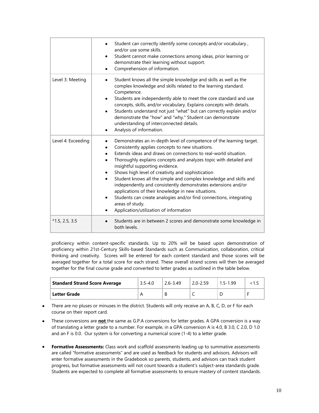|                    | Student can correctly identify some concepts and/or vocabulary,<br>and/or use some skills.<br>Student cannot make connections among ideas, prior learning or<br>demonstrate their learning without support.<br>Comprehension of information.                                                                                                                                                                                                                                                                                                                                                                                                                                            |
|--------------------|-----------------------------------------------------------------------------------------------------------------------------------------------------------------------------------------------------------------------------------------------------------------------------------------------------------------------------------------------------------------------------------------------------------------------------------------------------------------------------------------------------------------------------------------------------------------------------------------------------------------------------------------------------------------------------------------|
| Level 3: Meeting   | Student knows all the simple knowledge and skills as well as the<br>complex knowledge and skills related to the learning standard.<br>Competence.<br>Students are independently able to meet the core standard and use<br>$\bullet$<br>concepts, skills, and/or vocabulary. Explains concepts with details.<br>Students understand not just "what" but can correctly explain and/or<br>demonstrate the "how" and "why." Student can demonstrate<br>understanding of interconnected details.<br>Analysis of information.<br>٠                                                                                                                                                            |
| Level 4: Exceeding | Demonstrates an in-depth level of competence of the learning target.<br>Consistently applies concepts to new situations.<br>Extends ideas and draws on connections to real-world situation.<br>Thoroughly explains concepts and analyzes topic with detailed and<br>insightful supporting evidence.<br>Shows high level of creativity and sophistication<br>Student knows all the simple and complex knowledge and skills and<br>independently and consistently demonstrates extensions and/or<br>applications of their knowledge in new situations.<br>Students can create analogies and/or find connections, integrating<br>areas of study.<br>Application/utilization of information |
| $*1.5, 2.5, 3.5$   | Students are in between 2 scores and demonstrate some knowledge in<br>both levels.                                                                                                                                                                                                                                                                                                                                                                                                                                                                                                                                                                                                      |

proficiency within content-specific standards. Up to 20% will be based upon demonstration of proficiency within 21st-Century Skills-based Standards such as Communication, collaboration, critical thinking and creativity. Scores will be entered for each content standard and those scores will be averaged together for a total score for each strand. These overall strand scores will then be averaged together for the final course grade and converted to letter grades as outlined in the table below.

| <b>Standard Strand Score Average</b> | $3.5 - 4.0$ | $2.6 - 3.49$ | $2.0 - 2.59$ | $1.5 - 1.99$ |  |
|--------------------------------------|-------------|--------------|--------------|--------------|--|
| <b>Letter Grade</b>                  |             | В            |              |              |  |

- There are no pluses or minuses in the district. Students will only receive an A, B, C, D, or F for each course on their report card.
- These conversions are **not** the same as G.P.A conversions for letter grades. A GPA conversion is a way of translating a letter grade to a number. For example, in a GPA conversion A is 4.0, B 3.0, C 2.0, D 1.0 and an F is 0.0. Our system is for converting a numerical score (1-4) to a letter grade.
- **Formative Assessments:** Class work and scaffold assessments leading up to summative assessments are called "formative assessments" and are used as feedback for students and advisors. Advisors will enter formative assessments in the Gradebook so parents, students, and advisors can track student progress, but formative assessments will not count towards a student's subject-area standards grade. Students are expected to complete all formative assessments to ensure mastery of content standards.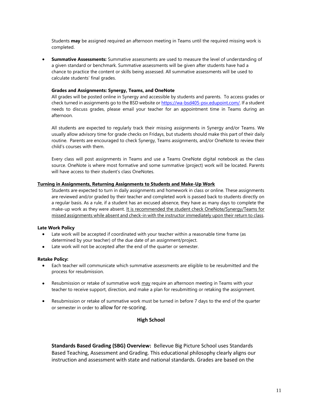Students **may** be assigned required an afternoon meeting in Teams until the required missing work is completed.

• **Summative Assessments:** Summative assessments are used to measure the level of understanding of a given standard or benchmark. Summative assessments will be given after students have had a chance to practice the content or skills being assessed. All summative assessments will be used to calculate students' final grades.

#### **Grades and Assignments: Synergy, Teams, and OneNote**

All grades will be posted online in Synergy and accessible by students and parents. To access grades or check turned in assignments go to the BSD website o[r https://wa-bsd405-psv.edupoint.com/.](https://wa-bsd405-psv.edupoint.com/) If a student needs to discuss grades, please email your teacher for an appointment time in Teams during an afternoon.

All students are expected to regularly track their missing assignments in Synergy and/or Teams. We usually allow advisory time for grade checks on Fridays, but students should make this part of their daily routine. Parents are encouraged to check Synergy, Teams assignments, and/or OneNote to review their child's courses with them.

Every class will post assignments in Teams and use a Teams OneNote digital notebook as the class source. OneNote is where most formative and some summative (project) work will be located. Parents will have access to their student's class OneNotes.

#### **Turning in Assignments, Returning Assignments to Students and Make-Up Work**

Students are expected to turn in daily assignments and homework in class or online. These assignments are reviewed and/or graded by their teacher and completed work is passed back to students directly on a regular basis. As a rule, if a student has an excused absence, they have as many days to complete the make-up work as they were absent. It is recommended the student check OneNote/Synergy/Teams for missed assignments while absent and check-in with the instructor immediately upon their return to class.

#### **Late Work Policy**

- Late work will be accepted if coordinated with your teacher within a reasonable time frame (as determined by your teacher) of the due date of an assignment/project.
- Late work will not be accepted after the end of the quarter or semester.

#### **Retake Policy:**

- Each teacher will communicate which summative assessments are eligible to be resubmitted and the process for resubmission.
- Resubmission or retake of summative work may require an afternoon meeting in Teams with your teacher to receive support, direction, and make a plan for resubmitting or retaking the assignment.
- Resubmission or retake of summative work must be turned in before 7 days to the end of the quarter or semester in order to allow for re-scoring.

#### **High School**

**Standards Based Grading (SBG) Overview:** Bellevue Big Picture School uses Standards Based Teaching, Assessment and Grading. This educational philosophy clearly aligns our instruction and assessment with state and national standards. Grades are based on the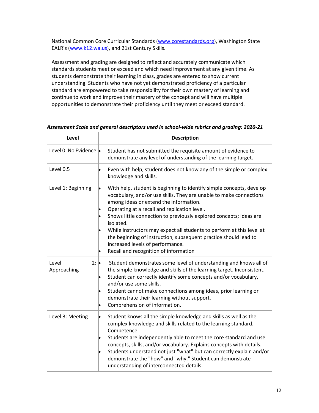National Common Core Curricular Standards [\(www.corestandards.org\)](http://www.corestandards.org/), Washington State EALR's ([www.k12.wa.us\)](http://www.k12.wa.us/), and 21st Century Skills.

Assessment and grading are designed to reflect and accurately communicate which standards students meet or exceed and which need improvement at any given time. As students demonstrate their learning in class, grades are entered to show current understanding. Students who have not yet demonstrated proficiency of a particular standard are empowered to take responsibility for their own mastery of learning and continue to work and improve their mastery of the concept and will have multiple opportunities to demonstrate their proficiency until they meet or exceed standard.

| Level                                | <b>Description</b>                                                                                                                                                                                                                                                                                                                                                                                                                                                                                                                                |
|--------------------------------------|---------------------------------------------------------------------------------------------------------------------------------------------------------------------------------------------------------------------------------------------------------------------------------------------------------------------------------------------------------------------------------------------------------------------------------------------------------------------------------------------------------------------------------------------------|
| Level 0: No Evidence .               | Student has not submitted the requisite amount of evidence to<br>demonstrate any level of understanding of the learning target.                                                                                                                                                                                                                                                                                                                                                                                                                   |
| Level 0.5                            | Even with help, student does not know any of the simple or complex<br>knowledge and skills.                                                                                                                                                                                                                                                                                                                                                                                                                                                       |
| Level 1: Beginning                   | With help, student is beginning to identify simple concepts, develop<br>vocabulary, and/or use skills. They are unable to make connections<br>among ideas or extend the information.<br>Operating at a recall and replication level.<br>Shows little connection to previously explored concepts; ideas are<br>isolated.<br>While instructors may expect all students to perform at this level at<br>the beginning of instruction, subsequent practice should lead to<br>increased levels of performance.<br>Recall and recognition of information |
| $2: \bullet$<br>Level<br>Approaching | Student demonstrates some level of understanding and knows all of<br>the simple knowledge and skills of the learning target. Inconsistent.<br>Student can correctly identify some concepts and/or vocabulary,<br>þ<br>and/or use some skills.<br>Student cannot make connections among ideas, prior learning or<br>demonstrate their learning without support.<br>Comprehension of information.                                                                                                                                                   |
| Level 3: Meeting                     | Student knows all the simple knowledge and skills as well as the<br>complex knowledge and skills related to the learning standard.<br>Competence.<br>Students are independently able to meet the core standard and use<br>concepts, skills, and/or vocabulary. Explains concepts with details.<br>Students understand not just "what" but can correctly explain and/or<br>demonstrate the "how" and "why." Student can demonstrate<br>understanding of interconnected details.                                                                    |

*Assessment Scale and general descriptors used in school-wide rubrics and grading: 2020-21*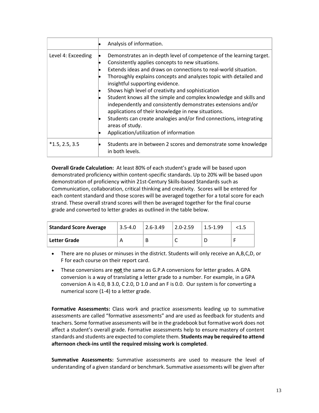|                    | Analysis of information.                                                                                                                                                                                                                                                                                                                                                                                                                                                                                                                                                                                                                                                                |
|--------------------|-----------------------------------------------------------------------------------------------------------------------------------------------------------------------------------------------------------------------------------------------------------------------------------------------------------------------------------------------------------------------------------------------------------------------------------------------------------------------------------------------------------------------------------------------------------------------------------------------------------------------------------------------------------------------------------------|
| Level 4: Exceeding | Demonstrates an in-depth level of competence of the learning target.<br>Consistently applies concepts to new situations.<br>Extends ideas and draws on connections to real-world situation.<br>Thoroughly explains concepts and analyzes topic with detailed and<br>insightful supporting evidence.<br>Shows high level of creativity and sophistication<br>Student knows all the simple and complex knowledge and skills and<br>independently and consistently demonstrates extensions and/or<br>applications of their knowledge in new situations.<br>Students can create analogies and/or find connections, integrating<br>areas of study.<br>Application/utilization of information |
| $*1.5, 2.5, 3.5$   | Students are in between 2 scores and demonstrate some knowledge<br>in both levels.                                                                                                                                                                                                                                                                                                                                                                                                                                                                                                                                                                                                      |

**Overall Grade Calculation:** At least 80% of each student's grade will be based upon demonstrated proficiency within content-specific standards. Up to 20% will be based upon demonstration of proficiency within 21st-Century Skills-based Standards such as Communication, collaboration, critical thinking and creativity. Scores will be entered for each content standard and those scores will be averaged together for a total score for each strand. These overall strand scores will then be averaged together for the final course grade and converted to letter grades as outlined in the table below.

| <b>Standard Score Average</b> | $3.5 - 4.0$ | $ 2.6 - 3.49 $ | $2.0 - 2.59$ | $1.5 - 1.99$ | <1.5 |
|-------------------------------|-------------|----------------|--------------|--------------|------|
| Letter Grade                  |             |                | ◡            |              |      |

• There are no pluses or minuses in the district. Students will only receive an A,B,C,D, or F for each course on their report card.

• These conversions are **not** the same as G.P.A conversions for letter grades. A GPA conversion is a way of translating a letter grade to a number. For example, in a GPA conversion A is 4.0, B 3.0, C 2.0, D 1.0 and an F is 0.0. Our system is for converting a numerical score (1-4) to a letter grade.

**Formative Assessments:** Class work and practice assessments leading up to summative assessments are called "formative assessments" and are used as feedback for students and teachers. Some formative assessments will be in the gradebook but formative work does not affect a student's overall grade. Formative assessments help to ensure mastery of content standards and students are expected to complete them. **Students may be required to attend afternoon check-ins until the required missing work is completed**.

**Summative Assessments:** Summative assessments are used to measure the level of understanding of a given standard or benchmark. Summative assessments will be given after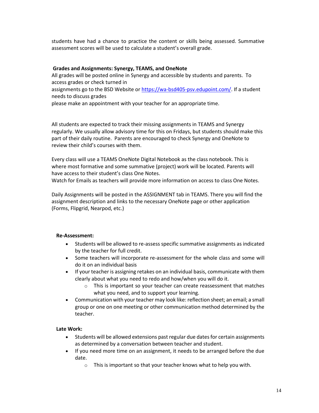students have had a chance to practice the content or skills being assessed. Summative assessment scores will be used to calculate a student's overall grade.

## **Grades and Assignments: Synergy, TEAMS, and OneNote**

All grades will be posted online in Synergy and accessible by students and parents. To access grades or check turned in assignments go to the BSD Website o[r https://wa-bsd405-psv.edupoint.com/.](https://wa-bsd405-psv.edupoint.com/) If a student needs to discuss grades please make an appointment with your teacher for an appropriate time.

All students are expected to track their missing assignments in TEAMS and Synergy regularly. We usually allow advisory time for this on Fridays, but students should make this part of their daily routine. Parents are encouraged to check Synergy and OneNote to review their child's courses with them.

Every class will use a TEAMS OneNote Digital Notebook as the class notebook. This is where most formative and some summative (project) work will be located. Parents will have access to their student's class One Notes.

Watch for Emails as teachers will provide more information on access to class One Notes.

Daily Assignments will be posted in the ASSIGNMENT tab in TEAMS. There you will find the assignment description and links to the necessary OneNote page or other application (Forms, Flipgrid, Nearpod, etc.)

## **Re-Assessment:**

- Students will be allowed to re-assess specific summative assignments as indicated by the teacher for full credit.
- Some teachers will incorporate re-assessment for the whole class and some will do it on an individual basis
- If your teacher is assigning retakes on an individual basis, communicate with them clearly about what you need to redo and how/when you will do it.
	- o This is important so your teacher can create reassessment that matches what you need, and to support your learning.
- Communication with your teacher may look like: reflection sheet; an email; a small group or one on one meeting or other communication method determined by the teacher.

## **Late Work:**

- Students will be allowed extensions past regular due dates for certain assignments as determined by a conversation between teacher and student.
- If you need more time on an assignment, it needs to be arranged before the due date.
	- o This is important so that your teacher knows what to help you with.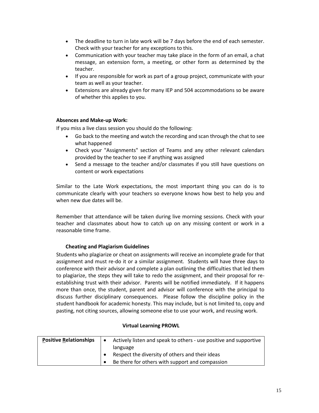- The deadline to turn in late work will be 7 days before the end of each semester. Check with your teacher for any exceptions to this.
- Communication with your teacher may take place in the form of an email, a chat message, an extension form, a meeting, or other form as determined by the teacher.
- If you are responsible for work as part of a group project, communicate with your team as well as your teacher.
- Extensions are already given for many IEP and 504 accommodations so be aware of whether this applies to you.

## **Absences and Make-up Work:**

If you miss a live class session you should do the following:

- Go back to the meeting and watch the recording and scan through the chat to see what happened
- Check your "Assignments" section of Teams and any other relevant calendars provided by the teacher to see if anything was assigned
- Send a message to the teacher and/or classmates if you still have questions on content or work expectations

Similar to the Late Work expectations, the most important thing you can do is to communicate clearly with your teachers so everyone knows how best to help you and when new due dates will be.

Remember that attendance will be taken during live morning sessions. Check with your teacher and classmates about how to catch up on any missing content or work in a reasonable time frame.

## **Cheating and Plagiarism Guidelines**

Students who plagiarize or cheat on assignments will receive an incomplete grade for that assignment and must re-do it or a similar assignment. Students will have three days to conference with their advisor and complete a plan outlining the difficulties that led them to plagiarize, the steps they will take to redo the assignment, and their proposal for reestablishing trust with their advisor. Parents will be notified immediately. If it happens more than once, the student, parent and advisor will conference with the principal to discuss further disciplinary consequences. Please follow the discipline policy in the student handbook for academic honesty. This may include, but is not limited to, copy and pasting, not citing sources, allowing someone else to use your work, and reusing work.

# **Positive Relationships**  $\bullet$  Actively listen and speak to others - use positive and supportive language • Respect the diversity of others and their ideas • Be there for others with support and compassion

#### **Virtual Learning PROWL**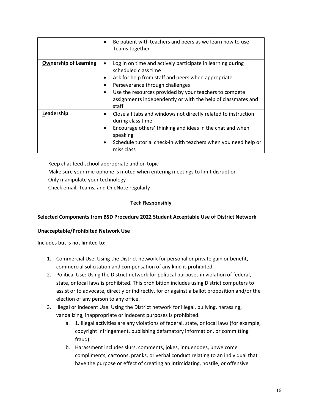|                              | Be patient with teachers and peers as we learn how to use<br>Teams together                                                                                                                                                                                                                                         |
|------------------------------|---------------------------------------------------------------------------------------------------------------------------------------------------------------------------------------------------------------------------------------------------------------------------------------------------------------------|
| <b>Ownership of Learning</b> | Log in on time and actively participate in learning during<br>scheduled class time<br>Ask for help from staff and peers when appropriate<br>٠<br>Perseverance through challenges<br>Use the resources provided by your teachers to compete<br>assignments independently or with the help of classmates and<br>staff |
| Leadership                   | Close all tabs and windows not directly related to instruction<br>٠<br>during class time<br>Encourage others' thinking and ideas in the chat and when<br>٠<br>speaking<br>Schedule tutorial check-in with teachers when you need help or<br>٠<br>miss class                                                         |

- Keep chat feed school appropriate and on topic
- Make sure your microphone is muted when entering meetings to limit disruption
- Only manipulate your technology
- Check email, Teams, and OneNote regularly

## **Tech Responsibly**

## **Selected Components from BSD Procedure 2022 Student Acceptable Use of District Network**

## **Unacceptable/Prohibited Network Use**

Includes but is not limited to:

- 1. Commercial Use: Using the District network for personal or private gain or benefit, commercial solicitation and compensation of any kind is prohibited.
- 2. Political Use: Using the District network for political purposes in violation of federal, state, or local laws is prohibited. This prohibition includes using District computers to assist or to advocate, directly or indirectly, for or against a ballot proposition and/or the election of any person to any office.
- 3. Illegal or Indecent Use: Using the District network for illegal, bullying, harassing, vandalizing, inappropriate or indecent purposes is prohibited.
	- a. 1. Illegal activities are any violations of federal, state, or local laws (for example, copyright infringement, publishing defamatory information, or committing fraud).
	- b. Harassment includes slurs, comments, jokes, innuendoes, unwelcome compliments, cartoons, pranks, or verbal conduct relating to an individual that have the purpose or effect of creating an intimidating, hostile, or offensive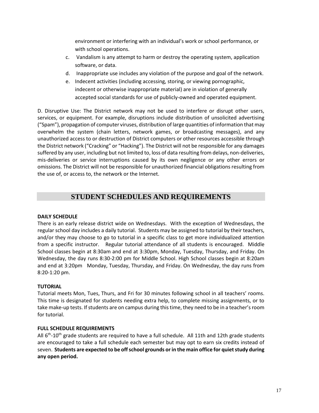environment or interfering with an individual's work or school performance, or with school operations.

- c. Vandalism is any attempt to harm or destroy the operating system, application software, or data.
- d. Inappropriate use includes any violation of the purpose and goal of the network.
- e. Indecent activities (including accessing, storing, or viewing pornographic, indecent or otherwise inappropriate material) are in violation of generally accepted social standards for use of publicly-owned and operated equipment.

D. Disruptive Use: The District network may not be used to interfere or disrupt other users, services, or equipment. For example, disruptions include distribution of unsolicited advertising ("Spam"), propagation of computer viruses, distribution of large quantities of information that may overwhelm the system (chain letters, network games, or broadcasting messages), and any unauthorized access to or destruction of District computers or other resources accessible through the District network ("Cracking" or "Hacking"). The District will not be responsible for any damages suffered by any user, including but not limited to, loss of data resulting from delays, non-deliveries, mis-deliveries or service interruptions caused by its own negligence or any other errors or omissions. The District will not be responsible for unauthorized financial obligations resulting from the use of, or access to, the network or the Internet.

# **STUDENT SCHEDULES AND REQUIREMENTS**

## <span id="page-16-1"></span><span id="page-16-0"></span>**DAILY SCHEDULE**

There is an early release district wide on Wednesdays. With the exception of Wednesdays, the regular school day includes a daily tutorial. Students may be assigned to tutorial by their teachers, and/or they may choose to go to tutorial in a specific class to get more individualized attention from a specific instructor. Regular tutorial attendance of all students is encouraged. Middle School classes begin at 8:30am and end at 3:30pm, Monday, Tuesday, Thursday, and Friday. On Wednesday, the day runs 8:30-2:00 pm for Middle School. High School classes begin at 8:20am and end at 3:20pm Monday, Tuesday, Thursday, and Friday. On Wednesday, the day runs from 8:20-1:20 pm.

## **TUTORIAL**

Tutorial meets Mon, Tues, Thurs, and Fri for 30 minutes following school in all teachers' rooms. This time is designated for students needing extra help, to complete missing assignments, or to take make-up tests. If students are on campus during this time, they need to be in a teacher's room for tutorial.

## <span id="page-16-2"></span>**FULL SCHEDULE REQUIREMENTS**

All 6<sup>th</sup>-10<sup>th</sup> grade students are required to have a full schedule. All 11th and 12th grade students are encouraged to take a full schedule each semester but may opt to earn six credits instead of seven. **Students are expected to be off school grounds or in the main office for quiet study during any open period.**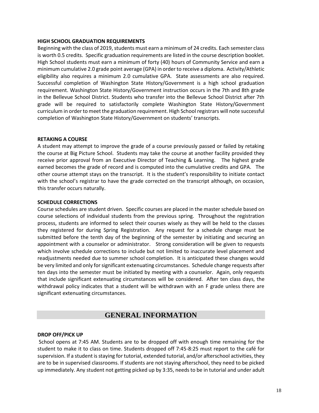#### <span id="page-17-0"></span>**HIGH SCHOOL GRADUATION REQUIREMENTS**

Beginning with the class of 2019, students must earn a minimum of 24 credits. Each semester class is worth 0.5 credits. Specific graduation requirements are listed in the course description booklet. High School students must earn a minimum of forty (40) hours of Community Service and earn a minimum cumulative 2.0 grade point average (GPA) in order to receive a diploma. Activity/Athletic eligibility also requires a minimum 2.0 cumulative GPA. State assessments are also required. Successful completion of Washington State History/Government is a high school graduation requirement. Washington State History/Government instruction occurs in the 7th and 8th grade in the Bellevue School District. Students who transfer into the Bellevue School District after 7th grade will be required to satisfactorily complete Washington State History/Government curriculum in order to meet the graduation requirement. High School registrars will note successful completion of Washington State History/Government on students' transcripts.

#### <span id="page-17-1"></span>**RETAKING A COURSE**

A student may attempt to improve the grade of a course previously passed or failed by retaking the course at Big Picture School. Students may take the course at another facility provided they receive prior approval from an Executive Director of Teaching & Learning. The highest grade earned becomes the grade of record and is computed into the cumulative credits and GPA. The other course attempt stays on the transcript. It is the student's responsibility to initiate contact with the school's registrar to have the grade corrected on the transcript although, on occasion, this transfer occurs naturally.

#### <span id="page-17-2"></span>**SCHEDULE CORRECTIONS**

Course schedules are student driven. Specific courses are placed in the master schedule based on course selections of individual students from the previous spring. Throughout the registration process, students are informed to select their courses wisely as they will be held to the classes they registered for during Spring Registration. Any request for a schedule change must be submitted before the tenth day of the beginning of the semester by initiating and securing an appointment with a counselor or administrator. Strong consideration will be given to requests which involve schedule corrections to include but not limited to inaccurate level placement and readjustments needed due to summer school completion. It is anticipated these changes would be very limited and only for significant extenuating circumstances. Schedule change requests after ten days into the semester must be initiated by meeting with a counselor. Again, only requests that include significant extenuating circumstances will be considered. After ten class days, the withdrawal policy indicates that a student will be withdrawn with an F grade unless there are significant extenuating circumstances.

# **GENERAL INFORMATION**

#### <span id="page-17-4"></span><span id="page-17-3"></span>**DROP OFF/PICK UP**

School opens at 7:45 AM. Students are to be dropped off with enough time remaining for the student to make it to class on time. Students dropped off 7:45-8:25 must report to the café for supervision. If a student is staying for tutorial, extended tutorial, and/or afterschool activities, they are to be in supervised classrooms. If students are not staying afterschool, they need to be picked up immediately. Any student not getting picked up by 3:35, needs to be in tutorial and under adult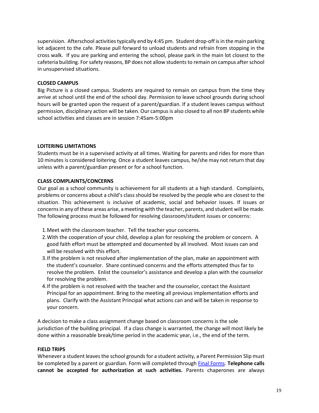supervision. Afterschool activities typically end by 4:45 pm. Student drop-off is in the main parking lot adjacent to the cafe. Please pull forward to unload students and refrain from stopping in the cross walk. If you are parking and entering the school, please park in the main lot closest to the cafeteria building. For safety reasons, BP does not allow students to remain on campus after school in unsupervised situations.

## **CLOSED CAMPUS**

Big Picture is a closed campus. Students are required to remain on campus from the time they arrive at school until the end of the school day. Permission to leave school grounds during school hours will be granted upon the request of a parent/guardian. If a student leaves campus without permission, disciplinary action will be taken. Our campus is also closed to all non BP students while school activities and classes are in session 7:45am-5:00pm

## **LOITERING LIMITATIONS**

Students must be in a supervised activity at all times. Waiting for parents and rides for more than 10 minutes is considered loitering. Once a student leaves campus, he/she may not return that day unless with a parent/guardian present or for a school function.

## <span id="page-18-0"></span>**CLASS COMPLAINTS/CONCERNS**

Our goal as a school community is achievement for all students at a high standard. Complaints, problems or concerns about a child's class should be resolved by the people who are closest to the situation. This achievement is inclusive of academic, social and behavior issues. If issues or concerns in any of these areas arise, a meeting with the teacher, parents, and student will be made. The following process must be followed for resolving classroom/student issues or concerns:

- 1.Meet with the classroom teacher. Tell the teacher your concerns.
- 2.With the cooperation of your child, develop a plan for resolving the problem or concern. A good faith effort must be attempted and documented by all involved. Most issues can and will be resolved with this effort.
- 3.If the problem is not resolved after implementation of the plan, make an appointment with the student's counselor. Share continued concerns and the efforts attempted thus far to resolve the problem. Enlist the counselor's assistance and develop a plan with the counselor for resolving the problem.
- 4.If the problem is not resolved with the teacher and the counselor, contact the Assistant Principal for an appointment. Bring to the meeting all previous implementation efforts and plans. Clarify with the Assistant Principal what actions can and will be taken in response to your concern.

A decision to make a class assignment change based on classroom concerns is the sole jurisdiction of the building principal. If a class change is warranted, the change will most likely be done within a reasonable break/time period in the academic year, i.e., the end of the term*.* 

## <span id="page-18-1"></span>**FIELD TRIPS**

Whenever a student leaves the school grounds for a student activity, a Parent Permission Slip must be completed by a parent or guardian. Form will completed through [Final Forms.](https://bellevue-wa.finalforms.com/) **Telephone calls cannot be accepted for authorization at such activities.** Parents chaperones are always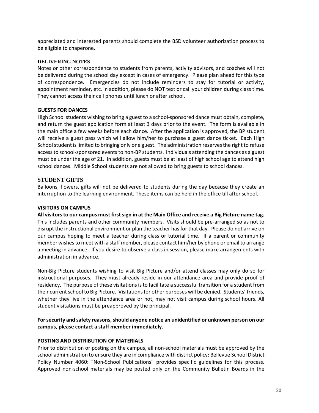appreciated and interested parents should complete the BSD volunteer authorization process to be eligible to chaperone.

#### **DELIVERING NOTES**

Notes or other correspondence to students from parents, activity advisors, and coaches will not be delivered during the school day except in cases of emergency. Please plan ahead for this type of correspondence. Emergencies do not include reminders to stay for tutorial or activity, appointment reminder, etc. In addition, please do NOT text or call your children during class time. They cannot access their cell phones until lunch or after school.

## <span id="page-19-0"></span>**GUESTS FOR DANCES**

High School students wishing to bring a guest to a school-sponsored dance must obtain, complete, and return the guest application form at least 3 days prior to the event. The form is available in the main office a few weeks before each dance. After the application is approved, the BP student will receive a guest pass which will allow him/her to purchase a guest dance ticket. Each High School student is limited to bringing only one guest. The administration reserves the right to refuse access to school-sponsored events to non-BP students. Individuals attending the dances as a guest must be under the age of 21. In addition, guests must be at least of high school age to attend high school dances. Middle School students are not allowed to bring guests to school dances.

#### **STUDENT GIFTS**

Balloons, flowers, gifts will not be delivered to students during the day because they create an interruption to the learning environment. These items can be held in the office till after school.

#### <span id="page-19-1"></span>**VISITORS ON CAMPUS**

**All visitors to our campus must first sign in at the Main Office and receive a Big Picture name tag.** This includes parents and other community members. Visits should be pre-arranged so as not to disrupt the instructional environment or plan the teacher has for that day. Please do not arrive on our campus hoping to meet a teacher during class or tutorial time. If a parent or community member wishes to meet with a staff member, please contact him/her by phone or email to arrange a meeting in advance. If you desire to observe a class in session, please make arrangements with administration in advance.

Non-Big Picture students wishing to visit Big Picture and/or attend classes may only do so for instructional purposes. They must already reside in our attendance area and provide proof of residency. The purpose of these visitations is to facilitate a successful transition for a student from their current school to Big Picture. Visitations for other purposes will be denied. Students' friends, whether they live in the attendance area or not, may not visit campus during school hours. All student visitations must be preapproved by the principal.

## **For security and safety reasons, should anyone notice an unidentified or unknown person on our campus, please contact a staff member immediately.**

#### **POSTING AND DISTRIBUTION OF MATERIALS**

Prior to distribution or posting on the campus, all non-school materials must be approved by the school administration to ensure they are in compliance with district policy: Bellevue School District Policy Number 4060: "Non-School Publications" provides specific guidelines for this process. Approved non-school materials may be posted only on the Community Bulletin Boards in the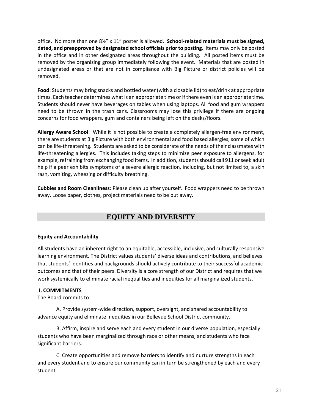office. No more than one 8½" x 11" poster is allowed. **School-related materials must be signed, dated, and preapproved by designated school officials prior to posting.** Items may only be posted in the office and in other designated areas throughout the building. All posted items must be removed by the organizing group immediately following the event. Materials that are posted in undesignated areas or that are not in compliance with Big Picture or district policies will be removed.

**Food**: Students may bring snacks and bottled water (with a closable lid) to eat/drink at appropriate times. Each teacher determines what is an appropriate time or if there even is an appropriate time. Students should never have beverages on tables when using laptops. All food and gum wrappers need to be thrown in the trash cans. Classrooms may lose this privilege if there are ongoing concerns for food wrappers, gum and containers being left on the desks/floors.

**Allergy Aware School**: While it is not possible to create a completely allergen-free environment, there are students at Big Picture with both environmental and food based allergies, some of which can be life-threatening. Students are asked to be considerate of the needs of their classmates with life-threatening allergies. This includes taking steps to minimize peer exposure to allergens, for example, refraining from exchanging food items. In addition, students should call 911 or seek adult help if a peer exhibits symptoms of a severe allergic reaction, including, but not limited to, a skin rash, vomiting, wheezing or difficulty breathing.

**Cubbies and Room Cleanliness**: Please clean up after yourself. Food wrappers need to be thrown away. Loose paper, clothes, project materials need to be put away.

# **EQUITY AND DIVERSITY**

## <span id="page-20-0"></span>**Equity and Accountability**

All students have an inherent right to an equitable, accessible, inclusive, and culturally responsive learning environment. The District values students' diverse ideas and contributions, and believes that students' identities and backgrounds should actively contribute to their successful academic outcomes and that of their peers. Diversity is a core strength of our District and requires that we work systemically to eliminate racial inequalities and inequities for all marginalized students.

## <span id="page-20-1"></span>**I. COMMITMENTS**

The Board commits to:

A. Provide system-wide direction, support, oversight, and shared accountability to advance equity and eliminate inequities in our Bellevue School District community.

B. Affirm, inspire and serve each and every student in our diverse population, especially students who have been marginalized through race or other means, and students who face significant barriers.

C. Create opportunities and remove barriers to identify and nurture strengths in each and every student and to ensure our community can in turn be strengthened by each and every student.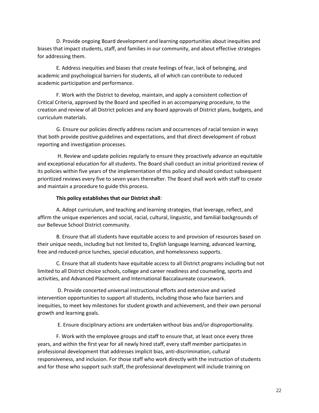D. Provide ongoing Board development and learning opportunities about inequities and biases that impact students, staff, and families in our community, and about effective strategies for addressing them.

E. Address inequities and biases that create feelings of fear, lack of belonging, and academic and psychological barriers for students, all of which can contribute to reduced academic participation and performance.

F. Work with the District to develop, maintain, and apply a consistent collection of Critical Criteria, approved by the Board and specified in an accompanying procedure, to the creation and review of all District policies and any Board approvals of District plans, budgets, and curriculum materials.

G. Ensure our policies directly address racism and occurrences of racial tension in ways that both provide positive guidelines and expectations, and that direct development of robust reporting and investigation processes.

H. Review and update policies regularly to ensure they proactively advance an equitable and exceptional education for all students. The Board shall conduct an initial prioritized review of its policies within five years of the implementation of this policy and should conduct subsequent prioritized reviews every five to seven years thereafter. The Board shall work with staff to create and maintain a procedure to guide this process.

## **This policy establishes that our District shall**:

A. Adopt curriculum, and teaching and learning strategies, that leverage, reflect, and affirm the unique experiences and social, racial, cultural, linguistic, and familial backgrounds of our Bellevue School District community.

B. Ensure that all students have equitable access to and provision of resources based on their unique needs, including but not limited to, English language learning, advanced learning, free and reduced-price lunches, special education, and homelessness supports.

C. Ensure that all students have equitable access to all District programs including but not limited to all District choice schools, college and career readiness and counseling, sports and activities, and Advanced Placement and International Baccalaureate coursework.

D. Provide concerted universal instructional efforts and extensive and varied intervention opportunities to support all students, including those who face barriers and inequities, to meet key milestones for student growth and achievement, and their own personal growth and learning goals.

E. Ensure disciplinary actions are undertaken without bias and/or disproportionality.

F. Work with the employee groups and staff to ensure that, at least once every three years, and within the first year for all newly hired staff, every staff member participates in professional development that addresses implicit bias, anti-discrimination, cultural responsiveness, and inclusion. For those staff who work directly with the instruction of students and for those who support such staff, the professional development will include training on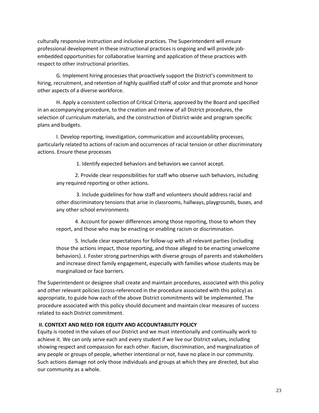culturally responsive instruction and inclusive practices. The Superintendent will ensure professional development in these instructional practices is ongoing and will provide jobembedded opportunities for collaborative learning and application of these practices with respect to other instructional priorities.

G. Implement hiring processes that proactively support the District's commitment to hiring, recruitment, and retention of highly qualified staff of color and that promote and honor other aspects of a diverse workforce.

H. Apply a consistent collection of Critical Criteria, approved by the Board and specified in an accompanying procedure, to the creation and review of all District procedures, the selection of curriculum materials, and the construction of District-wide and program specific plans and budgets.

I. Develop reporting, investigation, communication and accountability processes, particularly related to actions of racism and occurrences of racial tension or other discriminatory actions. Ensure these processes

1. Identify expected behaviors and behaviors we cannot accept.

2. Provide clear responsibilities for staff who observe such behaviors, including any required reporting or other actions.

3. Include guidelines for how staff and volunteers should address racial and other discriminatory tensions that arise in classrooms, hallways, playgrounds, buses, and any other school environments

4. Account for power differences among those reporting, those to whom they report, and those who may be enacting or enabling racism or discrimination.

5. Include clear expectations for follow-up with all relevant parties (including those the actions impact, those reporting, and those alleged to be enacting unwelcome behaviors). J. Foster strong partnerships with diverse groups of parents and stakeholders and increase direct family engagement, especially with families whose students may be marginalized or face barriers.

The Superintendent or designee shall create and maintain procedures, associated with this policy and other relevant policies (cross-referenced in the procedure associated with this policy) as appropriate, to guide how each of the above District commitments will be implemented. The procedure associated with this policy should document and maintain clear measures of success related to each District commitment.

## <span id="page-22-0"></span>**II. CONTEXT AND NEED FOR EQUITY AND ACCOUNTABILITY POLICY**

Equity is rooted in the values of our District and we must intentionally and continually work to achieve it. We can only serve each and every student if we live our District values, including showing respect and compassion for each other. Racism, discrimination, and marginalization of any people or groups of people, whether intentional or not, have no place in our community. Such actions damage not only those individuals and groups at which they are directed, but also our community as a whole.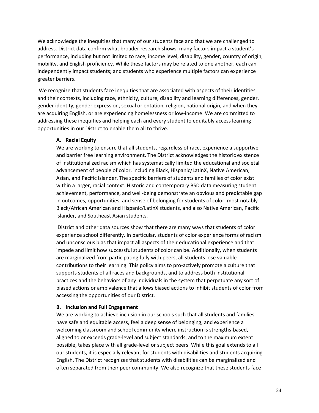We acknowledge the inequities that many of our students face and that we are challenged to address. District data confirm what broader research shows: many factors impact a student's performance, including but not limited to race, income level, disability, gender, country of origin, mobility, and English proficiency. While these factors may be related to one another, each can independently impact students; and students who experience multiple factors can experience greater barriers.

We recognize that students face inequities that are associated with aspects of their identities and their contexts, including race, ethnicity, culture, disability and learning differences, gender, gender identity, gender expression, sexual orientation, religion, national origin, and when they are acquiring English, or are experiencing homelessness or low-income. We are committed to addressing these inequities and helping each and every student to equitably access learning opportunities in our District to enable them all to thrive.

## **A. Racial Equity**

We are working to ensure that all students, regardless of race, experience a supportive and barrier free learning environment. The District acknowledges the historic existence of institutionalized racism which has systematically limited the educational and societal advancement of people of color, including Black, Hispanic/LatinX, Native American, Asian, and Pacific Islander. The specific barriers of students and families of color exist within a larger, racial context. Historic and contemporary BSD data measuring student achievement, performance, and well-being demonstrate an obvious and predictable gap in outcomes, opportunities, and sense of belonging for students of color, most notably Black/African American and Hispanic/LatinX students, and also Native American, Pacific Islander, and Southeast Asian students.

District and other data sources show that there are many ways that students of color experience school differently. In particular, students of color experience forms of racism and unconscious bias that impact all aspects of their educational experience and that impede and limit how successful students of color can be. Additionally, when students are marginalized from participating fully with peers, all students lose valuable contributions to their learning. This policy aims to pro-actively promote a culture that supports students of all races and backgrounds, and to address both institutional practices and the behaviors of any individuals in the system that perpetuate any sort of biased actions or ambivalence that allows biased actions to inhibit students of color from accessing the opportunities of our District.

## **B. Inclusion and Full Engagement**

We are working to achieve inclusion in our schools such that all students and families have safe and equitable access, feel a deep sense of belonging, and experience a welcoming classroom and school community where instruction is strengths-based, aligned to or exceeds grade-level and subject standards, and to the maximum extent possible, takes place with all grade-level or subject peers. While this goal extends to all our students, it is especially relevant for students with disabilities and students acquiring English. The District recognizes that students with disabilities can be marginalized and often separated from their peer community. We also recognize that these students face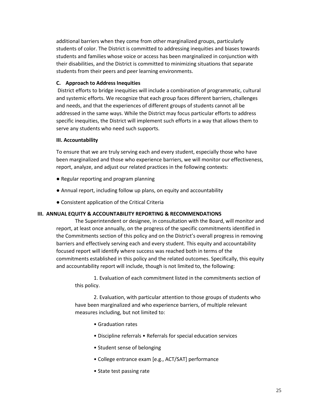additional barriers when they come from other marginalized groups, particularly students of color. The District is committed to addressing inequities and biases towards students and families whose voice or access has been marginalized in conjunction with their disabilities, and the District is committed to minimizing situations that separate students from their peers and peer learning environments.

## **C. Approach to Address Inequities**

District efforts to bridge inequities will include a combination of programmatic, cultural and systemic efforts. We recognize that each group faces different barriers, challenges and needs, and that the experiences of different groups of students cannot all be addressed in the same ways. While the District may focus particular efforts to address specific inequities, the District will implement such efforts in a way that allows them to serve any students who need such supports.

## **III. Accountability**

To ensure that we are truly serving each and every student, especially those who have been marginalized and those who experience barriers, we will monitor our effectiveness, report, analyze, and adjust our related practices in the following contexts:

- Regular reporting and program planning
- Annual report, including follow up plans, on equity and accountability
- Consistent application of the Critical Criteria

## <span id="page-24-0"></span>**III. ANNUAL EQUITY & ACCOUNTABILITY REPORTING & RECOMMENDATIONS**

The Superintendent or designee, in consultation with the Board, will monitor and report, at least once annually, on the progress of the specific commitments identified in the Commitments section of this policy and on the District's overall progress in removing barriers and effectively serving each and every student. This equity and accountability focused report will identify where success was reached both in terms of the commitments established in this policy and the related outcomes. Specifically, this equity and accountability report will include, though is not limited to, the following:

1. Evaluation of each commitment listed in the commitments section of this policy.

2. Evaluation, with particular attention to those groups of students who have been marginalized and who experience barriers, of multiple relevant measures including, but not limited to:

- Graduation rates
- Discipline referrals Referrals for special education services
- Student sense of belonging
- College entrance exam [e.g., ACT/SAT] performance
- State test passing rate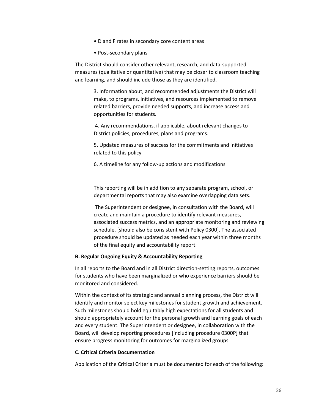- D and F rates in secondary core content areas
- Post-secondary plans

The District should consider other relevant, research, and data-supported measures (qualitative or quantitative) that may be closer to classroom teaching and learning, and should include those as they are identified.

> 3. Information about, and recommended adjustments the District will make, to programs, initiatives, and resources implemented to remove related barriers, provide needed supports, and increase access and opportunities for students.

4. Any recommendations, if applicable, about relevant changes to District policies, procedures, plans and programs.

5. Updated measures of success for the commitments and initiatives related to this policy

6. A timeline for any follow-up actions and modifications

This reporting will be in addition to any separate program, school, or departmental reports that may also examine overlapping data sets.

The Superintendent or designee, in consultation with the Board, will create and maintain a procedure to identify relevant measures, associated success metrics, and an appropriate monitoring and reviewing schedule. [should also be consistent with Policy 0300]. The associated procedure should be updated as needed each year within three months of the final equity and accountability report.

#### **B. Regular Ongoing Equity & Accountability Reporting**

In all reports to the Board and in all District direction-setting reports, outcomes for students who have been marginalized or who experience barriers should be monitored and considered.

Within the context of its strategic and annual planning process, the District will identify and monitor select key milestones for student growth and achievement. Such milestones should hold equitably high expectations for all students and should appropriately account for the personal growth and learning goals of each and every student. The Superintendent or designee, in collaboration with the Board, will develop reporting procedures [including procedure 0300P] that ensure progress monitoring for outcomes for marginalized groups.

## **C. Critical Criteria Documentation**

Application of the Critical Criteria must be documented for each of the following: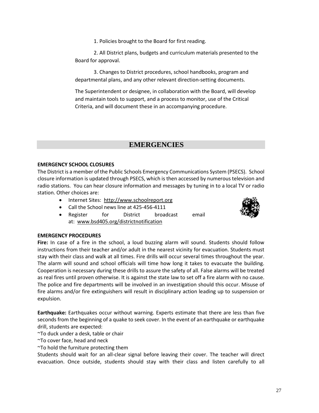1. Policies brought to the Board for first reading.

2. All District plans, budgets and curriculum materials presented to the Board for approval.

3. Changes to District procedures, school handbooks, program and departmental plans, and any other relevant direction-setting documents.

The Superintendent or designee, in collaboration with the Board, will develop and maintain tools to support, and a process to monitor, use of the Critical Criteria, and will document these in an accompanying procedure.

# <span id="page-26-0"></span> **EMERGENCIES**

## **EMERGENCY SCHOOL CLOSURES**

The District is a member of the Public Schools Emergency Communications System (PSECS). School closure information is updated through PSECS, which is then accessed by numerous television and radio stations. You can hear closure information and messages by tuning in to a local TV or radio station. Other choices are:

- Internet Sites: [http://www.schoolreport.org](http://www.schoolreport.org/)
- Call the School news line at 425-456-4111
- Register for District broadcast email at: [www.bsd405.org/districtnotification](file:///C:/Documents%20and%20Settings/mckenziej/Local%20Settings/Temporary%20Internet%20Files/Content.Outlook/Local%20Settings/Temporary%20Internet%20Files/Content.Outlook/JQ5FKIHG/www.bsd405.org/districtnotification)



## **EMERGENCY PROCEDURES**

**Fire:** In case of a fire in the school, a loud buzzing alarm will sound. Students should follow instructions from their teacher and/or adult in the nearest vicinity for evacuation. Students must stay with their class and walk at all times. Fire drills will occur several times throughout the year. The alarm will sound and school officials will time how long it takes to evacuate the building. Cooperation is necessary during these drills to assure the safety of all. False alarms will be treated as real fires until proven otherwise. It is against the state law to set off a fire alarm with no cause. The police and fire departments will be involved in an investigation should this occur. Misuse of fire alarms and/or fire extinguishers will result in disciplinary action leading up to suspension or expulsion.

**Earthquake:** Earthquakes occur without warning. Experts estimate that there are less than five seconds from the beginning of a quake to seek cover. In the event of an earthquake or earthquake drill, students are expected:

~To duck under a desk, table or chair

~To cover face, head and neck

~To hold the furniture protecting them

Students should wait for an all-clear signal before leaving their cover. The teacher will direct evacuation. Once outside, students should stay with their class and listen carefully to all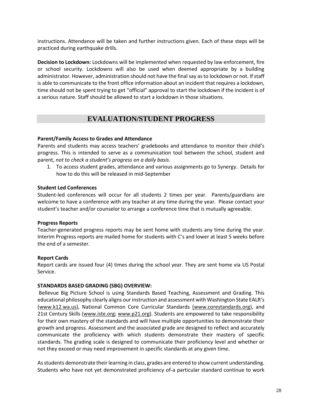instructions. Attendance will be taken and further instructions given. Each of these steps will be practiced during earthquake drills.

**Decision to Lockdown:** Lockdowns will be implemented when requested by law enforcement, fire or school security. Lockdowns will also be used when deemed appropriate by a building administrator. However, administration should not have the final say as to lockdown or not. If staff is able to communicate to the front office information about an incident that requires a lockdown, time should not be spent trying to get "official" approval to start the lockdown if the incident is of a serious nature. Staff should be allowed to start a lockdown in those situations.

# **EVALUATION/STUDENT PROGRESS**

## <span id="page-27-0"></span>**Parent/Family Access to Grades and Attendance**

Parents and students may access teachers' gradebooks and attendance to monitor their child's progress. This is intended to serve as a communication tool between the school, student and parent, *not to check a student's progress on a daily basis*.

1. To access student grades, attendance and various assignments go to Synergy. Details for how to do this will be released in mid-September

#### **Student Led Conferences**

Student-led conferences will occur for all students 2 times per year. Parents/guardians are welcome to have a conference with any teacher at any time during the year. Please contact your student's teacher and/or counselor to arrange a conference time that is mutually agreeable.

#### **Progress Reports**

Teacher-generated progress reports may be sent home with students any time during the year. Interim Progress reports are mailed home for students with C's and lower at least 5 weeks before the end of a semester.

## **Report Cards**

Report cards are issued four (4) times during the school year. They are sent home via US Postal Service.

#### <span id="page-27-1"></span>**STANDARDS BASED GRADING (SBG) OVERVIEW:**

Bellevue Big Picture School is using Standards Based Teaching, Assessment and Grading. This educational philosophy clearly aligns our instruction and assessment with Washington State EALR's [\(www.k12.wa.us\)](http://www.k12.wa.us/), National Common Core Curricular Standards [\(www.corestandards.org\)](http://www.corestandards.org/), and 21st Century Skills [\(www.iste.org;](http://www.iste.org/) [www.p21.org\)](http://www.p21.org/). Students are empowered to take responsibility for their own mastery of the standards and will have multiple opportunities to demonstrate their growth and progress. Assessment and the associated grade are designed to reflect and accurately communicate the proficiency with which students demonstrate their mastery of specific standards. The grading scale is designed to communicate their proficiency level and whether or not they exceed or may need improvement in specific standards at any given time.

As students demonstrate their learning in class, grades are entered to show current understanding. Students who have not yet demonstrated proficiency of a particular standard continue to work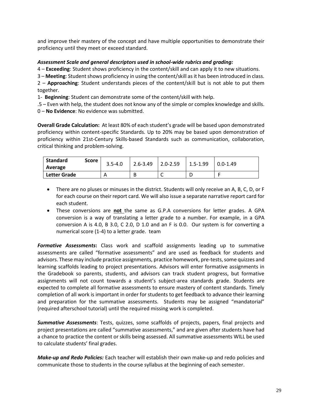and improve their mastery of the concept and have multiple opportunities to demonstrate their proficiency until they meet or exceed standard.

## *Assessment Scale and general descriptors used in school-wide rubrics and grading:*

4 – **Exceeding**: Student shows proficiency in the content/skill and can apply it to new situations.

3 – **Meeting**: Student shows proficiency in using the content/skill as it has been introduced in class.

2 – **Approaching**: Student understands pieces of the content/skill but is not able to put them together.

1- **Beginning**: Student can demonstrate some of the content/skill with help.

.5 – Even with help, the student does not know any of the simple or complex knowledge and skills.

0 – **No Evidence**: No evidence was submitted.

**Overall Grade Calculation:** At least 80% of each student's grade will be based upon demonstrated proficiency within content-specific Standards. Up to 20% may be based upon demonstration of proficiency within 21st-Century Skills-based Standards such as communication, collaboration, critical thinking and problem-solving.

| Standard<br>Average | Score l | $3.5 - 4.0$ | $2.6 - 3.49$   2.0-2.59   1.5-1.99   0.0-1.49 |  |
|---------------------|---------|-------------|-----------------------------------------------|--|
| Letter Grade        |         |             |                                               |  |

- There are no pluses or minuses in the district. Students will only receive an A, B, C, D, or F for each course on their report card. We will also issue a separate narrative report card for each student.
- These conversions are **not** the same as G.P.A conversions for letter grades. A GPA conversion is a way of translating a letter grade to a number. For example, in a GPA conversion A is 4.0, B 3.0, C 2.0, D 1.0 and an F is 0.0. Our system is for converting a numerical score (1-4) to a letter grade. team

*Formative Assessments***:** Class work and scaffold assignments leading up to summative assessments are called "formative assessments" and are used as feedback for students and advisors. These may include practice assignments, practice homework, pre-tests, some quizzes and learning scaffolds leading to project presentations. Advisors will enter formative assignments in the Gradebook so parents, students, and advisors can track student progress, but formative assignments will not count towards a student's subject-area standards grade. Students are expected to complete all formative assessments to ensure mastery of content standards. Timely completion of all work is important in order for students to get feedback to advance their learning and preparation for the summative assessments. Students may be assigned "mandatorial" (required afterschool tutorial) until the required missing work is completed.

*Summative Assessments*: Tests, quizzes, some scaffolds of projects, papers, final projects and project presentations are called "summative assessments," and are given after students have had a chance to practice the content or skills being assessed. All summative assessments WILL be used to calculate students' final grades.

*Make-up and Redo Policies:* Each teacher will establish their own make-up and redo policies and communicate those to students in the course syllabus at the beginning of each semester.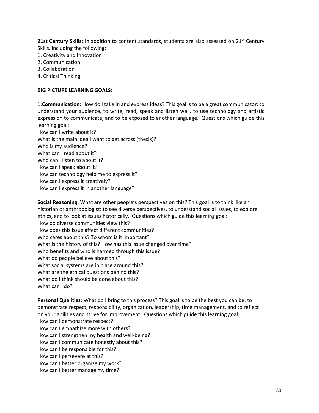**21st Century Skills;** In addition to content standards, students are also assessed on 21<sup>st</sup> Century Skills, including the following:

- 1. Creativity and Innovation
- 2. Communication
- 3. Collaboration
- 4. Critical Thinking

#### <span id="page-29-0"></span>**BIG PICTURE LEARNING GOALS:**

1.**Communication:** How do I take in and express ideas? This goal is to be a great communicator: to understand your audience, to write, read, speak and listen well, to use technology and artistic expression to communicate, and to be exposed to another language. Questions which guide this learning goal:

How can I write about it? What is the main idea I want to get across (thesis)? Who is my audience? What can I read about it? Who can I listen to about it? How can I speak about it? How can technology help me to express it? How can I express it creatively? How can I express it in another language?

**Social Reasoning:** What are other people's perspectives on this? This goal is to think like an historian or anthropologist: to see diverse perspectives, to understand social issues, to explore ethics, and to look at issues historically. Questions which guide this learning goal: How do diverse communities view this? How does this issue affect different communities? Who cares about this? To whom is it important? What is the history of this? How has this issue changed over time? Who benefits and who is harmed through this issue? What do people believe about this? What social systems are in place around this? What are the ethical questions behind this? What do I think should be done about this? What can I do?

**Personal Qualities:** What do I bring to this process? This goal is to be the best you can be: to demonstrate respect, responsibility, organization, leadership, time management, and to reflect on your abilities and strive for improvement. Questions which guide this learning goal: How can I demonstrate respect? How can I empathize more with others? How can I strengthen my health and well-being? How can I communicate honestly about this? How can I be responsible for this? How can I persevere at this? How can I better organize my work? How can I better manage my time?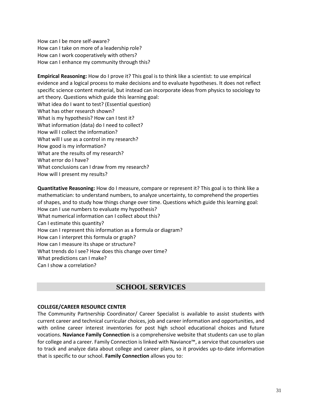How can I be more self-aware? How can I take on more of a leadership role? How can I work cooperatively with others? How can I enhance my community through this?

**Empirical Reasoning:** How do I prove it? This goal is to think like a scientist: to use empirical evidence and a logical process to make decisions and to evaluate hypotheses. It does not reflect specific science content material, but instead can incorporate ideas from physics to sociology to art theory. Questions which guide this learning goal: What idea do I want to test? (Essential question) What has other research shown? What is my hypothesis? How can I test it? What information (data) do I need to collect? How will I collect the information? What will I use as a control in my research? How good is my information? What are the results of my research? What error do I have? What conclusions can I draw from my research? How will I present my results?

**Quantitative Reasoning:** How do I measure, compare or represent it? This goal is to think like a mathematician: to understand numbers, to analyze uncertainty, to comprehend the properties of shapes, and to study how things change over time. Questions which guide this learning goal: How can I use numbers to evaluate my hypothesis? What numerical information can I collect about this? Can I estimate this quantity? How can I represent this information as a formula or diagram? How can I interpret this formula or graph? How can I measure its shape or structure? What trends do I see? How does this change over time? What predictions can I make? Can I show a correlation?

# **SCHOOL SERVICES**

## <span id="page-30-0"></span>**COLLEGE/CAREER RESOURCE CENTER**

The Community Partnership Coordinator/ Career Specialist is available to assist students with current career and technical curricular choices, job and career information and opportunities, and with online career interest inventories for post high school educational choices and future vocations. **Naviance Family Connection** is a comprehensive website that students can use to plan for college and a career. Family Connection is linked with Naviance™, a service that counselors use to track and analyze data about college and career plans, so it provides up-to-date information that is specific to our school. **Family Connection** allows you to: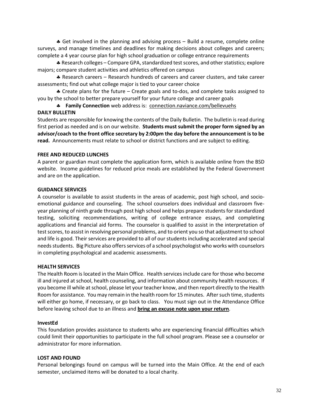Get involved in the planning and advising process – Build a resume, complete online surveys, and manage timelines and deadlines for making decisions about colleges and careers; complete a 4 year course plan for high school graduation or college entrance requirements

 Research colleges – Compare GPA, standardized test scores, and other statistics; explore majors; compare student activities and athletics offered on campus

 Research careers – Research hundreds of careers and career clusters, and take career assessments; find out what college major is tied to your career choice

 $\clubsuit$  Create plans for the future – Create goals and to-dos, and complete tasks assigned to you by the school to better prepare yourself for your future college and career goals

 **Family Connection** web address is: connection.naviance.com/bellevuehs **DAILY BULLETIN** 

Students are responsible for knowing the contents of the Daily Bulletin. The bulletin is read during first period as needed and is on our website. **Students must submit the proper form signed by an advisor/coach to the front office secretary by 2:00pm the day before the announcement is to be read.** Announcements must relate to school or district functions and are subject to editing.

## **FREE AND REDUCED LUNCHES**

A parent or guardian must complete the application form, which is available online from the BSD website. Income guidelines for reduced price meals are established by the Federal Government and are on the application.

#### **GUIDANCE SERVICES**

A counselor is available to assist students in the areas of academic, post high school, and socioemotional guidance and counseling. The school counselors does individual and classroom fiveyear planning of ninth grade through post high school and helps prepare students for standardized testing, soliciting recommendations, writing of college entrance essays, and completing applications and financial aid forms. The counselor is qualified to assist in the interpretation of test scores, to assist in resolving personal problems, and to orient you so that adjustment to school and life is good. Their services are provided to all of our students including accelerated and special needs students. Big Picture also offers services of a school psychologist who works with counselors in completing psychological and academic assessments.

#### **HEALTH SERVICES**

The Health Room is located in the Main Office. Health services include care for those who become ill and injured at school, health counseling, and information about community health resources. If you become ill while at school, please let your teacher know, and then report directly to the Health Room for assistance. You may remain in the health room for 15 minutes. After such time, students will either go home, if necessary, or go back to class. You must sign out in the Attendance Office before leaving school due to an illness and **bring an excuse note upon your return**.

#### **InvestEd**

This foundation provides assistance to students who are experiencing financial difficulties which could limit their opportunities to participate in the full school program. Please see a counselor or administrator for more information.

#### **LOST AND FOUND**

Personal belongings found on campus will be turned into the Main Office. At the end of each semester, unclaimed items will be donated to a local charity.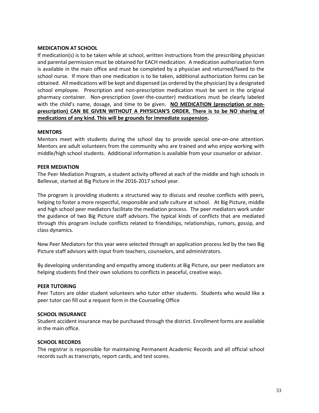#### <span id="page-32-0"></span>**MEDICATION AT SCHOOL**

If medication(s) is to be taken while at school, written instructions from the prescribing physician and parental permission must be obtained for EACH medication. A medication authorization form is available in the main office and must be completed by a physician and returned/faxed to the school nurse. If more than one medication is to be taken, additional authorization forms can be obtained. All medications will be kept and dispensed (as ordered by the physician) by a designated school employee. Prescription and non-prescription medication must be sent in the original pharmacy container. Non-prescription (over-the-counter) medications must be clearly labeled with the child's name, dosage, and time to be given. **NO MEDICATION (prescription or nonprescription) CAN BE GIVEN WITHOUT A PHYSICIAN'S ORDER. There is to be NO sharing of medications of any kind. This will be grounds for immediate suspension.**

#### **MENTORS**

Mentors meet with students during the school day to provide special one-on-one attention. Mentors are adult volunteers from the community who are trained and who enjoy working with middle/high school students. Additional information is available from your counselor or advisor.

#### **PEER MEDIATION**

The Peer Mediation Program, a student activity offered at each of the middle and high schools in Bellevue, started at Big Picture in the 2016-2017 school year.

The program is providing students a structured way to discuss and resolve conflicts with peers, helping to foster a more respectful, responsible and safe culture at school. At Big Picture, middle and high school peer mediators facilitate the mediation process. The peer mediators work under the guidance of two Big Picture staff advisors. The typical kinds of conflicts that are mediated through this program include conflicts related to friendships, relationships, rumors, gossip, and class dynamics.

New Peer Mediators for this year were selected through an application process led by the two Big Picture staff advisors with input from teachers, counselors, and administrators.

By developing understanding and empathy among students at Big Picture, our peer mediators are helping students find their own solutions to conflicts in peaceful, creative ways.

#### **PEER TUTORING**

Peer Tutors are older student volunteers who tutor other students. Students who would like a peer tutor can fill out a request form in the Counseling Office

#### **SCHOOL INSURANCE**

Student accident insurance may be purchased through the district. Enrollment forms are available in the main office.

#### **SCHOOL RECORDS**

The registrar is responsible for maintaining Permanent Academic Records and all official school records such as transcripts, report cards, and test scores.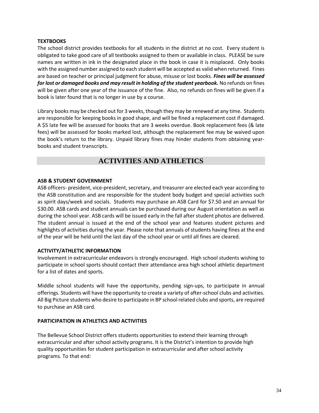## <span id="page-33-0"></span>**TEXTBOOKS**

The school district provides textbooks for all students in the district at no cost. Every student is obligated to take good care of all textbooks assigned to them or available in class. PLEASE be sure names are written in ink in the designated place in the book in case it is misplaced. Only books with the assigned number assigned to each student will be accepted as valid when returned. Fines are based on teacher or principal judgment for abuse, misuse or lost books. *Fines will be assessed*  for lost or damaged books and may result in holding of the student yearbook. No refunds on fines will be given after one year of the issuance of the fine. Also, no refunds on fines will be given if a book is later found that is no longer in use by a course.

Library books may be checked out for 3 weeks, though they may be renewed at any time. Students are responsible for keeping books in good shape, and will be fined a replacement cost if damaged. A \$5 late fee will be assessed for books that are 3 weeks overdue. Book replacement fees (& late fees) will be assessed for books marked lost, although the replacement fee may be waived upon the book's return to the library. Unpaid library fines may hinder students from obtaining yearbooks and student transcripts.

# **ACTIVITIES AND ATHLETICS**

## <span id="page-33-1"></span>**ASB & STUDENT GOVERNMENT**

ASB officers- president, vice-president, secretary, and treasurer are elected each year according to the ASB constitution and are responsible for the student body budget and special activities such as spirit days/week and socials. Students may purchase an ASB Card for \$7.50 and an annual for \$30.00. ASB cards and student annuals can be purchased during our August orientation as well as during the school year. ASB cards will be issued early in the fall after student photos are delivered. The student annual is issued at the end of the school year and features student pictures and highlights of activities during the year. Please note that annuals of students having fines at the end of the year will be held until the last day of the school year or until all fines are cleared.

## **ACTIVITY/ATHLETIC INFORMATION**

Involvement in extracurricular endeavors is strongly encouraged. High school students wishing to participate in school sports should contact their attendance area high school athletic department for a list of dates and sports.

Middle school students will have the opportunity, pending sign-ups, to participate in annual offerings. Students will have the opportunity to create a variety of after-school clubs and activities. All Big Picture students who desire to participate in BP school related clubs and sports, are required to purchase an ASB card.

## <span id="page-33-2"></span>**PARTICIPATION IN ATHLETICS AND ACTIVITIES**

The Bellevue School District offers students opportunities to extend their learning through extracurricular and after school activity programs. It is the District's intention to provide high quality opportunities for student participation in extracurricular and after school activity programs. To that end: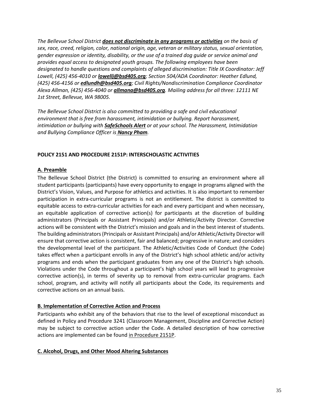*The Bellevue School District [does not discriminate in any programs or activities](http://www.bsd405.org/wp-content/pdf/hr/Affirmative-Action-Report.pdf) on the basis of sex, race, creed, religion, color, national origin, age, veteran or military status, sexual orientation, gender expression or identity, disability, or the use of a trained dog guide or service animal and provides equal access to designated youth groups. The following employees have been designated to handle questions and complaints of alleged discrimination: Title IX Coordinator: Jeff Lowell, (425) 456-4010 or [lowellj@bsd405.org](mailto:lowellj@bsd405.org); Section 504/ADA Coordinator: Heather Edlund, (425) 456-4156 or [edlundh@bsd405.org](mailto:edlundh@bsd405.org); Civil Rights/Nondiscrimination Compliance Coordinator Alexa Allman, (425) 456-4040 or [allmana@bsd405.org](mailto:allmana@bsd405.org). Mailing address for all three: 12111 NE 1st Street, Bellevue, WA 98005.*

*The Bellevue School District is also committed to providing a safe and civil educational environment that is free from harassment, intimidation or bullying. Report harassment, intimidation or bullying with [SafeSchools Alert](https://bsd405-wa.safeschoolsalert.com/) or at your school. The Harassment, Intimidation and Bullying Compliance Officer is [Nancy](mailto:phamn@bsd405.org) Pham.*

## <span id="page-34-0"></span>**POLICY 2151 AND PROCEDURE 2151P: INTERSCHOLASTIC ACTIVITIES**

## **A. Preamble**

The Bellevue School District (the District) is committed to ensuring an environment where all student participants (participants) have every opportunity to engage in programs aligned with the District's Vision, Values, and Purpose for athletics and activities. It is also important to remember participation in extra-curricular programs is not an entitlement. The district is committed to equitable access to extra-curricular activities for each and every participant and when necessary, an equitable application of corrective action(s) for participants at the discretion of building administrators (Principals or Assistant Principals) and/or Athletic/Activity Director. Corrective actions will be consistent with the District's mission and goals and in the best interest of students. The building administrators (Principals or Assistant Principals) and/or Athletic/Activity Director will ensure that corrective action is consistent, fair and balanced; progressive in nature; and considers the developmental level of the participant. The Athletic/Activities Code of Conduct (the Code) takes effect when a participant enrolls in any of the District's high school athletic and/or activity programs and ends when the participant graduates from any one of the District's high schools. Violations under the Code throughout a participant's high school years will lead to progressive corrective action(s), in terms of severity up to removal from extra-curricular programs. Each school, program, and activity will notify all participants about the Code, its requirements and corrective actions on an annual basis.

## **B. Implementation of Corrective Action and Process**

Participants who exhibit any of the behaviors that rise to the level of exceptional misconduct as defined in Policy and Procedure 3241 (Classroom Management, Discipline and Corrective Action) may be subject to corrective action under the Code. A detailed description of how corrective actions are implemented can be found [in Procedure 2151P.](http://www.bsd405.org/wp-content/pdf/policy/2151P.pdf?x93448)

## **C. Alcohol, Drugs, and Other Mood Altering Substances**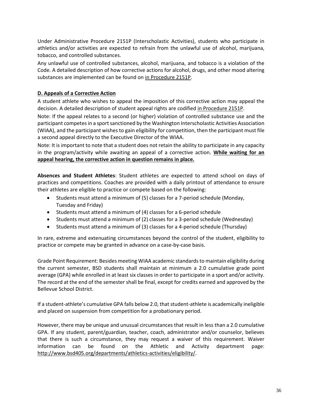Under Administrative Procedure 2151P (Interscholastic Activities), students who participate in athletics and/or activities are expected to refrain from the unlawful use of alcohol, marijuana, tobacco, and controlled substances.

Any unlawful use of controlled substances, alcohol, marijuana, and tobacco is a violation of the Code. A detailed description of how corrective actions for alcohol, drugs, and other mood altering substances are implemented can be found on [in Procedure 2151P.](http://www.bsd405.org/wp-content/pdf/policy/2151P.pdf?x93448)

## **D. Appeals of a Corrective Action**

A student athlete who wishes to appeal the imposition of this corrective action may appeal the decision. A detailed description of student appeal rights are codified [in Procedure 2151P.](http://www.bsd405.org/wp-content/pdf/policy/2151P.pdf?x93448)

Note: If the appeal relates to a second (or higher) violation of controlled substance use and the participant competes in a sport sanctioned by the Washington Interscholastic Activities Association (WIAA), and the participant wishes to gain eligibility for competition, then the participant must file a second appeal directly to the Executive Director of the WIAA.

Note: It is important to note that a student does not retain the ability to participate in any capacity in the program/activity while awaiting an appeal of a corrective action. **While waiting for an appeal hearing, the corrective action in question remains in place.** 

**Absences and Student Athletes**: Student athletes are expected to attend school on days of practices and competitions. Coaches are provided with a daily printout of attendance to ensure their athletes are eligible to practice or compete based on the following:

- Students must attend a minimum of (5) classes for a 7-period schedule (Monday, Tuesday and Friday)
- Students must attend a minimum of (4) classes for a 6-period schedule
- Students must attend a minimum of (2) classes for a 3-period schedule (Wednesday)
- Students must attend a minimum of (3) classes for a 4-period schedule (Thursday)

In rare, extreme and extenuating circumstances beyond the control of the student, eligibility to practice or compete may be granted in advance on a case-by-case basis.

Grade Point Requirement: Besides meeting WIAA academic standards to maintain eligibility during the current semester, BSD students shall maintain at minimum a 2.0 cumulative grade point average (GPA) while enrolled in at least six classes in order to participate in a sport and/or activity. The record at the end of the semester shall be final, except for credits earned and approved by the Bellevue School District.

If a student-athlete's cumulative GPA falls below 2.0, that student-athlete is academically ineligible and placed on suspension from competition for a probationary period.

However, there may be unique and unusual circumstances that result in less than a 2.0 cumulative GPA. If any student, parent/guardian, teacher, coach, administrator and/or counselor, believes that there is such a circumstance, they may request a waiver of this requirement. Waiver information can be found on the Athletic and Activity department page: [http://www.bsd405.org/departments/athletics-activities/eligibility/.](http://www.bsd405.org/departments/athletics-activities/eligibility/)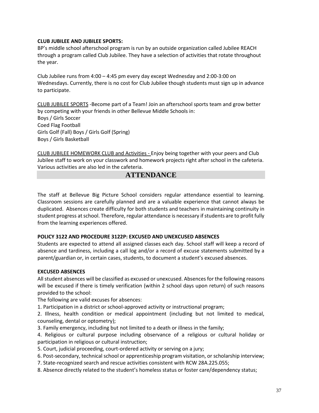### **CLUB JUBILEE AND JUBILEE SPORTS:**

BP's middle school afterschool program is run by an outside organization called Jubilee REACH through a program called Club Jubilee. They have a selection of activities that rotate throughout the year.

Club Jubilee runs from 4:00 – 4:45 pm every day except Wednesday and 2:00-3:00 on Wednesdays. Currently, there is no cost for Club Jubilee though students must sign up in advance to participate.

CLUB JUBILEE SPORTS -Become part of a Team! Join an afterschool sports team and grow better by competing with your friends in other Bellevue Middle Schools in: Boys / Girls Soccer Coed Flag Football Girls Golf (Fall) Boys / Girls Golf (Spring) Boys / Girls Basketball

CLUB JUBILEE HOMEWORK CLUB and Activities - Enjoy being together with your peers and Club Jubilee staff to work on your classwork and homework projects right after school in the cafeteria. Various activities are also led in the cafeteria.

# **ATTENDANCE**

The staff at Bellevue Big Picture School considers regular attendance essential to learning. Classroom sessions are carefully planned and are a valuable experience that cannot always be duplicated. Absences create difficulty for both students and teachers in maintaining continuity in student progress at school. Therefore, regular attendance is necessary if students are to profit fully from the learning experiences offered.

#### **POLICY 3122 AND PROCEDURE 3122P: EXCUSED AND UNEXCUSED ABSENCES**

Students are expected to attend all assigned classes each day. School staff will keep a record of absence and tardiness, including a call log and/or a record of excuse statements submitted by a parent/guardian or, in certain cases, students, to document a student's excused absences.

# **EXCUSED ABSENCES**

All student absences will be classified as excused or unexcused. Absences for the following reasons will be excused if there is timely verification (within 2 school days upon return) of such reasons provided to the school:

The following are valid excuses for absences:

1. Participation in a district or school-approved activity or instructional program;

2. Illness, health condition or medical appointment (including but not limited to medical, counseling, dental or optometry);

- 3. Family emergency, including but not limited to a death or illness in the family;
- 4. Religious or cultural purpose including observance of a religious or cultural holiday or participation in religious or cultural instruction;
- 5. Court, judicial proceeding, court-ordered activity or serving on a jury;
- 6. Post-secondary, technical school or apprenticeship program visitation, or scholarship interview;
- 7. State-recognized search and rescue activities consistent with RCW 28A.225.055;
- 8. Absence directly related to the student's homeless status or foster care/dependency status;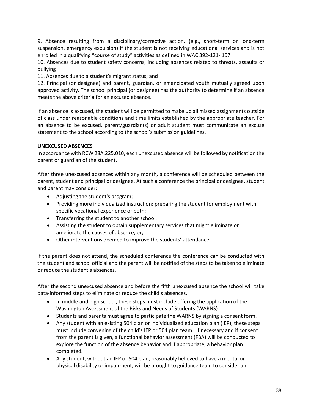9. Absence resulting from a disciplinary/corrective action. (e.g., short-term or long-term suspension, emergency expulsion) if the student is not receiving educational services and is not enrolled in a qualifying "course of study" activities as defined in WAC 392-121- 107

10. Absences due to student safety concerns, including absences related to threats, assaults or bullying

11. Absences due to a student's migrant status; and

12. Principal (or designee) and parent, guardian, or emancipated youth mutually agreed upon approved activity. The school principal (or designee) has the authority to determine if an absence meets the above criteria for an excused absence.

If an absence is excused, the student will be permitted to make up all missed assignments outside of class under reasonable conditions and time limits established by the appropriate teacher. For an absence to be excused, parent/guardian(s) or adult student must communicate an excuse statement to the school according to the school's submission guidelines.

# **UNEXCUSED ABSENCES**

In accordance with RCW 28A.225.010, each unexcused absence will be followed by notification the parent or guardian of the student.

After three unexcused absences within any month, a conference will be scheduled between the parent, student and principal or designee. At such a conference the principal or designee, student and parent may consider:

- Adjusting the student's program;
- Providing more individualized instruction; preparing the student for employment with specific vocational experience or both;
- Transferring the student to another school;
- Assisting the student to obtain supplementary services that might eliminate or ameliorate the causes of absence; or,
- Other interventions deemed to improve the students' attendance.

If the parent does not attend, the scheduled conference the conference can be conducted with the student and school official and the parent will be notified of the steps to be taken to eliminate or reduce the student's absences.

After the second unexcused absence and before the fifth unexcused absence the school will take data-informed steps to eliminate or reduce the child's absences.

- In middle and high school, these steps must include offering the application of the Washington Assessment of the Risks and Needs of Students (WARNS)
- Students and parents must agree to participate the WARNS by signing a consent form.
- Any student with an existing 504 plan or individualized education plan (IEP), these steps must include convening of the child's IEP or 504 plan team. If necessary and if consent from the parent is given, a functional behavior assessment (FBA) will be conducted to explore the function of the absence behavior and if appropriate, a behavior plan completed.
- Any student, without an IEP or 504 plan, reasonably believed to have a mental or physical disability or impairment, will be brought to guidance team to consider an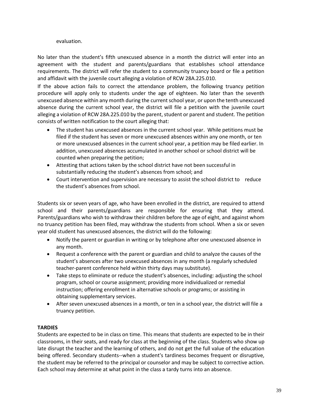### evaluation.

No later than the student's fifth unexcused absence in a month the district will enter into an agreement with the student and parents/guardians that establishes school attendance requirements. The district will refer the student to a community truancy board or file a petition and affidavit with the juvenile court alleging a violation of RCW 28A.225.010.

If the above action fails to correct the attendance problem, the following truancy petition procedure will apply only to students under the age of eighteen. No later than the seventh unexcused absence within any month during the current school year, or upon the tenth unexcused absence during the current school year, the district will file a petition with the juvenile court alleging a violation of RCW 28A.225.010 by the parent, student or parent and student. The petition consists of written notification to the court alleging that:

- The student has unexcused absences in the current school year. While petitions must be filed if the student has seven or more unexcused absences within any one month, or ten or more unexcused absences in the current school year, a petition may be filed earlier. In addition, unexcused absences accumulated in another school or school district will be counted when preparing the petition;
- Attesting that actions taken by the school district have not been successful in substantially reducing the student's absences from school; and
- Court intervention and supervision are necessary to assist the school district to reduce the student's absences from school.

Students six or seven years of age, who have been enrolled in the district, are required to attend school and their parents/guardians are responsible for ensuring that they attend. Parents/guardians who wish to withdraw their children before the age of eight, and against whom no truancy petition has been filed, may withdraw the students from school. When a six or seven year old student has unexcused absences, the district will do the following:

- Notify the parent or guardian in writing or by telephone after one unexcused absence in any month.
- Request a conference with the parent or guardian and child to analyze the causes of the student's absences after two unexcused absences in any month (a regularly scheduled teacher-parent conference held within thirty days may substitute).
- Take steps to eliminate or reduce the student's absences, including: adjusting the school program, school or course assignment; providing more individualized or remedial instruction; offering enrollment in alternative schools or programs; or assisting in obtaining supplementary services.
- After seven unexcused absences in a month, or ten in a school year, the district will file a truancy petition.

# **TARDIES**

Students are expected to be in class on time. This means that students are expected to be in their classrooms, in their seats, and ready for class at the beginning of the class. Students who show up late disrupt the teacher and the learning of others, and do not get the full value of the education being offered. Secondary students--when a student's tardiness becomes frequent or disruptive, the student may be referred to the principal or counselor and may be subject to corrective action. Each school may determine at what point in the class a tardy turns into an absence.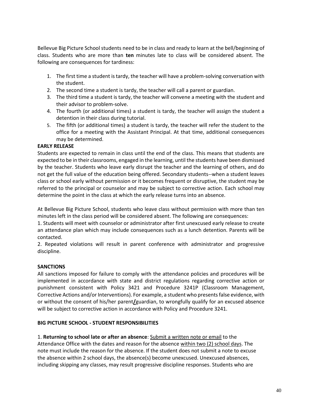Bellevue Big Picture School students need to be in class and ready to learn at the bell/beginning of class. Students who are more than **ten** minutes late to class will be considered absent. The following are consequences for tardiness:

- 1. The first time a student is tardy, the teacher will have a problem-solving conversation with the student.
- 2. The second time a student is tardy, the teacher will call a parent or guardian.
- 3. The third time a student is tardy, the teacher will convene a meeting with the student and their advisor to problem-solve.
- 4. The fourth (or additional times) a student is tardy, the teacher will assign the student a detention in their class during tutorial.
- 5. The fifth (or additional times) a student is tardy, the teacher will refer the student to the office for a meeting with the Assistant Principal. At that time, additional consequences may be determined.

# **EARLY RELEASE**

Students are expected to remain in class until the end of the class. This means that students are expected to be in their classrooms, engaged in the learning, until the students have been dismissed by the teacher. Students who leave early disrupt the teacher and the learning of others, and do not get the full value of the education being offered. Secondary students--when a student leaves class or school early without permission or it becomes frequent or disruptive, the student may be referred to the principal or counselor and may be subject to corrective action. Each school may determine the point in the class at which the early release turns into an absence.

At Bellevue Big Picture School, students who leave class without permission with more than ten minutes left in the class period will be considered absent. The following are consequences:

1. Students will meet with counselor or administrator after first unexcused early release to create an attendance plan which may include consequences such as a lunch detention. Parents will be contacted.

2. Repeated violations will result in parent conference with administrator and progressive discipline.

# **SANCTIONS**

All sanctions imposed for failure to comply with the attendance policies and procedures will be implemented in accordance with state and district regulations regarding corrective action or punishment consistent with Policy 3421 and Procedure 3241P (Classroom Management, Corrective Actions and/or Interventions). For example, a student who presents false evidence, with or without the consent of his/her parent**/**guardian, to wrongfully qualify for an excused absence will be subject to corrective action in accordance with Policy and Procedure 3241.

# **BIG PICTURE SCHOOL - STUDENT RESPONSIBILITIES**

1. **Returning to school late or after an absence**: Submit a written note or email to the Attendance Office with the dates and reason for the absence within two (2) school days. The note must include the reason for the absence. If the student does not submit a note to excuse the absence within 2 school days, the absence(s) become unexcused. Unexcused absences, including skipping any classes, may result progressive discipline responses. Students who are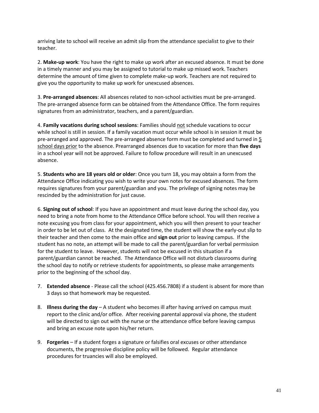arriving late to school will receive an admit slip from the attendance specialist to give to their teacher.

2. **Make-up work**: You have the right to make up work after an excused absence. It must be done in a timely manner and you may be assigned to tutorial to make up missed work. Teachers determine the amount of time given to complete make-up work. Teachers are not required to give you the opportunity to make up work for unexcused absences.

3. **Pre-arranged absences**: All absences related to non-school activities must be pre-arranged. The pre-arranged absence form can be obtained from the Attendance Office. The form requires signatures from an administrator, teachers, and a parent/guardian.

4. **Family vacations during school sessions**: Families should not schedule vacations to occur while school is still in session. If a family vacation must occur while school is in session it must be pre-arranged and approved. The pre-arranged absence form must be completed and turned in 5 school days prior to the absence. Prearranged absences due to vacation for more than **five days** in a school year will not be approved. Failure to follow procedure will result in an unexcused absence.

5. **Students who are 18 years old or older**: Once you turn 18, you may obtain a form from the Attendance Office indicating you wish to write your own notes for excused absences. The form requires signatures from your parent/guardian and you. The privilege of signing notes may be rescinded by the administration for just cause.

6. **Signing out of school**: If you have an appointment and must leave during the school day, you need to bring a note from home to the Attendance Office before school. You will then receive a note excusing you from class for your appointment, which you will then present to your teacher in order to be let out of class. At the designated time, the student will show the early-out slip to their teacher and then come to the main office and **sign out** prior to leaving campus. If the student has no note, an attempt will be made to call the parent/guardian for verbal permission for the student to leave. However, students will not be excused in this situation if a parent/guardian cannot be reached. The Attendance Office will not disturb classrooms during the school day to notify or retrieve students for appointments, so please make arrangements prior to the beginning of the school day.

- 7. **Extended absence** Please call the school (425.456.7808) if a student is absent for more than 3 days so that homework may be requested.
- 8. **Illness during the day** A student who becomes ill after having arrived on campus must report to the clinic and/or office. After receiving parental approval via phone, the student will be directed to sign out with the nurse or the attendance office before leaving campus and bring an excuse note upon his/her return.
- 9. **Forgeries** If a student forges a signature or falsifies oral excuses or other attendance documents, the progressive discipline policy will be followed. Regular attendance procedures for truancies will also be employed.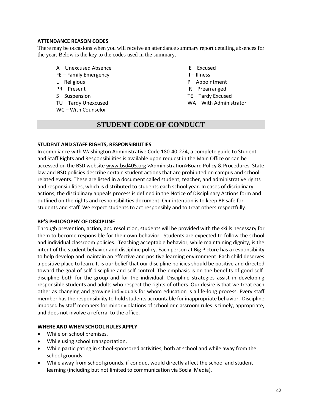# **ATTENDANCE REASON CODES**

There may be occasions when you will receive an attendance summary report detailing absences for the year. Below is the key to the codes used in the summary.

- $A -$ Unexcused Absence  $E -$  Excused FE – Family Emergency **I** – Illness L – Religious **P** – Appointment PR – Present R – Prearranged S – Suspension TE – Tardy Excused TU – Tardy Unexcused WA – With Administrator WC – With Counselor
- 

# **STUDENT CODE OF CONDUCT**

# **STUDENT AND STAFF RIGHTS, RESPONSIBILITIES**

In compliance with Washington Administrative Code 180-40-224, a complete guide to Student and Staff Rights and Responsibilities is available upon request in the Main Office or can be accessed on the BSD website [www.bsd405.org](http://www.bsd405.org/) >Administration>Board Policy & Procedures. State law and BSD policies describe certain student actions that are prohibited on campus and schoolrelated events. These are listed in a document called student, teacher, and administrative rights and responsibilities, which is distributed to students each school year. In cases of disciplinary actions, the disciplinary appeals process is defined in the Notice of Disciplinary Actions form and outlined on the rights and responsibilities document. Our intention is to keep BP safe for students and staff. We expect students to act responsibly and to treat others respectfully.

# **BP'S PHILOSOPHY OF DISCIPLINE**

Through prevention, action, and resolution, students will be provided with the skills necessary for them to become responsible for their own behavior. Students are expected to follow the school and individual classroom policies. Teaching acceptable behavior, while maintaining dignity, is the intent of the student behavior and discipline policy. Each person at Big Picture has a responsibility to help develop and maintain an effective and positive learning environment. Each child deserves a positive place to learn. It is our belief that our discipline policies should be positive and directed toward the goal of self-discipline and self-control. The emphasis is on the benefits of good selfdiscipline both for the group and for the individual. Discipline strategies assist in developing responsible students and adults who respect the rights of others. Our desire is that we treat each other as changing and growing individuals for whom education is a life-long process. Every staff member has the responsibility to hold students accountable for inappropriate behavior. Discipline imposed by staff members for minor violations of school or classroom rules is timely, appropriate, and does not involve a referral to the office.

# **WHERE AND WHEN SCHOOL RULES APPLY**

- While on school premises.
- While using school transportation.
- While participating in school-sponsored activities, both at school and while away from the school grounds.
- While away from school grounds, if conduct would directly affect the school and student learning (including but not limited to communication via Social Media).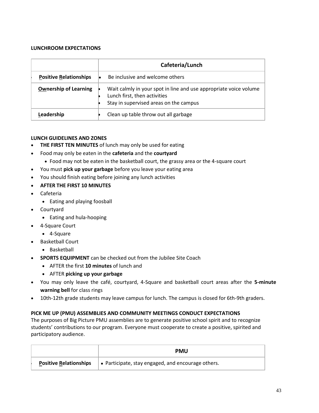# **LUNCHROOM EXPECTATIONS**

|                               | Cafeteria/Lunch                                                                                                                             |
|-------------------------------|---------------------------------------------------------------------------------------------------------------------------------------------|
| <b>Positive Relationships</b> | Be inclusive and welcome others                                                                                                             |
| <b>Ownership of Learning</b>  | Wait calmly in your spot in line and use appropriate voice volume<br>Lunch first, then activities<br>Stay in supervised areas on the campus |
| Leadership                    | Clean up table throw out all garbage                                                                                                        |

# **LUNCH GUIDELINES AND ZONES**

- **THE FIRST TEN MINUTES** of lunch may only be used for eating
- Food may only be eaten in the **cafeteria** and the **courtyard**
	- Food may not be eaten in the basketball court, the grassy area or the 4-square court
- You must **pick up your garbage** before you leave your eating area
- You should finish eating before joining any lunch activities
- **AFTER THE FIRST 10 MINUTES**
- Cafeteria
	- Eating and playing foosball
- Courtyard
	- Eating and hula-hooping
- 4-Square Court
	- 4-Square
- Basketball Court
	- Basketball
- **SPORTS EQUIPMENT** can be checked out from the Jubilee Site Coach
	- AFTER the first **10 minutes** of lunch and
	- AFTER **picking up your garbage**
- You may only leave the café, courtyard, 4-Square and basketball court areas after the **5-minute warning bell** for class rings
- 10th-12th grade students may leave campus for lunch. The campus is closed for 6th-9th graders.

# **PICK ME UP (PMU) ASSEMBLIES AND COMMUNITY MEETINGS CONDUCT EXPECTATIONS**

The purposes of Big Picture PMU assemblies are to generate positive school spirit and to recognize students' contributions to our program. Everyone must cooperate to create a positive, spirited and participatory audience.

|                               | <b>PMU</b>                                                 |
|-------------------------------|------------------------------------------------------------|
| <b>Positive Relationships</b> | $\bullet$ Participate, stay engaged, and encourage others. |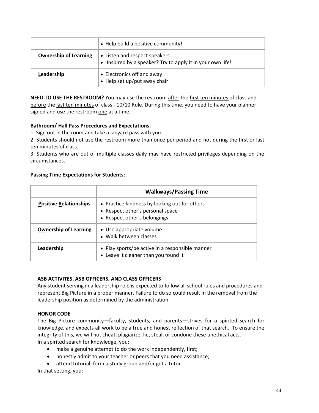|                              | • Help build a positive community!                                                          |
|------------------------------|---------------------------------------------------------------------------------------------|
| <b>Ownership of Learning</b> | • Listen and respect speakers<br>• Inspired by a speaker? Try to apply it in your own life! |
| Leadership                   | • Electronics off and away<br>• Help set up/put away chair                                  |

**NEED TO USE THE RESTROOM?** You may use the restroom after the first ten minutes of class and before the last ten minutes of class - 10/10 Rule. During this time, you need to have your planner signed and use the restroom one at a time**.** 

# **Bathroom/ Hall Pass Procedures and Expectations:**

1. Sign out in the room and take a lanyard pass with you.

2. Students should not use the restroom more than once per period and not during the first or last ten minutes of class.

3. Students who are out of multiple classes daily may have restricted privileges depending on the circumstances.

# **Passing Time Expectations for Students:**

|                               | <b>Walkways/Passing Time</b>                                                                                      |
|-------------------------------|-------------------------------------------------------------------------------------------------------------------|
| <b>Positive Relationships</b> | • Practice kindness by looking out for others<br>• Respect other's personal space<br>• Respect other's belongings |
| <b>Ownership of Learning</b>  | • Use appropriate volume<br>• Walk between classes                                                                |
| Leadership                    | • Play sports/be active in a responsible manner<br>• Leave it cleaner than you found it                           |

# **ASB ACTIVITES, ASB OFFICERS, AND CLASS OFFICERS**

Any student serving in a leadership role is expected to follow all school rules and procedures and represent Big Picture in a proper manner. Failure to do so could result in the removal from the leadership position as determined by the administration.

# **HONOR CODE**

The Big Picture community—faculty, students, and parents—strives for a spirited search for knowledge, and expects all work to be a true and honest reflection of that search. To ensure the integrity of this, we will not cheat, plagiarize, lie, steal, or condone these unethical acts. In a spirited search for knowledge, you:

- make a genuine attempt to do the work independently, first;
- honestly admit to your teacher or peers that you need assistance;
- attend tutorial, form a study group and/or get a tutor.

In that setting, you: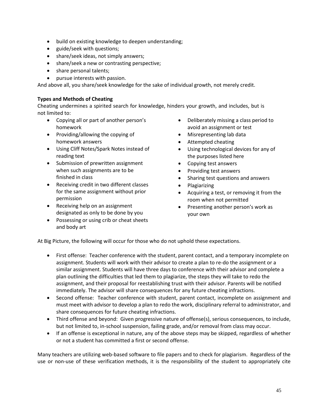- build on existing knowledge to deepen understanding;
- guide/seek with questions;
- share/seek ideas, not simply answers;
- share/seek a new or contrasting perspective;
- share personal talents;
- pursue interests with passion.

And above all, you share/seek knowledge for the sake of individual growth, not merely credit.

# **Types and Methods of Cheating**

Cheating undermines a spirited search for knowledge, hinders your growth, and includes, but is not limited to:

- Copying all or part of another person's homework
- Providing/allowing the copying of homework answers
- Using Cliff Notes/Spark Notes instead of reading text
- Submission of prewritten assignment when such assignments are to be finished in class
- Receiving credit in two different classes for the same assignment without prior permission
- Receiving help on an assignment designated as only to be done by you
- Possessing or using crib or cheat sheets and body art
- Deliberately missing a class period to avoid an assignment or test
- Misrepresenting lab data
- Attempted cheating
- Using technological devices for any of the purposes listed here
- Copying test answers
- Providing test answers
- Sharing test questions and answers
- Plagiarizing
- Acquiring a test, or removing it from the room when not permitted
- Presenting another person's work as your own

At Big Picture, the following will occur for those who do not uphold these expectations.

- First offense: Teacher conference with the student, parent contact, and a temporary incomplete on assignment. Students will work with their advisor to create a plan to re-do the assignment or a similar assignment. Students will have three days to conference with their advisor and complete a plan outlining the difficulties that led them to plagiarize, the steps they will take to redo the assignment, and their proposal for reestablishing trust with their advisor. Parents will be notified immediately. The advisor will share consequences for any future cheating infractions.
- Second offense: Teacher conference with student, parent contact, incomplete on assignment and must meet with advisor to develop a plan to redo the work, disciplinary referral to administrator, and share consequences for future cheating infractions.
- Third offense and beyond: Given progressive nature of offense(s), serious consequences, to include, but not limited to, in-school suspension, failing grade, and/or removal from class may occur.
- If an offense is exceptional in nature, any of the above steps may be skipped, regardless of whether or not a student has committed a first or second offense.

Many teachers are utilizing web-based software to file papers and to check for plagiarism. Regardless of the use or non-use of these verification methods, it is the responsibility of the student to appropriately cite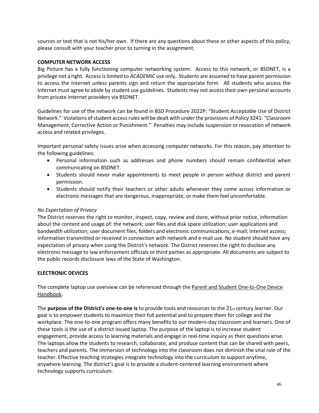sources or text that is not his/her own. If there are any questions about these or other aspects of this policy, please consult with your teacher prior to turning in the assignment.

### **COMPUTER NETWORK ACCESS**

Big Picture has a fully functioning computer networking system. Access to this network, or BSDNET, is a privilege not a right. Access is limited to *ACADEMIC* use only. Students are assumed to have parent permission to access the Internet unless parents sign and return the appropriate form. All students who access the Internet must agree to abide by student use guidelines. Students may not access their own personal accounts from private Internet providers via BSDNET.

Guidelines for use of the network can be found in BSD Procedure 2022P: "Student Acceptable Use of District Network." Violations of student access rules will be dealt with under the provisions of Policy 3241: "Classroom Management, Corrective Action or Punishment." Penalties may include suspension or revocation of network access and related privileges.

Important personal safety issues arise when accessing computer networks. For this reason, pay attention to the following guidelines:

- Personal information such as addresses and phone numbers should remain confidential when communicating on BSDNET.
- Students should never make appointments to meet people in person without district and parent permission.
- Students should notify their teachers or other adults whenever they come across information or electronic messages that are dangerous, inappropriate, or make them feel uncomfortable.

# *No Expectation of Privacy*

The District reserves the right to monitor, inspect, copy, review and store, without prior notice, information about the content and usage of: the network; user files and disk space utilization; user applications and bandwidth utilization; user document files, folders and electronic communications; e-mail; internet access; information transmitted or received in connection with network and e-mail use. No student should have any expectation of privacy when using the District's network. The District reserves the right to disclose any electronic message to law enforcement officials or third parties as appropriate. All documents are subject to the public records disclosure laws of the State of Washington.

# **ELECTRONIC DEVICES**

The complete laptop use overview can be referenced through the [Parent and Student One-to-One Device](https://bsd405.sharepoint.com/:b:/s/tech/EUMrpkZZqbVDpt5OaAyQ9loBoVJN2NtfSGh2zbAVW8EKOA.)  [Handbook.](https://bsd405.sharepoint.com/:b:/s/tech/EUMrpkZZqbVDpt5OaAyQ9loBoVJN2NtfSGh2zbAVW8EKOA.)

The **purpose of the District's one-to-one is** to provide tools and resources to the 21st century learner. Our goal is to empower students to maximize their full potential and to prepare them for college and the workplace. The one-to-one program offers many benefits to our modern-day classroom and learners. One of these tools is the use of a district issued laptop. The purpose of the laptop is to increase student engagement, provide access to learning materials and engage in real-time inquiry as their questions arise. The laptops allow the students to research, collaborate, and produce content that can be shared with peers, teachers and parents. The immersion of technology into the classroom does not diminish the vital role of the teacher. Effective teaching strategies integrate technology into the curriculum to support anytime, anywhere learning. The district's goal is to provide a student-centered learning environment where technology supports curriculum.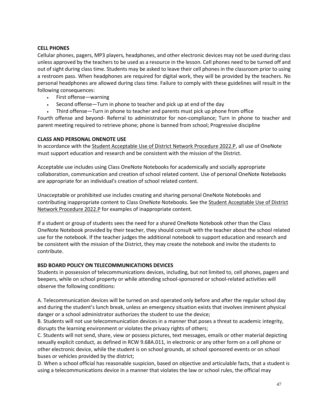# **CELL PHONES**

Cellular phones, pagers, MP3 players, headphones, and other electronic devices may not be used during class unless approved by the teachers to be used as a resource in the lesson. Cell phones need to be turned off and out of sight during class time. Students may be asked to leave their cell phones in the classroom prior to using a restroom pass. When headphones are required for digital work, they will be provided by the teachers. No personal headphones are allowed during class time. Failure to comply with these guidelines will result in the following consequences:

- First offense—warning
- Second offense—Turn in phone to teacher and pick up at end of the day
- Third offense—Turn in phone to teacher and parents must pick up phone from office

Fourth offense and beyond- Referral to administrator for non-compliance; Turn in phone to teacher and parent meeting required to retrieve phone; phone is banned from school; Progressive discipline

### **CLASS AND PERSONAL ONENOTE USE**

In accordance with th[e Student Acceptable Use of District Network Procedure 2022.P,](http://www.bsd405.org/wp-content/pdf/policy/2022P.pdf) all use of OneNote must support education and research and be consistent with the mission of the District.

Acceptable use includes using Class OneNote Notebooks for academically and socially appropriate collaboration, communication and creation of school related content. Use of personal OneNote Notebooks are appropriate for an individual's creation of school related content.

Unacceptable or prohibited use includes creating and sharing personal OneNote Notebooks and contributing inappropriate content to Class OneNote Notebooks. See th[e Student Acceptable Use of District](http://www.bsd405.org/wp-content/pdf/policy/2022P.pdf)  [Network Procedure 2022.P](http://www.bsd405.org/wp-content/pdf/policy/2022P.pdf) for examples of inappropriate content.

If a student or group of students sees the need for a shared OneNote Notebook other than the Class OneNote Notebook provided by their teacher, they should consult with the teacher about the school related use for the notebook. If the teacher judges the additional notebook to support education and research and be consistent with the mission of the District, they may create the notebook and invite the students to contribute.

# **BSD BOARD POLICY ON TELECOMMUNICATIONS DEVICES**

Students in possession of telecommunications devices, including, but not limited to, cell phones, pagers and beepers, while on school property or while attending school-sponsored or school-related activities will observe the following conditions:

A. Telecommunication devices will be turned on and operated only before and after the regular school day and during the student's lunch break, unless an emergency situation exists that involves imminent physical danger or a school administrator authorizes the student to use the device;

B. Students will not use telecommunication devices in a manner that poses a threat to academic integrity, disrupts the learning environment or violates the privacy rights of others;

C. Students will not send, share, view or possess pictures, text messages, emails or other material depicting sexually explicit conduct, as defined in RCW 9.68A.011, in electronic or any other form on a cell phone or other electronic device, while the student is on school grounds, at school sponsored events or on school buses or vehicles provided by the district;

D. When a school official has reasonable suspicion, based on objective and articulable facts, that a student is using a telecommunications device in a manner that violates the law or school rules, the official may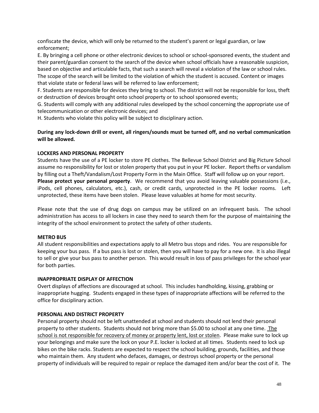confiscate the device, which will only be returned to the student's parent or legal guardian, or law enforcement;

E. By bringing a cell phone or other electronic devices to school or school-sponsored events, the student and their parent/guardian consent to the search of the device when school officials have a reasonable suspicion, based on objective and articulable facts, that such a search will reveal a violation of the law or school rules. The scope of the search will be limited to the violation of which the student is accused. Content or images that violate state or federal laws will be referred to law enforcement;

F. Students are responsible for devices they bring to school. The district will not be responsible for loss, theft or destruction of devices brought onto school property or to school sponsored events;

G. Students will comply with any additional rules developed by the school concerning the appropriate use of telecommunication or other electronic devices; and

H. Students who violate this policy will be subject to disciplinary action.

# **During any lock-down drill or event, all ringers/sounds must be turned off, and no verbal communication will be allowed.**

# **LOCKERS AND PERSONAL PROPERTY**

Students have the use of a PE locker to store PE clothes. The Bellevue School District and Big Picture School assume no responsibility for lost or stolen property that you put in your PE locker. Report thefts or vandalism by filling out a Theft/Vandalism/Lost Property Form in the Main Office. Staff will follow up on your report. **Please protect your personal property**.We recommend that you avoid leaving valuable possessions (i.e., iPods, cell phones, calculators, etc.), cash, or credit cards, unprotected in the PE locker rooms. Left unprotected, these items have been stolen. Please leave valuables at home for most security.

Please note that the use of drug dogs on campus may be utilized on an infrequent basis. The school administration has access to all lockers in case they need to search them for the purpose of maintaining the integrity of the school environment to protect the safety of other students.

# **METRO BUS**

All student responsibilities and expectations apply to all Metro bus stops and rides. You are responsible for keeping your bus pass. If a bus pass is lost or stolen, then you will have to pay for a new one. It is also illegal to sell or give your bus pass to another person. This would result in loss of pass privileges for the school year for both parties.

# **INAPPROPRIATE DISPLAY OF AFFECTION**

Overt displays of affections are discouraged at school. This includes handholding, kissing, grabbing or inappropriate hugging. Students engaged in these types of inappropriate affections will be referred to the office for disciplinary action.

# **PERSONAL AND DISTRICT PROPERTY**

Personal property should not be left unattended at school and students should not lend their personal property to other students. Students should not bring more than \$5.00 to school at any one time. The school is not responsible for recovery of money or property lent, lost or stolen. Please make sure to lock up your belongings and make sure the lock on your P.E. locker is locked at all times. Students need to lock up bikes on the bike racks. Students are expected to respect the school building, grounds, facilities, and those who maintain them. Any student who defaces, damages, or destroys school property or the personal property of individuals will be required to repair or replace the damaged item and/or bear the cost of it. The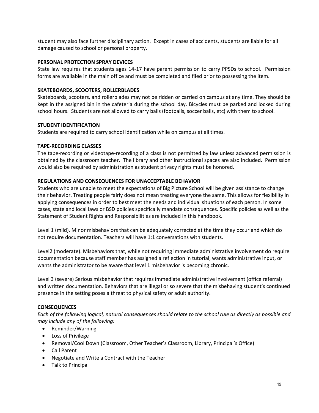student may also face further disciplinary action. Except in cases of accidents, students are liable for all damage caused to school or personal property.

# **PERSONAL PROTECTION SPRAY DEVICES**

State law requires that students ages 14-17 have parent permission to carry PPSDs to school. Permission forms are available in the main office and must be completed and filed prior to possessing the item.

# **SKATEBOARDS, SCOOTERS, ROLLERBLADES**

Skateboards, scooters, and rollerblades may not be ridden or carried on campus at any time. They should be kept in the assigned bin in the cafeteria during the school day. Bicycles must be parked and locked during school hours. Students are not allowed to carry balls (footballs, soccer balls, etc) with them to school.

# **STUDENT IDENTIFICATION**

Students are required to carry school identification while on campus at all times.

# **TAPE-RECORDING CLASSES**

The tape-recording or videotape-recording of a class is not permitted by law unless advanced permission is obtained by the classroom teacher. The library and other instructional spaces are also included. Permission would also be required by administration as student privacy rights must be honored.

# **REGULATIONS AND CONSEQUENCES FOR UNACCEPTABLE BEHAVIOR**

Students who are unable to meet the expectations of Big Picture School will be given assistance to change their behavior. Treating people fairly does not mean treating everyone the same. This allows for flexibility in applying consequences in order to best meet the needs and individual situations of each person. In some cases, state and local laws or BSD policies specifically mandate consequences. Specific policies as well as the Statement of Student Rights and Responsibilities are included in this handbook.

Level 1 (mild). Minor misbehaviors that can be adequately corrected at the time they occur and which do not require documentation. Teachers will have 1:1 conversations with students.

Level2 (moderate). Misbehaviors that, while not requiring immediate administrative involvement do require documentation because staff member has assigned a reflection in tutorial, wants administrative input, or wants the administrator to be aware that level 1 misbehavior is becoming chronic.

Level 3 (severe) Serious misbehavior that requires immediate administrative involvement (office referral) and written documentation. Behaviors that are illegal or so severe that the misbehaving student's continued presence in the setting poses a threat to physical safety or adult authority.

# **CONSEQUENCES**

*Each of the following logical, natural consequences should relate to the school rule as directly as possible and may include any of the following:*

- Reminder/Warning
- Loss of Privilege
- Removal/Cool Down (Classroom, Other Teacher's Classroom, Library, Principal's Office)
- Call Parent
- Negotiate and Write a Contract with the Teacher
- Talk to Principal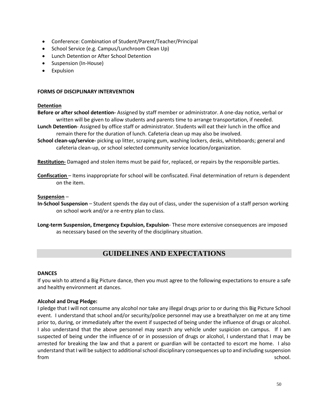- Conference: Combination of Student/Parent/Teacher/Principal
- School Service (e.g. Campus/Lunchroom Clean Up)
- Lunch Detention or After School Detention
- Suspension (In-House)
- **Expulsion**

# **FORMS OF DISCIPLINARY INTERVENTION**

### **Detention**

- **Before or after school detention-** Assigned by staff member or administrator. A one-day notice, verbal or written will be given to allow students and parents time to arrange transportation, if needed.
- **Lunch Detention** Assigned by office staff or administrator. Students will eat their lunch in the office and remain there for the duration of lunch. Cafeteria clean up may also be involved.
- **School clean-up/service-** picking up litter, scraping gum, washing lockers, desks, whiteboards; general and cafeteria clean-up, or school selected community service location/organization.

**Restitution-** Damaged and stolen items must be paid for, replaced, or repairs by the responsible parties.

**Confiscation** – Items inappropriate for school will be confiscated. Final determination of return is dependent on the item.

# **Suspension** –

- **In-School Suspension** Student spends the day out of class, under the supervision of a staff person working on school work and/or a re-entry plan to class.
- **Long-term Suspension, Emergency Expulsion, Expulsion** These more extensive consequences are imposed as necessary based on the severity of the disciplinary situation.

# **GUIDELINES AND EXPECTATIONS**

# **DANCES**

If you wish to attend a Big Picture dance, then you must agree to the following expectations to ensure a safe and healthy environment at dances.

# **Alcohol and Drug Pledge:**

I pledge that I will not consume any alcohol nor take any illegal drugs prior to or during this Big Picture School event. I understand that school and/or security/police personnel may use a breathalyzer on me at any time prior to, during, or immediately after the event if suspected of being under the influence of drugs or alcohol. I also understand that the above personnel may search any vehicle under suspicion on campus. If I am suspected of being under the influence of or in possession of drugs or alcohol, I understand that I may be arrested for breaking the law and that a parent or guardian will be contacted to escort me home. I also understand that I will be subject to additional school disciplinary consequences up to and including suspension from school. The state of the state of the state of the state of the state of the state of the state of the state of the state of the state of the state of the state of the state of the state of the state of the state of t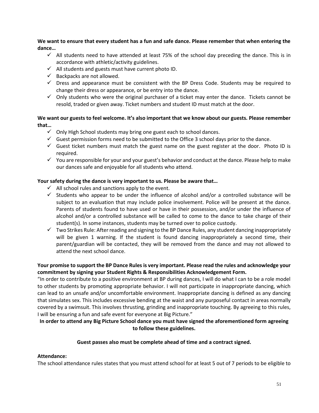**We want to ensure that every student has a fun and safe dance. Please remember that when entering the dance…**

- $\checkmark$  All students need to have attended at least 75% of the school day preceding the dance. This is in accordance with athletic/activity guidelines.
- $\checkmark$  All students and guests must have current photo ID.
- $\checkmark$  Backpacks are not allowed.
- $\checkmark$  Dress and appearance must be consistent with the BP Dress Code. Students may be required to change their dress or appearance, or be entry into the dance.
- $\checkmark$  Only students who were the original purchaser of a ticket may enter the dance. Tickets cannot be resold, traded or given away. Ticket numbers and student ID must match at the door.

# **We want our guests to feel welcome. It's also important that we know about our guests. Please remember that…**

- $\checkmark$  Only High School students may bring one guest each to school dances.
- $\checkmark$  Guest permission forms need to be submitted to the Office 3 school days prior to the dance.
- $\checkmark$  Guest ticket numbers must match the guest name on the guest register at the door. Photo ID is required.
- $\checkmark$  You are responsible for your and your guest's behavior and conduct at the dance. Please help to make our dances safe and enjoyable for all students who attend.

# **Your safety during the dance is very important to us. Please be aware that…**

- $\checkmark$  All school rules and sanctions apply to the event.
- $\checkmark$  Students who appear to be under the influence of alcohol and/or a controlled substance will be subject to an evaluation that may include police involvement. Police will be present at the dance. Parents of students found to have used or have in their possession, and/or under the influence of alcohol and/or a controlled substance will be called to come to the dance to take charge of their student(s). In some instances, students may be turned over to police custody.
- $\checkmark$  Two Strikes Rule: After reading and signing to the BP Dance Rules, any student dancing inappropriately will be given 1 warning. If the student is found dancing inappropriately a second time, their parent/guardian will be contacted, they will be removed from the dance and may not allowed to attend the next school dance.

# **Your promise to support the BP Dance Rules is very important. Please read the rules and acknowledge your commitment by signing your Student Rights & Responsibilities Acknowledgement Form.**

"In order to contribute to a positive environment at BP during dances, I will do what I can to be a role model to other students by promoting appropriate behavior. I will not participate in inappropriate dancing, which can lead to an unsafe and/or uncomfortable environment. Inappropriate dancing is defined as any dancing that simulates sex. This includes excessive bending at the waist and any purposeful contact in areas normally covered by a swimsuit. This involves thrusting, grinding and inappropriate touching. By agreeing to this rules, I will be ensuring a fun and safe event for everyone at Big Picture."

# **In order to attend any Big Picture School dance you must have signed the aforementioned form agreeing to follow these guidelines.**

# **Guest passes also must be complete ahead of time and a contract signed.**

# **Attendance:**

The school attendance rules states that you must attend school for at least 5 out of 7 periods to be eligible to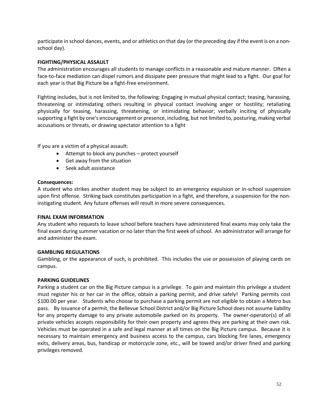participate in school dances, events, and or athletics on that day (or the preceding day if the event is on a nonschool day).

### **FIGHTING/PHYSICAL ASSAULT**

The administration encourages all students to manage conflicts in a reasonable and mature manner. Often a face-to-face mediation can dispel rumors and dissipate peer pressure that might lead to a fight. Our goal for each year is that Big Picture be a fight-free environment.

Fighting includes, but is not limited to, the following: Engaging in mutual physical contact; teasing, harassing, threatening or intimidating others resulting in physical contact involving anger or hostility; retaliating physically for teasing, harassing, threatening, or intimidating behavior; verbally inciting of physically supporting a fight by one's encouragement or presence, including, but not limited to, posturing, making verbal accusations or threats, or drawing spectator attention to a fight

If you are a victim of a physical assault:

- Attempt to block any punches protect yourself
- Get away from the situation
- Seek adult assistance

### **Consequences:**

A student who strikes another student may be subject to an emergency expulsion or in-school suspension upon first offense. Striking back constitutes participation in a fight, and therefore, a suspension for the noninstigating student. Any future offenses will result in more severe consequences.

#### **FINAL EXAM INFORMATION**

Any student who requests to leave school before teachers have administered final exams may only take the final exam during summer vacation or no later than the first week of school. An administrator will arrange for and administer the exam.

# **GAMBLING REGULATIONS**

Gambling, or the appearance of such, is prohibited. This includes the use or possession of playing cards on campus.

# **PARKING GUIDELINES**

Parking a student car on the Big Picture campus is a privilege. To gain and maintain this privilege a student must register his or her car in the office, obtain a parking permit, and drive safely! Parking permits cost \$100.00 per year. Students who choose to purchase a parking permit are not eligible to obtain a Metro bus pass. By issuance of a permit, the Bellevue School District and/or Big Picture School does not assume liability for any property damage to any private automobile parked on its property. The owner-operator(s) of all private vehicles accepts responsibility for their own property and agrees they are parking at their own risk. Vehicles must be operated in a safe and legal manner at all times on the Big Picture campus. Because it is necessary to maintain emergency and business access to the campus, cars blocking fire lanes, emergency exits, delivery areas, bus, handicap or motorcycle zone, etc., will be towed and/or driver fined and parking privileges removed.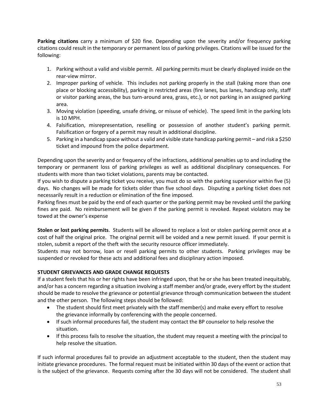**Parking citations** carry a minimum of \$20 fine. Depending upon the severity and/or frequency parking citations could result in the temporary or permanent loss of parking privileges. Citations will be issued for the following:

- 1. Parking without a valid and visible permit. All parking permits must be clearly displayed inside on the rear-view mirror.
- 2. Improper parking of vehicle. This includes not parking properly in the stall (taking more than one place or blocking accessibility), parking in restricted areas (fire lanes, bus lanes, handicap only, staff or visitor parking areas, the bus turn-around area, grass, etc.), or not parking in an assigned parking area.
- 3. Moving violation (speeding, unsafe driving, or misuse of vehicle). The speed limit in the parking lots is 10 MPH.
- 4. Falsification, misrepresentation, reselling or possession of another student's parking permit. Falsification or forgery of a permit may result in additional discipline.
- 5. Parking in a handicap space without a valid and visible state handicap parking permit and risk a \$250 ticket and impound from the police department.

Depending upon the severity and or frequency of the infractions, additional penalties up to and including the temporary or permanent loss of parking privileges as well as additional disciplinary consequences. For students with more than two ticket violations, parents may be contacted.

If you wish to dispute a parking ticket you receive, you must do so with the parking supervisor within five (5) days. No changes will be made for tickets older than five school days. Disputing a parking ticket does not necessarily result in a reduction or elimination of the fine imposed.

Parking fines must be paid by the end of each quarter or the parking permit may be revoked until the parking fines are paid. No reimbursement will be given if the parking permit is revoked. Repeat violators may be towed at the owner's expense

**Stolen or lost parking permits**. Students will be allowed to replace a lost or stolen parking permit once at a cost of half the original price. The original permit will be voided and a new permit issued. If your permit is stolen, submit a report of the theft with the security resource officer immediately.

Students may not borrow, loan or resell parking permits to other students. Parking privileges may be suspended or revoked for these acts and additional fees and disciplinary action imposed.

# **STUDENT GRIEVANCES AND GRADE CHANGE REQUESTS**

If a student feels that his or her rights have been infringed upon, that he or she has been treated inequitably, and/or has a concern regarding a situation involving a staff member and/or grade, every effort by the student should be made to resolve the grievance or potential grievance through communication between the student and the other person. The following steps should be followed:

- The student should first meet privately with the staff member(s) and make every effort to resolve the grievance informally by conferencing with the people concerned.
- If such informal procedures fail, the student may contact the BP counselor to help resolve the situation.
- If this process fails to resolve the situation, the student may request a meeting with the principal to help resolve the situation.

If such informal procedures fail to provide an adjustment acceptable to the student, then the student may initiate grievance procedures. The formal request must be initiated within 30 days of the event or action that is the subject of the grievance. Requests coming after the 30 days will not be considered. The student shall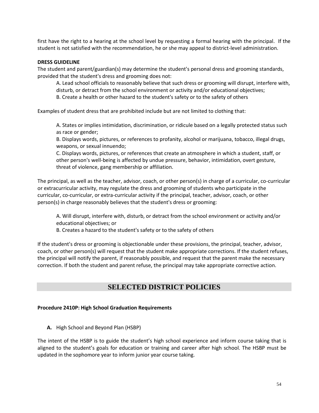first have the right to a hearing at the school level by requesting a formal hearing with the principal. If the student is not satisfied with the recommendation, he or she may appeal to district-level administration.

### **DRESS GUIDELINE**

The student and parent/guardian(s) may determine the student's personal dress and grooming standards, provided that the student's dress and grooming does not:

A. Lead school officials to reasonably believe that such dress or grooming will disrupt, interfere with, disturb, or detract from the school environment or activity and/or educational objectives;

B. Create a health or other hazard to the student's safety or to the safety of others

Examples of student dress that are prohibited include but are not limited to clothing that:

A. States or implies intimidation, discrimination, or ridicule based on a legally protected status such as race or gender;

B. Displays words, pictures, or references to profanity, alcohol or marijuana, tobacco, illegal drugs, weapons, or sexual innuendo;

C. Displays words, pictures, or references that create an atmosphere in which a student, staff, or other person's well-being is affected by undue pressure, behavior, intimidation, overt gesture, threat of violence, gang membership or affiliation.

The principal, as well as the teacher, advisor, coach, or other person(s) in charge of a curricular, co-curricular or extracurricular activity, may regulate the dress and grooming of students who participate in the curricular, co-curricular, or extra-curricular activity if the principal, teacher, advisor, coach, or other person(s) in charge reasonably believes that the student's dress or grooming:

A. Will disrupt, interfere with, disturb, or detract from the school environment or activity and/or educational objectives; or

B. Creates a hazard to the student's safety or to the safety of others

If the student's dress or grooming is objectionable under these provisions, the principal, teacher, advisor, coach, or other person(s) will request that the student make appropriate corrections. If the student refuses, the principal will notify the parent, if reasonably possible, and request that the parent make the necessary correction. If both the student and parent refuse, the principal may take appropriate corrective action.

# **SELECTED DISTRICT POLICIES**

# **Procedure 2410P: High School Graduation Requirements**

**A.** High School and Beyond Plan (HSBP)

The intent of the HSBP is to guide the student's high school experience and inform course taking that is aligned to the student's goals for education or training and career after high school. The HSBP must be updated in the sophomore year to inform junior year course taking.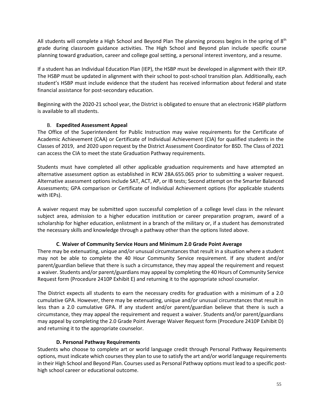All students will complete a High School and Beyond Plan The planning process begins in the spring of  $8<sup>th</sup>$ grade during classroom guidance activities. The High School and Beyond plan include specific course planning toward graduation, career and college goal setting, a personal interest inventory, and a resume.

If a student has an Individual Education Plan (IEP), the HSBP must be developed in alignment with their IEP. The HSBP must be updated in alignment with their school to post-school transition plan. Additionally, each student's HSBP must include evidence that the student has received information about federal and state financial assistance for post-secondary education.

Beginning with the 2020-21 school year, the District is obligated to ensure that an electronic HSBP platform is available to all students.

# B. **Expedited Assessment Appeal**

The Office of the Superintendent for Public Instruction may waive requirements for the Certificate of Academic Achievement (CAA) or Certificate of Individual Achievement (CIA) for qualified students in the Classes of 2019, and 2020 upon request by the District Assessment Coordinator for BSD. The Class of 2021 can access the CIA to meet the state Graduation Pathway requirements.

Students must have completed all other applicable graduation requirements and have attempted an alternative assessment option as established in RCW 28A.655.065 prior to submitting a waiver request. Alternative assessment options include SAT, ACT, AP, or IB tests; Second attempt on the Smarter Balanced Assessments; GPA comparison or Certificate of Individual Achievement options (for applicable students with IEPs).

A waiver request may be submitted upon successful completion of a college level class in the relevant subject area, admission to a higher education institution or career preparation program, award of a scholarship for higher education, enlistment in a branch of the military or, if a student has demonstrated the necessary skills and knowledge through a pathway other than the options listed above.

# **C**. **Waiver of Community Service Hours and Minimum 2.0 Grade Point Average**

There may be extenuating, unique and/or unusual circumstances that result in a situation where a student may not be able to complete the 40 Hour Community Service requirement. If any student and/or parent/guardian believe that there is such a circumstance, they may appeal the requirement and request a waiver. Students and/or parent/guardians may appeal by completing the 40 Hours of Community Service Request form (Procedure 2410P Exhibit E) and returning it to the appropriate school counselor.

The District expects all students to earn the necessary credits for graduation with a minimum of a 2.0 cumulative GPA. However, there may be extenuating, unique and/or unusual circumstances that result in less than a 2.0 cumulative GPA. If any student and/or parent/guardian believe that there is such a circumstance, they may appeal the requirement and request a waiver. Students and/or parent/guardians may appeal by completing the 2.0 Grade Point Average Waiver Request form (Procedure 2410P Exhibit D) and returning it to the appropriate counselor.

# **D. Personal Pathway Requirements**

Students who choose to complete art or world language credit through Personal Pathway Requirements options, must indicate which courses they plan to use to satisfy the art and/or world language requirements in their High School and Beyond Plan. Courses used as Personal Pathway options must lead to a specific posthigh school career or educational outcome.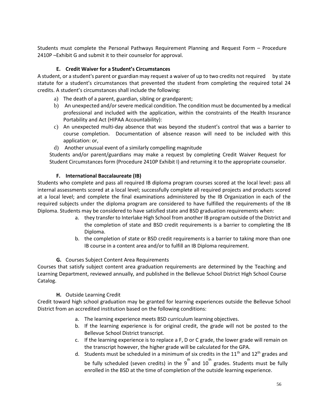Students must complete the Personal Pathways Requirement Planning and Request Form – Procedure 2410P –Exhibit G and submit it to their counselor for approval.

# **E. Credit Waiver for a Student's Circumstances**

A student, or a student's parent or guardian may request a waiver of up to two credits not required by state statute for a student's circumstances that prevented the student from completing the required total 24 credits. A student's circumstances shall include the following:

- a) The death of a parent, guardian, sibling or grandparent;
- b) An unexpected and/or severe medical condition. The condition must be documented by a medical professional and included with the application, within the constraints of the Health Insurance Portability and Act (HIPAA Accountability):
- c) An unexpected multi-day absence that was beyond the student's control that was a barrier to course completion. Documentation of absence reason will need to be included with this application: or,
- d) Another unusual event of a similarly compelling magnitude

Students and/or parent/guardians may make a request by completing Credit Waiver Request for Student Circumstances form (Procedure 2410P Exhibit I) and returning it to the appropriate counselor.

# **F. International Baccalaureate (IB)**

Students who complete and pass all required IB diploma program courses scored at the local level: pass all internal assessments scored at a local level; successfully complete all required projects and products scored at a local level; and complete the final examinations administered by the IB Organization in each of the required subjects under the diploma program are considered to have fulfilled the requirements of the IB Diploma. Students may be considered to have satisfied state and BSD graduation requirements when:

- a. they transfer to Interlake High School from another IB program outside of the District and the completion of state and BSD credit requirements is a barrier to completing the IB Diploma.
- b. the completion of state or BSD credit requirements is a barrier to taking more than one IB course in a content area and/or to fulfill an IB Diploma requirement.

# **G.** Courses Subject Content Area Requirements

Courses that satisfy subject content area graduation requirements are determined by the Teaching and Learning Department, reviewed annually, and published in the Bellevue School District High School Course Catalog.

# **H.** Outside Learning Credit

Credit toward high school graduation may be granted for learning experiences outside the Bellevue School District from an accredited institution based on the following conditions:

- a. The learning experience meets BSD curriculum learning objectives.
- b. If the learning experience is for original credit, the grade will not be posted to the Bellevue School District transcript.
- c. If the learning experience is to replace a F, D or C grade, the lower grade will remain on the transcript however, the higher grade will be calculated for the GPA.
- d. Students must be scheduled in a minimum of six credits in the  $11<sup>th</sup>$  and  $12<sup>th</sup>$  grades and be fully scheduled (seven credits) in the 9<sup>th</sup> and 10<sup>th</sup> grades. Students must be fully enrolled in the BSD at the time of completion of the outside learning experience.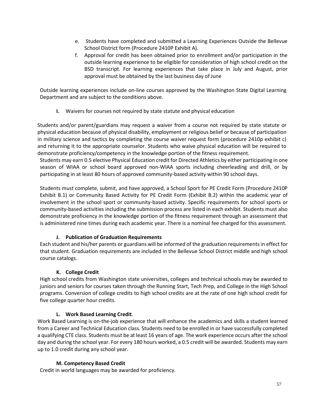- e. Students have completed and submitted a Learning Experiences Outside the Bellevue School District form (Procedure 2410P Exhibit A).
- f. Approval for credit has been obtained prior to enrollment and/or participation in the outside learning experience to be eligible for consideration of high school credit on the BSD transcript. For learning experiences that take place in July and August, prior approval must be obtained by the last business day of June

Outside learning experiences include on-line courses approved by the Washington State Digital Learning Department and are subject to the conditions above.

**I.** Waivers for courses not required by state statute and physical education

Students and/or parent/guardians may request a waiver from a course not required by state statute or physical education because of physical disability, employment or religious belief or because of participation in military science and tactics by completing the course waiver request form (procedure 2410p exhibit c) and returning it to the appropriate counselor. Students who waive physical education will be required to demonstrate proficiency/competency in the knowledge portion of the fitness requirement.

Students may earn 0.5 elective Physical Education credit for Directed Athletics by either participating in one season of WIAA or school board approved non-WIAA sports including cheerleading and drill, or by participating in at least 80 hours of approved community-based activity within 90 school days.

Students must complete, submit, and have approved, a School Sport for PE Credit Form (Procedure 2410P Exhibit B.1) or Community Based Activity for PE Credit Form (Exhibit B.2) within the academic year of involvement in the school sport or community-based activity. Specific requirements for school sports or community-based activities including the submission process are listed in each exhibit. Students must also demonstrate proficiency in the knowledge portion of the fitness requirement through an assessment that is administered nine times during each academic year. There is a nominal fee charged for this assessment.

# **J. Publication of Graduation Requirements**

Each student and his/her parents or guardians will be informed of the graduation requirements in effect for that student. Graduation requirements are included in the Bellevue School District middle and high school course catalogs.

# **K. College Credit**

High school credits from Washington state universities, colleges and technical schools may be awarded to juniors and seniors for courses taken through the Running Start, Tech Prep, and College in the High School programs. Conversion of college credits to high school credits are at the rate of one high school credit for five college quarter hour credits.

# **L. Work Based Learning Credit**.

Work Based Learning is on-the-job experience that will enhance the academics and skills a student learned from a Career and Technical Education class. Students need to be enrolled in or have successfully completed a qualifying CTE class. Students must be at least 16 years of age. The work experience occurs after the school day and during the school year. For every 180 hours worked, a 0.5 credit will be awarded. Students may earn up to 1.0 credit during any school year.

# **M. Competency Based Credit**

Credit in world languages may be awarded for proficiency.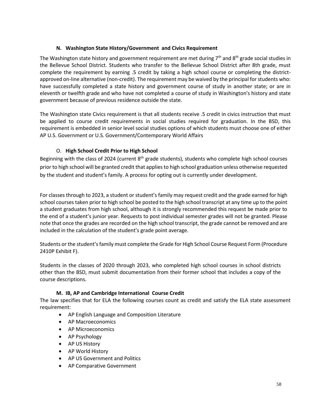# **N. Washington State History/Government and Civics Requirement**

The Washington state history and government requirement are met during  $7<sup>th</sup>$  and  $8<sup>th</sup>$  grade social studies in the Bellevue School District. Students who transfer to the Bellevue School District after 8th grade, must complete the requirement by earning .5 credit by taking a high school course or completing the districtapproved on-line alternative (non-credit). The requirement may be waived by the principal for students who: have successfully completed a state history and government course of study in another state; or are in eleventh or twelfth grade and who have not completed a course of study in Washington's history and state government because of previous residence outside the state.

The Washington state Civics requirement is that all students receive .5 credit in civics instruction that must be applied to course credit requirements in social studies required for graduation. In the BSD, this requirement is embedded in senior level social studies options of which students must choose one of either AP U.S. Government or U.S. Government/Contemporary World Affairs

# O. **High School Credit Prior to High School**

Beginning with the class of 2024 (current  $8<sup>th</sup>$  grade students), students who complete high school courses prior to high school will be granted credit that applies to high school graduation unless otherwise requested by the student and student's family. A process for opting out is currently under development.

For classes through to 2023, a student or student's family may request credit and the grade earned for high school courses taken prior to high school be posted to the high school transcript at any time up to the point a student graduates from high school, although it is strongly recommended this request be made prior to the end of a student's junior year. Requests to post individual semester grades will not be granted. Please note that once the grades are recorded on the high school transcript, the grade cannot be removed and are included in the calculation of the student's grade point average.

Students or the student's family must complete the Grade for High School Course Request Form (Procedure 2410P Exhibit F).

Students in the classes of 2020 through 2023, who completed high school courses in school districts other than the BSD, must submit documentation from their former school that includes a copy of the course descriptions.

# **M. IB, AP and Cambridge International Course Credit**

The law specifies that for ELA the following courses count as credit and satisfy the ELA state assessment requirement:

- AP English Language and Composition Literature
- AP Macroeconomics
- AP Microeconomics
- AP Psychology
- AP US History
- AP World History
- AP US Government and Politics
- AP Comparative Government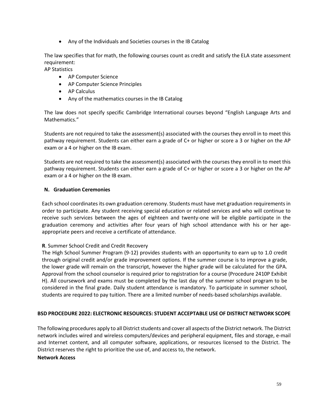• Any of the Individuals and Societies courses in the IB Catalog

The law specifies that for math, the following courses count as credit and satisfy the ELA state assessment requirement:

AP Statistics

- AP Computer Science
- AP Computer Science Principles
- AP Calculus
- Any of the mathematics courses in the IB Catalog

The law does not specify specific Cambridge International courses beyond "English Language Arts and Mathematics."

Students are not required to take the assessment(s) associated with the courses they enroll in to meet this pathway requirement. Students can either earn a grade of C+ or higher or score a 3 or higher on the AP exam or a 4 or higher on the IB exam.

Students are not required to take the assessment(s) associated with the courses they enroll in to meet this pathway requirement. Students can either earn a grade of C+ or higher or score a 3 or higher on the AP exam or a 4 or higher on the IB exam.

# **N. Graduation Ceremonies**

Each school coordinates its own graduation ceremony. Students must have met graduation requirements in order to participate. Any student receiving special education or related services and who will continue to receive such services between the ages of eighteen and twenty-one will be eligible participate in the graduation ceremony and activities after four years of high school attendance with his or her ageappropriate peers and receive a certificate of attendance.

# **R**. Summer School Credit and Credit Recovery

The High School Summer Program (9-12) provides students with an opportunity to earn up to 1.0 credit through original credit and/or grade improvement options. If the summer course is to improve a grade, the lower grade will remain on the transcript, however the higher grade will be calculated for the GPA. Approval from the school counselor is required prior to registration for a course (Procedure 2410P Exhibit H). All coursework and exams must be completed by the last day of the summer school program to be considered in the final grade. Daily student attendance is mandatory. To participate in summer school, students are required to pay tuition. There are a limited number of needs-based scholarships available.

#### **BSD PROCEDURE 2022: ELECTRONIC RESOURCES: STUDENT ACCEPTABLE USE OF DISTRICT NETWORK SCOPE**

The following procedures apply to all District students and cover all aspects of the District network. The District network includes wired and wireless computers/devices and peripheral equipment, files and storage, e-mail and Internet content, and all computer software, applications, or resources licensed to the District. The District reserves the right to prioritize the use of, and access to, the network.

#### **Network Access**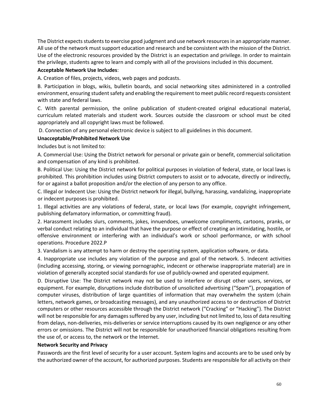The District expects students to exercise good judgment and use network resources in an appropriate manner. All use of the network must support education and research and be consistent with the mission of the District. Use of the electronic resources provided by the District is an expectation and privilege. In order to maintain the privilege, students agree to learn and comply with all of the provisions included in this document.

# **Acceptable Network Use Includes**:

A. Creation of files, projects, videos, web pages and podcasts.

B. Participation in blogs, wikis, bulletin boards, and social networking sites administered in a controlled environment, ensuring student safety and enabling the requirement to meet public record requests consistent with state and federal laws.

C. With parental permission, the online publication of student-created original educational material, curriculum related materials and student work. Sources outside the classroom or school must be cited appropriately and all copyright laws must be followed.

D. Connection of any personal electronic device is subject to all guidelines in this document.

# **Unacceptable/Prohibited Network Use**

Includes but is not limited to:

A. Commercial Use: Using the District network for personal or private gain or benefit, commercial solicitation and compensation of any kind is prohibited.

B. Political Use: Using the District network for political purposes in violation of federal, state, or local laws is prohibited. This prohibition includes using District computers to assist or to advocate, directly or indirectly, for or against a ballot proposition and/or the election of any person to any office.

C. Illegal or Indecent Use: Using the District network for illegal, bullying, harassing, vandalizing, inappropriate or indecent purposes is prohibited.

1. Illegal activities are any violations of federal, state, or local laws (for example, copyright infringement, publishing defamatory information, or committing fraud).

2. Harassment includes slurs, comments, jokes, innuendoes, unwelcome compliments, cartoons, pranks, or verbal conduct relating to an individual that have the purpose or effect of creating an intimidating, hostile, or offensive environment or interfering with an individual's work or school performance, or with school operations. Procedure 2022.P

3. Vandalism is any attempt to harm or destroy the operating system, application software, or data.

4. Inappropriate use includes any violation of the purpose and goal of the network. 5. Indecent activities (including accessing, storing, or viewing pornographic, indecent or otherwise inappropriate material) are in violation of generally accepted social standards for use of publicly-owned and operated equipment.

D. Disruptive Use: The District network may not be used to interfere or disrupt other users, services, or equipment. For example, disruptions include distribution of unsolicited advertising ("Spam"), propagation of computer viruses, distribution of large quantities of information that may overwhelm the system (chain letters, network games, or broadcasting messages), and any unauthorized access to or destruction of District computers or other resources accessible through the District network ("Cracking" or "Hacking"). The District will not be responsible for any damages suffered by any user, including but not limited to, loss of data resulting from delays, non-deliveries, mis-deliveries or service interruptions caused by its own negligence or any other errors or omissions. The District will not be responsible for unauthorized financial obligations resulting from the use of, or access to, the network or the Internet.

# **Network Security and Privacy**

Passwords are the first level of security for a user account. System logins and accounts are to be used only by the authorized owner of the account, for authorized purposes. Students are responsible for all activity on their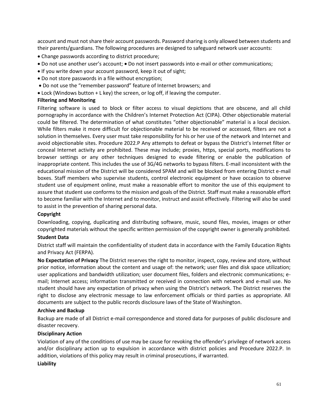account and must not share their account passwords. Password sharing is only allowed between students and their parents/guardians. The following procedures are designed to safeguard network user accounts:

- Change passwords according to district procedure;
- Do not use another user's account; Do not insert passwords into e-mail or other communications;
- If you write down your account password, keep it out of sight;
- Do not store passwords in a file without encryption;
- Do not use the "remember password" feature of Internet browsers; and
- Lock (Windows button  $+$  L key) the screen, or log off, if leaving the computer.

#### **Filtering and Monitoring**

Filtering software is used to block or filter access to visual depictions that are obscene, and all child pornography in accordance with the Children's Internet Protection Act (CIPA). Other objectionable material could be filtered. The determination of what constitutes "other objectionable" material is a local decision. While filters make it more difficult for objectionable material to be received or accessed, filters are not a solution in themselves. Every user must take responsibility for his or her use of the network and Internet and avoid objectionable sites. Procedure 2022.P Any attempts to defeat or bypass the District's Internet filter or conceal Internet activity are prohibited. These may include; proxies, https, special ports, modifications to browser settings or any other techniques designed to evade filtering or enable the publication of inappropriate content. This includes the use of 3G/4G networks to bypass filters. E-mail inconsistent with the educational mission of the District will be considered SPAM and will be blocked from entering District e-mail boxes. Staff members who supervise students, control electronic equipment or have occasion to observe student use of equipment online, must make a reasonable effort to monitor the use of this equipment to assure that student use conforms to the mission and goals of the District. Staff must make a reasonable effort to become familiar with the Internet and to monitor, instruct and assist effectively. Filtering will also be used to assist in the prevention of sharing personal data.

#### **Copyright**

Downloading, copying, duplicating and distributing software, music, sound files, movies, images or other copyrighted materials without the specific written permission of the copyright owner is generally prohibited.

#### **Student Data**

District staff will maintain the confidentiality of student data in accordance with the Family Education Rights and Privacy Act (FERPA).

**No Expectation of Privacy** The District reserves the right to monitor, inspect, copy, review and store, without prior notice, information about the content and usage of: the network; user files and disk space utilization; user applications and bandwidth utilization; user document files, folders and electronic communications; email; Internet access; information transmitted or received in connection with network and e-mail use. No student should have any expectation of privacy when using the District's network. The District reserves the right to disclose any electronic message to law enforcement officials or third parties as appropriate. All documents are subject to the public records disclosure laws of the State of Washington.

#### **Archive and Backup**

Backup are made of all District e-mail correspondence and stored data for purposes of public disclosure and disaster recovery.

# **Disciplinary Action**

Violation of any of the conditions of use may be cause for revoking the offender's privilege of network access and/or disciplinary action up to expulsion in accordance with district policies and Procedure 2022.P. In addition, violations of this policy may result in criminal prosecutions, if warranted.

### **Liability**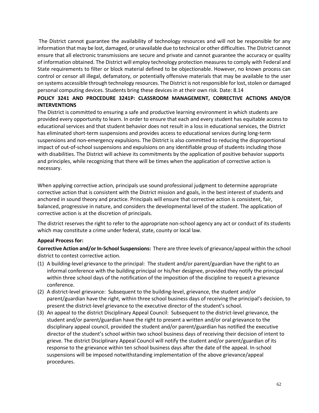The District cannot guarantee the availability of technology resources and will not be responsible for any information that may be lost, damaged, or unavailable due to technical or other difficulties. The District cannot ensure that all electronic transmissions are secure and private and cannot guarantee the accuracy or quality of information obtained. The District will employ technology protection measures to comply with Federal and State requirements to filter or block material defined to be objectionable. However, no known process can control or censor all illegal, defamatory, or potentially offensive materials that may be available to the user on systems accessible through technology resources. The District is not responsible for lost, stolen or damaged personal computing devices. Students bring these devices in at their own risk. Date: 8.14

# **POLICY 3241 AND PROCEDURE 3241P: CLASSROOM MANAGEMENT, CORRECTIVE ACTIONS AND/OR INTERVENTIONS**

The District is committed to ensuring a safe and productive learning environment in which students are provided every opportunity to learn. In order to ensure that each and every student has equitable access to educational services and that student behavior does not result in a loss in educational services, the District has eliminated short-term suspensions and provides access to educational services during long-term suspensions and non-emergency expulsions. The District is also committed to reducing the disproportional impact of out-of-school suspensions and expulsions on any identifiable group of students including those with disabilities. The District will achieve its commitments by the application of positive behavior supports and principles, while recognizing that there will be times when the application of corrective action is necessary.

When applying corrective action, principals use sound professional judgment to determine appropriate corrective action that is consistent with the District mission and goals, in the best interest of students and anchored in sound theory and practice. Principals will ensure that corrective action is consistent, fair, balanced, progressive in nature, and considers the developmental level of the student. The application of corrective action is at the discretion of principals.

The district reserves the right to refer to the appropriate non-school agency any act or conduct of its students which may constitute a crime under federal, state, county or local law.

# **Appeal Process for:**

**Corrective Action and/or In-School Suspensions:** There are three levels of grievance/appeal within the school district to contest corrective action.

- (1) A building-level grievance to the principal: The student and/or parent/guardian have the right to an informal conference with the building principal or his/her designee, provided they notify the principal within three school days of the notification of the imposition of the discipline to request a grievance conference.
- (2) A district-level grievance: Subsequent to the building-level, grievance, the student and/or parent/guardian have the right, within three school business days of receiving the principal's decision, to present the district-level grievance to the executive director of the student's school.
- (3) An appeal to the district Disciplinary Appeal Council: Subsequent to the district-level grievance, the student and/or parent/guardian have the right to present a written and/or oral grievance to the disciplinary appeal council, provided the student and/or parent/guardian has notified the executive director of the student's school within two school business days of receiving their decision of intent to grieve. The district Disciplinary Appeal Council will notify the student and/or parent/guardian of its response to the grievance within ten school business days after the date of the appeal. In-school suspensions will be imposed notwithstanding implementation of the above grievance/appeal procedures.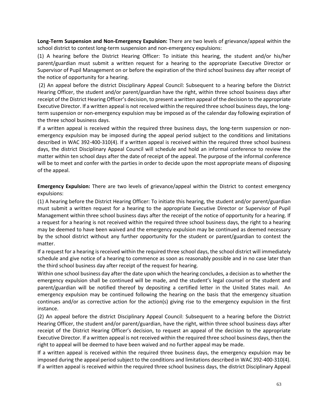**Long-Term Suspension and Non-Emergency Expulsion:** There are two levels of grievance/appeal within the school district to contest long-term suspension and non-emergency expulsions:

(1) A hearing before the District Hearing Officer: To initiate this hearing, the student and/or his/her parent/guardian must submit a written request for a hearing to the appropriate Executive Director or Supervisor of Pupil Management on or before the expiration of the third school business day after receipt of the notice of opportunity for a hearing.

(2) An appeal before the district Disciplinary Appeal Council: Subsequent to a hearing before the District Hearing Officer, the student and/or parent/guardian have the right, within three school business days after receipt of the District Hearing Officer's decision, to present a written appeal of the decision to the appropriate Executive Director. If a written appeal is not received within the required three school business days, the longterm suspension or non-emergency expulsion may be imposed as of the calendar day following expiration of the three school business days.

If a written appeal is received within the required three business days, the long-term suspension or nonemergency expulsion may be imposed during the appeal period subject to the conditions and limitations described in WAC 392-400-310(4). If a written appeal is received within the required three school business days, the district Disciplinary Appeal Council will schedule and hold an informal conference to review the matter within ten school days after the date of receipt of the appeal. The purpose of the informal conference will be to meet and confer with the parties in order to decide upon the most appropriate means of disposing of the appeal.

**Emergency Expulsion:** There are two levels of grievance/appeal within the District to contest emergency expulsions:

(1) A hearing before the District Hearing Officer: To initiate this hearing, the student and/or parent/guardian must submit a written request for a hearing to the appropriate Executive Director or Supervisor of Pupil Management within three school business days after the receipt of the notice of opportunity for a hearing. If a request for a hearing is not received within the required three school business days, the right to a hearing may be deemed to have been waived and the emergency expulsion may be continued as deemed necessary by the school district without any further opportunity for the student or parent/guardian to contest the matter.

If a request for a hearing is received within the required three school days, the school district will immediately schedule and give notice of a hearing to commence as soon as reasonably possible and in no case later than the third school business day after receipt of the request for hearing.

Within one school business day after the date upon which the hearing concludes, a decision as to whether the emergency expulsion shall be continued will be made, and the student's legal counsel or the student and parent/guardian will be notified thereof by depositing a certified letter in the United States mail. An emergency expulsion may be continued following the hearing on the basis that the emergency situation continues and/or as corrective action for the action(s) giving rise to the emergency expulsion in the first instance.

(2) An appeal before the district Disciplinary Appeal Council: Subsequent to a hearing before the District Hearing Officer, the student and/or parent/guardian, have the right, within three school business days after receipt of the District Hearing Officer's decision, to request an appeal of the decision to the appropriate Executive Director. If a written appeal is not received within the required three school business days, then the right to appeal will be deemed to have been waived and no further appeal may be made.

If a written appeal is received within the required three business days, the emergency expulsion may be imposed during the appeal period subject to the conditions and limitations described in WAC 392-400-310(4). If a written appeal is received within the required three school business days, the district Disciplinary Appeal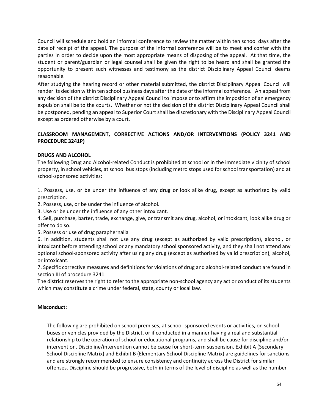Council will schedule and hold an informal conference to review the matter within ten school days after the date of receipt of the appeal. The purpose of the informal conference will be to meet and confer with the parties in order to decide upon the most appropriate means of disposing of the appeal. At that time, the student or parent/guardian or legal counsel shall be given the right to be heard and shall be granted the opportunity to present such witnesses and testimony as the district Disciplinary Appeal Council deems reasonable.

After studying the hearing record or other material submitted, the district Disciplinary Appeal Council will render its decision within ten school business days after the date of the informal conference. An appeal from any decision of the district Disciplinary Appeal Council to impose or to affirm the imposition of an emergency expulsion shall be to the courts. Whether or not the decision of the district Disciplinary Appeal Council shall be postponed, pending an appeal to Superior Court shall be discretionary with the Disciplinary Appeal Council except as ordered otherwise by a court.

# **CLASSROOM MANAGEMENT, CORRECTIVE ACTIONS AND/OR INTERVENTIONS (POLICY 3241 AND PROCEDURE 3241P)**

# **DRUGS AND ALCOHOL**

The following Drug and Alcohol-related Conduct is prohibited at school or in the immediate vicinity of school property, in school vehicles, at school bus stops (including metro stops used for school transportation) and at school-sponsored activities:

1. Possess, use, or be under the influence of any drug or look alike drug, except as authorized by valid prescription.

2. Possess, use, or be under the influence of alcohol.

3. Use or be under the influence of any other intoxicant.

4. Sell, purchase, barter, trade, exchange, give, or transmit any drug, alcohol, or intoxicant, look alike drug or offer to do so.

5. Possess or use of drug paraphernalia

6. In addition, students shall not use any drug (except as authorized by valid prescription), alcohol, or intoxicant before attending school or any mandatory school sponsored activity, and they shall not attend any optional school-sponsored activity after using any drug (except as authorized by valid prescription), alcohol, or intoxicant.

7. Specific corrective measures and definitions for violations of drug and alcohol-related conduct are found in section III of procedure 3241.

The district reserves the right to refer to the appropriate non-school agency any act or conduct of its students which may constitute a crime under federal, state, county or local law.

# **Misconduct:**

The following are prohibited on school premises, at school-sponsored events or activities, on school buses or vehicles provided by the District, or if conducted in a manner having a real and substantial relationship to the operation of school or educational programs, and shall be cause for discipline and/or intervention. Discipline/intervention cannot be cause for short-term suspension. Exhibit A (Secondary School Discipline Matrix) and Exhibit B (Elementary School Discipline Matrix) are guidelines for sanctions and are strongly recommended to ensure consistency and continuity across the District for similar offenses. Discipline should be progressive, both in terms of the level of discipline as well as the number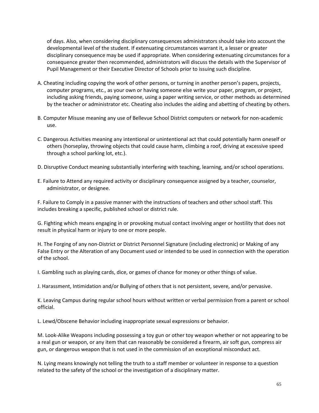of days. Also, when considering disciplinary consequences administrators should take into account the developmental level of the student. If extenuating circumstances warrant it, a lesser or greater disciplinary consequence may be used if appropriate. When considering extenuating circumstances for a consequence greater then recommended, administrators will discuss the details with the Supervisor of Pupil Management or their Executive Director of Schools prior to issuing such discipline.

- A. Cheating including copying the work of other persons, or turning in another person's papers, projects, computer programs, etc., as your own or having someone else write your paper, program, or project, including asking friends, paying someone, using a paper writing service, or other methods as determined by the teacher or administrator etc. Cheating also includes the aiding and abetting of cheating by others.
- B. Computer Misuse meaning any use of Bellevue School District computers or network for non-academic use.
- C. Dangerous Activities meaning any intentional or unintentional act that could potentially harm oneself or others (horseplay, throwing objects that could cause harm, climbing a roof, driving at excessive speed through a school parking lot, etc.).
- D. Disruptive Conduct meaning substantially interfering with teaching, learning, and/or school operations.
- E. Failure to Attend any required activity or disciplinary consequence assigned by a teacher, counselor, administrator, or designee.

F. Failure to Comply in a passive manner with the instructions of teachers and other school staff. This includes breaking a specific, published school or district rule.

G. Fighting which means engaging in or provoking mutual contact involving anger or hostility that does not result in physical harm or injury to one or more people.

H. The Forging of any non-District or District Personnel Signature (including electronic) or Making of any False Entry or the Alteration of any Document used or intended to be used in connection with the operation of the school.

I. Gambling such as playing cards, dice, or games of chance for money or other things of value.

J. Harassment, Intimidation and/or Bullying of others that is not persistent, severe, and/or pervasive.

K. Leaving Campus during regular school hours without written or verbal permission from a parent or school official.

L. Lewd/Obscene Behavior including inappropriate sexual expressions or behavior.

M. Look-Alike Weapons including possessing a toy gun or other toy weapon whether or not appearing to be a real gun or weapon, or any item that can reasonably be considered a firearm, air soft gun, compress air gun, or dangerous weapon that is not used in the commission of an exceptional misconduct act.

N. Lying means knowingly not telling the truth to a staff member or volunteer in response to a question related to the safety of the school or the investigation of a disciplinary matter.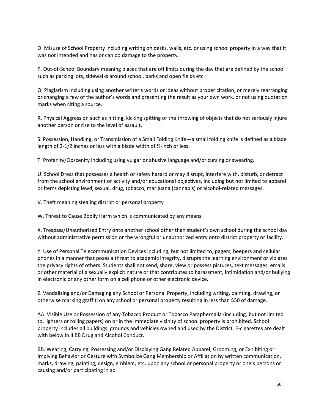O. Misuse of School Property including writing on desks, walls, etc. or using school property in a way that it was not intended and has or can do damage to the property.

P. Out-of-School Boundary meaning places that are off limits during the day that are defined by the school such as parking lots, sidewalks around school, parks and open fields etc.

Q. Plagiarism including using another writer's words or ideas without proper citation, or merely rearranging or changing a few of the author's words and presenting the result as your own work, or not using quotation marks when citing a source.

R. Physical Aggression such as hitting, kicking spitting or the throwing of objects that do not seriously injure another person or rise to the level of assault.

S. Possession, Handling, or Transmission of a Small Folding Knife—a small folding knife is defined as a blade length of 2-1/2 inches or less with a blade width of ½-inch or less.

T. Profanity/Obscenity including using vulgar or abusive language and/or cursing or swearing.

U. School Dress that possesses a health or safety hazard or may disrupt, interfere with, disturb, or detract from the school environment or activity and/or educational objectives, including but not limited to apparel or items depicting lewd, sexual, drug, tobacco, marijuana (cannabis) or alcohol-related messages.

V. Theft meaning stealing district or personal property

W. Threat to Cause Bodily Harm which is communicated by any means.

X. Trespass/Unauthorized Entry onto another school other than student's own school during the school day without administrative permission or the wrongful or unauthorized entry onto district property or facility.

Y. Use of Personal Telecommunication Devices including, but not limited to, pagers, beepers and cellular phones in a manner that poses a threat to academic integrity, disrupts the learning environment or violates the privacy rights of others. Students shall not send, share, view or possess pictures, text messages, emails or other material of a sexually explicit nature or that contributes to harassment, intimidation and/or bullying in electronic or any other form on a cell phone or other electronic device.

Z. Vandalizing and/or Damaging any School or Personal Property, including writing, painting, drawing, or otherwise marking graffiti on any school or personal property resulting in less than \$50 of damage.

AA. Visible Use or Possession of any Tobacco Product or Tobacco Paraphernalia (including, but not limited to, lighters or rolling papers) on or in the immediate vicinity of school property is prohibited. School property includes all buildings, grounds and vehicles owned and used by the District. E-cigarettes are dealt with below in II BB Drug and Alcohol Conduct.

BB. Wearing, Carrying, Possessing and/or Displaying Gang Related Apparel, Grooming, or Exhibiting or Implying Behavior or Gesture with Symbolize Gang Membership or Affiliation by written communication, marks, drawing, painting, design, emblem, etc. upon any school or personal property or one's persons or causing and/or participating in ac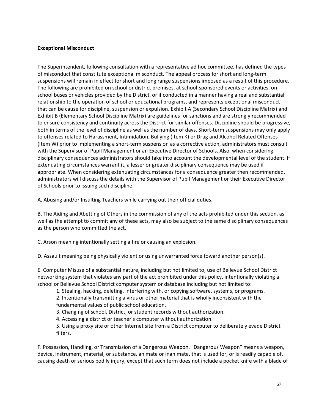# **Exceptional Misconduct**

The Superintendent, following consultation with a representative ad hoc committee, has defined the types of misconduct that constitute exceptional misconduct. The appeal process for short and long-term suspensions will remain in effect for short and long range suspensions imposed as a result of this procedure. The following are prohibited on school or district premises, at school-sponsored events or activities, on school buses or vehicles provided by the District, or if conducted in a manner having a real and substantial relationship to the operation of school or educational programs, and represents exceptional misconduct that can be cause for discipline, suspension or expulsion. Exhibit A (Secondary School Discipline Matrix) and Exhibit B (Elementary School Discipline Matrix) are guidelines for sanctions and are strongly recommended to ensure consistency and continuity across the District for similar offenses. Discipline should be progressive, both in terms of the level of discipline as well as the number of days. Short-term suspensions may only apply to offenses related to Harassment, Intimidation, Bullying (Item K) or Drug and Alcohol Related Offenses (Item W) prior to implementing a short-term suspension as a corrective action, administrators must consult with the Supervisor of Pupil Management or an Executive Director of Schools. Also, when considering disciplinary consequences administrators should take into account the developmental level of the student. If extenuating circumstances warrant it, a lesser or greater disciplinary consequence may be used if appropriate. When considering extenuating circumstances for a consequence greater then recommended, administrators will discuss the details with the Supervisor of Pupil Management or their Executive Director of Schools prior to issuing such discipline.

A. Abusing and/or Insulting Teachers while carrying out their official duties.

B. The Aiding and Abetting of Others in the commission of any of the acts prohibited under this section, as well as the attempt to commit any of these acts, may also be subject to the same disciplinary consequences as the person who committed the act.

C. Arson meaning intentionally setting a fire or causing an explosion.

D. Assault meaning being physically violent or using unwarranted force toward another person(s).

E. Computer Misuse of a substantial nature, including but not limited to, use of Bellevue School District networking system that violates any part of the act prohibited under this policy, intentionally violating a school or Bellevue School District computer system or database including but not limited to:

1. Stealing, hacking, deleting, interfering with, or copying software, systems, or programs.

2. Intentionally transmitting a virus or other material that is wholly inconsistent with the fundamental values of public school education.

3. Changing of school, District, or student records without authorization.

4. Accessing a district or teacher's computer without authorization.

5. Using a proxy site or other Internet site from a District computer to deliberately evade District filters.

F. Possession, Handling, or Transmission of a Dangerous Weapon. "Dangerous Weapon" means a weapon, device, instrument, material, or substance, animate or inanimate, that is used for, or is readily capable of, causing death or serious bodily injury, except that such term does not include a pocket knife with a blade of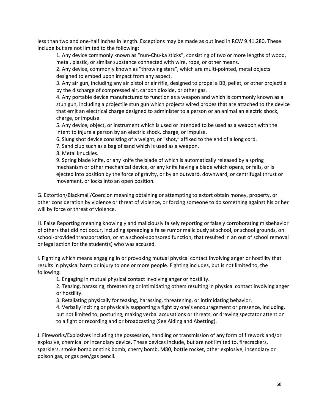less than two and one-half inches in length. Exceptions may be made as outlined in RCW 9.41.280. These include but are not limited to the following:

1. Any device commonly known as "nun-Chu-ka sticks", consisting of two or more lengths of wood, metal, plastic, or similar substance connected with wire, rope, or other means.

2. Any device, commonly known as "throwing stars", which are multi-pointed, metal objects designed to embed upon impact from any aspect.

3. Any air gun, including any air pistol or air rifle, designed to propel a BB, pellet, or other projectile by the discharge of compressed air, carbon dioxide, or other gas.

4. Any portable device manufactured to function as a weapon and which is commonly known as a stun gun, including a projectile stun gun which projects wired probes that are attached to the device that emit an electrical charge designed to administer to a person or an animal an electric shock, charge, or impulse.

5. Any device, object, or instrument which is used or intended to be used as a weapon with the intent to injure a person by an electric shock, charge, or impulse.

6. Slung shot device consisting of a weight, or "shot," affixed to the end of a long cord.

7. Sand club such as a bag of sand which is used as a weapon.

8. Metal knuckles.

9. Spring blade knife, or any knife the blade of which is automatically released by a spring mechanism or other mechanical device, or any knife having a blade which opens, or falls, or is ejected into position by the force of gravity, or by an outward, downward, or centrifugal thrust or movement, or locks into an open position.

G. Extortion/Blackmail/Coercion meaning obtaining or attempting to extort obtain money, property, or other consideration by violence or threat of violence, or forcing someone to do something against his or her will by force or threat of violence.

H. False Reporting meaning knowingly and maliciously falsely reporting or falsely corroborating misbehavior of others that did not occur, including spreading a false rumor maliciously at school, or school grounds, on school-provided transportation, or at a school-sponsored function, that resulted in an out of school removal or legal action for the student(s) who was accused.

I. Fighting which means engaging in or provoking mutual physical contact involving anger or hostility that results in physical harm or injury to one or more people. Fighting includes, but is not limited to, the following:

1. Engaging in mutual physical contact involving anger or hostility.

2. Teasing, harassing, threatening or intimidating others resulting in physical contact involving anger or hostility.

3. Retaliating physically for teasing, harassing, threatening, or intimidating behavior.

4. Verbally inciting or physically supporting a fight by one's encouragement or presence, including, but not limited to, posturing, making verbal accusations or threats, or drawing spectator attention to a fight or recording and or broadcasting (See Aiding and Abetting).

J. Fireworks/Explosives including the possession, handling or transmission of any form of firework and/or explosive, chemical or incendiary device. These devices include, but are not limited to, firecrackers, sparklers, smoke bomb or stink bomb, cherry bomb, M80, bottle rocket, other explosive, incendiary or poison gas, or gas pen/gas pencil.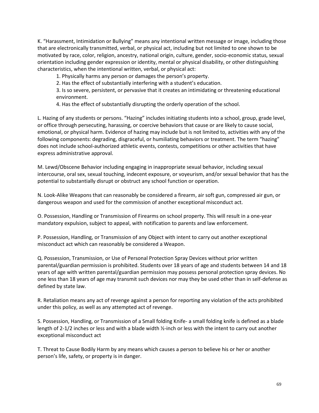K. "Harassment, Intimidation or Bullying" means any intentional written message or image, including those that are electronically transmitted, verbal, or physical act, including but not limited to one shown to be motivated by race, color, religion, ancestry, national origin, culture, gender, socio-economic status, sexual orientation including gender expression or identity, mental or physical disability, or other distinguishing characteristics, when the intentional written, verbal, or physical act:

1. Physically harms any person or damages the person's property.

2. Has the effect of substantially interfering with a student's education.

3. Is so severe, persistent, or pervasive that it creates an intimidating or threatening educational environment.

4. Has the effect of substantially disrupting the orderly operation of the school.

L. Hazing of any students or persons. "Hazing" includes initiating students into a school, group, grade level, or office through persecuting, harassing, or coercive behaviors that cause or are likely to cause social, emotional, or physical harm. Evidence of hazing may include but is not limited to, activities with any of the following components: degrading, disgraceful, or humiliating behaviors or treatment. The term "hazing" does not include school-authorized athletic events, contests, competitions or other activities that have express administrative approval.

M. Lewd/Obscene Behavior including engaging in inappropriate sexual behavior, including sexual intercourse, oral sex, sexual touching, indecent exposure, or voyeurism, and/or sexual behavior that has the potential to substantially disrupt or obstruct any school function or operation.

N. Look-Alike Weapons that can reasonably be considered a firearm, air soft gun, compressed air gun, or dangerous weapon and used for the commission of another exceptional misconduct act.

O. Possession, Handling or Transmission of Firearms on school property. This will result in a one-year mandatory expulsion, subject to appeal, with notification to parents and law enforcement.

P. Possession, Handling, or Transmission of any Object with intent to carry out another exceptional misconduct act which can reasonably be considered a Weapon.

Q. Possession, Transmission, or Use of Personal Protection Spray Devices without prior written parental/guardian permission is prohibited. Students over 18 years of age and students between 14 and 18 years of age with written parental/guardian permission may possess personal protection spray devices. No one less than 18 years of age may transmit such devices nor may they be used other than in self-defense as defined by state law.

R. Retaliation means any act of revenge against a person for reporting any violation of the acts prohibited under this policy, as well as any attempted act of revenge.

S. Possession, Handling, or Transmission of a Small folding Knife- a small folding knife is defined as a blade length of 2-1/2 inches or less and with a blade width ½-inch or less with the intent to carry out another exceptional misconduct act

T. Threat to Cause Bodily Harm by any means which causes a person to believe his or her or another person's life, safety, or property is in danger.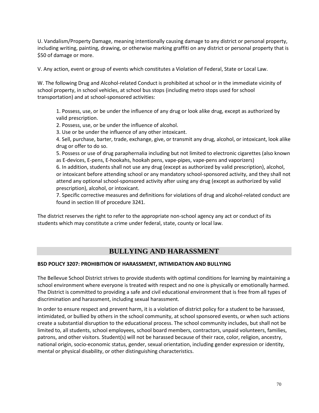U. Vandalism/Property Damage, meaning intentionally causing damage to any district or personal property, including writing, painting, drawing, or otherwise marking graffiti on any district or personal property that is \$50 of damage or more.

V. Any action, event or group of events which constitutes a Violation of Federal, State or Local Law.

W. The following Drug and Alcohol-related Conduct is prohibited at school or in the immediate vicinity of school property, in school vehicles, at school bus stops (including metro stops used for school transportation) and at school-sponsored activities:

1. Possess, use, or be under the influence of any drug or look alike drug, except as authorized by valid prescription.

2. Possess, use, or be under the influence of alcohol.

3. Use or be under the influence of any other intoxicant.

4. Sell, purchase, barter, trade, exchange, give, or transmit any drug, alcohol, or intoxicant, look alike drug or offer to do so.

5. Possess or use of drug paraphernalia including but not limited to electronic cigarettes (also known as E-devices, E-pens, E-hookahs, hookah pens, vape-pipes, vape-pens and vaporizers)

6. In addition, students shall not use any drug (except as authorized by valid prescription), alcohol, or intoxicant before attending school or any mandatory school-sponsored activity, and they shall not attend any optional school-sponsored activity after using any drug (except as authorized by valid prescription), alcohol, or intoxicant.

7. Specific corrective measures and definitions for violations of drug and alcohol-related conduct are found in section III of procedure 3241.

The district reserves the right to refer to the appropriate non-school agency any act or conduct of its students which may constitute a crime under federal, state, county or local law.

# **BULLYING AND HARASSMENT**

# **BSD POLICY 3207: PROHIBITION OF HARASSMENT, INTIMIDATION AND BULLYING**

The Bellevue School District strives to provide students with optimal conditions for learning by maintaining a school environment where everyone is treated with respect and no one is physically or emotionally harmed. The District is committed to providing a safe and civil educational environment that is free from all types of discrimination and harassment, including sexual harassment.

In order to ensure respect and prevent harm, it is a violation of district policy for a student to be harassed, intimidated, or bullied by others in the school community, at school sponsored events, or when such actions create a substantial disruption to the educational process. The school community includes, but shall not be limited to, all students, school employees, school board members, contractors, unpaid volunteers, families, patrons, and other visitors. Student(s) will not be harassed because of their race, color, religion, ancestry, national origin, socio-economic status, gender, sexual orientation, including gender expression or identity, mental or physical disability, or other distinguishing characteristics.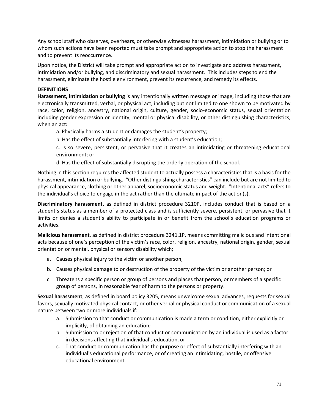Any school staff who observes, overhears, or otherwise witnesses harassment, intimidation or bullying or to whom such actions have been reported must take prompt and appropriate action to stop the harassment and to prevent its reoccurrence.

Upon notice, the District will take prompt and appropriate action to investigate and address harassment, intimidation and/or bullying, and discriminatory and sexual harassment. This includes steps to end the harassment, eliminate the hostile environment, prevent its recurrence, and remedy its effects.

# **DEFINITIONS**

**Harassment, intimidation or bullying** is any intentionally written message or image, including those that are electronically transmitted, verbal, or physical act, including but not limited to one shown to be motivated by race, color, religion, ancestry, national origin, culture, gender, socio-economic status, sexual orientation including gender expression or identity, mental or physical disability, or other distinguishing characteristics, when an act**:**

a. Physically harms a student or damages the student's property;

b. Has the effect of substantially interfering with a student's education;

c. Is so severe, persistent, or pervasive that it creates an intimidating or threatening educational environment; or

d. Has the effect of substantially disrupting the orderly operation of the school.

Nothing in this section requires the affected student to actually possess a characteristics that is a basis for the harassment, intimidation or bullying. "Other distinguishing characteristics" can include but are not limited to physical appearance, clothing or other apparel, socioeconomic status and weight. "Intentional acts" refers to the individual's choice to engage in the act rather than the ultimate impact of the action(s).

**Discriminatory harassment**, as defined in district procedure 3210P, includes conduct that is based on a student's status as a member of a protected class and is sufficiently severe, persistent, or pervasive that it limits or denies a student's ability to participate in or benefit from the school's education programs or activities.

**Malicious harassment**, as defined in district procedure 3241.1P, means committing malicious and intentional acts because of one's perception of the victim's race, color, religion, ancestry, national origin, gender, sexual orientation or mental, physical or sensory disability which;

- a. Causes physical injury to the victim or another person;
- b. Causes physical damage to or destruction of the property of the victim or another person; or
- c. Threatens a specific person or group of persons and places that person, or members of a specific group of persons, in reasonable fear of harm to the persons or property.

**Sexual harassment**, as defined in board policy 3205, means unwelcome sexual advances, requests for sexual favors, sexually motivated physical contact, or other verbal or physical conduct or communication of a sexual nature between two or more individuals if:

- a. Submission to that conduct or communication is made a term or condition, either explicitly or implicitly, of obtaining an education;
- b. Submission to or rejection of that conduct or communication by an individual is used as a factor in decisions affecting that individual's education, or
- c. That conduct or communication has the purpose or effect of substantially interfering with an individual's educational performance, or of creating an intimidating, hostile, or offensive educational environment.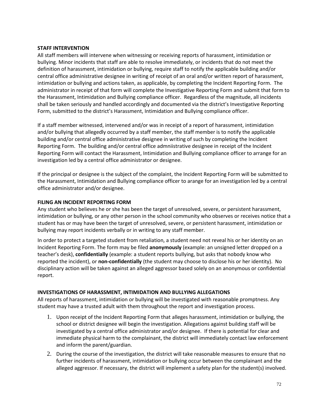#### **STAFF INTERVENTION**

All staff members will intervene when witnessing or receiving reports of harassment, intimidation or bullying. Minor incidents that staff are able to resolve immediately, or incidents that do not meet the definition of harassment, intimidation or bullying, require staff to notify the applicable building and/or central office administrative designee in writing of receipt of an oral and/or written report of harassment, intimidation or bullying and actions taken, as applicable, by completing the Incident Reporting Form. The administrator in receipt of that form will complete the Investigative Reporting Form and submit that form to the Harassment, Intimidation and Bullying compliance officer. Regardless of the magnitude, all incidents shall be taken seriously and handled accordingly and documented via the district's Investigative Reporting Form, submitted to the district's Harassment, Intimidation and Bullying compliance officer.

If a staff member witnessed, intervened and/or was in receipt of a report of harassment, intimidation and/or bullying that allegedly occurred by a staff member, the staff member is to notify the applicable building and/or central office administrative designee in writing of such by completing the Incident Reporting Form. The building and/or central office admniistrative designee in receipt of the Incident Reporting Form will contact the Harassment, Intimidation and Bullying compliance officer to arrange for an investigation led by a central office administrator or designee.

If the principal or designee is the subject of the complaint, the Incident Reporting Form will be submitted to the Harassment, Intimidation and Bullying compliance officer to arange for an investigation led by a central office administrator and/or designee.

# **FILING AN INCIDENT REPORTING FORM**

Any student who believes he or she has been the target of unresolved, severe, or persistent harassment, intimidation or bullying, or any other person in the school community who observes or receives notice that a student has or may have been the target of unresolved, severe, or persistent harassment, intimidation or bullying may report incidents verbally or in writing to any staff member.

In order to protect a targeted student from retaliation, a student need not reveal his or her identity on an Incident Reporting Form. The form may be filed **anonymously** (example: an unsigned letter dropped on a teacher's desk), **confidentially** (example: a student reports bullying, but asks that nobody know who reported the incident), or **non-confidentially** (the student may choose to disclose his or her identity). No disciplinary action will be taken against an alleged aggressor based solely on an anonymous or confidential report.

# **INVESTIGATIONS OF HARASSMENT, INTIMIDATION AND BULLYING ALLEGATIONS**

All reports of harassment, intimidation or bullying will be investigated with reasonable promptness. Any student may have a trusted adult with them throughout the report and investigation process.

- 1. Upon receipt of the Incident Reporting Form that alleges harassment, intimidation or bullying, the school or district designee will begin the investigation. Allegations against building staff will be investigated by a central office administrator and/or designee. If there is potential for clear and immediate physical harm to the complainant, the district will immediately contact law enforcement and inform the parent/guardian.
- 2. During the course of the investigation, the district will take reasonable measures to ensure that no further incidents of harassment, intimidation or bullying occur between the complainant and the alleged aggressor. If necessary, the district will implement a safety plan for the student(s) involved.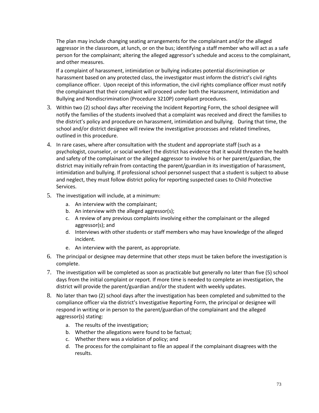The plan may include changing seating arrangements for the complainant and/or the alleged aggressor in the classroom, at lunch, or on the bus; identifying a staff member who will act as a safe person for the complainant; altering the alleged aggressor's schedule and access to the complainant, and other measures.

 If a complaint of harassment, intimidation or bullying indicates potential discrimination or harassment based on any protected class, the investigator must inform the district's civil rights compliance officer. Upon receipt of this information, the civil rights compliance officer must notify the complainant that their complaint will proceed under both the Harassment, Intimidation and Bullying and Nondiscrimination (Procedure 3210P) compliant procedures.

- 3. Within two (2) school days after receiving the Incident Reporting Form, the school designee will notify the families of the students involved that a complaint was received and direct the families to the district's policy and procedure on harassment, intimidation and bullying. During that time, the school and/or district designee will review the investigative processes and related timelines, outlined in this procedure.
- 4. In rare cases, where after consultation with the student and appropriate staff (such as a psychologist, counselor, or social worker) the district has evidence that it would threaten the health and safety of the complainant or the alleged aggressor to involve his or her parent/guardian, the district may initially refrain from contacting the parent/guardian in its investigation of harassment, intimidation and bullying. If professional school personnel suspect that a student is subject to abuse and neglect, they must follow district policy for reporting suspected cases to Child Protective Services.
- 5. The investigation will include, at a minimum:
	- a. An interview with the complainant;
	- b. An interview with the alleged aggressor(s);
	- c. A review of any previous complaints involving either the complainant or the alleged aggressor(s); and
	- d. Interviews with other students or staff members who may have knowledge of the alleged incident.
	- e. An interview with the parent, as appropriate.
- 6. The principal or designee may determine that other steps must be taken before the investigation is complete.
- 7. The investigation will be completed as soon as practicable but generally no later than five (5) school days from the initial complaint or report. If more time is needed to complete an investigation, the district will provide the parent/guardian and/or the student with weekly updates.
- 8. No later than two (2) school days after the investigation has been completed and submitted to the compliance officer via the district's Investigative Reporting Form, the principal or designee will respond in writing or in person to the parent/guardian of the complainant and the alleged aggressor(s) stating:
	- a. The results of the investigation;
	- b. Whether the allegations were found to be factual;
	- c. Whether there was a violation of policy; and
	- d. The process for the complainant to file an appeal if the complainant disagrees with the results.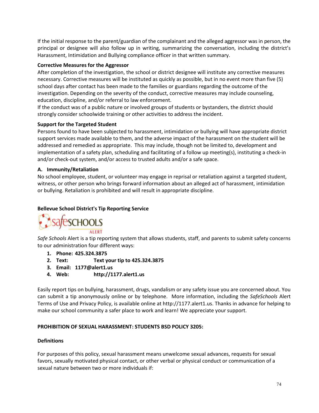If the initial response to the parent/guardian of the complainant and the alleged aggressor was in person, the principal or designee will also follow up in writing, summarizing the conversation, including the district's Harassment, Intimidation and Bullying compliance officer in that written summary.

## **Corrective Measures for the Aggressor**

After completion of the investigation, the school or district designee will institute any corrective measures necessary. Corrective measures will be instituted as quickly as possible, but in no event more than five (5) school days after contact has been made to the families or guardians regarding the outcome of the investigation. Depending on the severity of the conduct, corrective measures may include counseling, education, discipline, and/or referral to law enforcement.

If the conduct was of a public nature or involved groups of students or bystanders, the district should strongly consider schoolwide training or other activities to address the incident.

## **Support for the Targeted Student**

Persons found to have been subjected to harassment, intimidation or bullying will have appropriate district support services made available to them, and the adverse impact of the harassment on the student will be addressed and remedied as appropriate. This may include, though not be limited to, development and implementation of a safety plan, scheduling and facilitating of a follow up meeting(s), instituting a check-in and/or check-out system, and/or access to trusted adults and/or a safe space.

## **A. Immunity/Retaliation**

No school employee, student, or volunteer may engage in reprisal or retaliation against a targeted student, witness, or other person who brings forward information about an alleged act of harassment, intimidation or bullying. Retaliation is prohibited and will result in appropriate discipline.

# **Bellevue School District's Tip Reporting Service**



*Safe Schools* Alert is a tip reporting system that allows students, staff, and parents to submit safety concerns to our administration four different ways:

- **1. Phone: 425.324.3875**
- **2. Text: Text your tip to 425.324.3875**
- **3. Email: 1177@alert1.us**
- **4. Web: http://1177.alert1.us**

Easily report tips on bullying, harassment, drugs, vandalism or any safety issue you are concerned about. You can submit a tip anonymously online or by telephone. More information, including the *SafeSchools* Alert Terms of Use and Privacy Policy, is available online at http://1177.alert1.us. Thanks in advance for helping to make our school community a safer place to work and learn! We appreciate your support.

#### **PROHIBITION OF SEXUAL HARASSMENT: STUDENTS BSD POLICY 3205:**

#### **Definitions**

For purposes of this policy, sexual harassment means unwelcome sexual advances, requests for sexual favors, sexually motivated physical contact, or other verbal or physical conduct or communication of a sexual nature between two or more individuals if: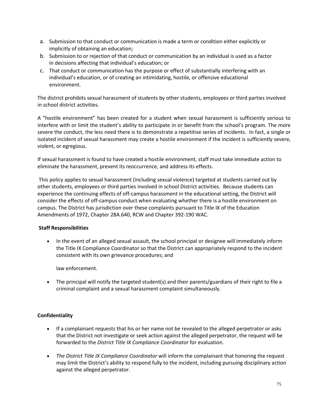- a. Submission to that conduct or communication is made a term or condition either explicitly or implicitly of obtaining an education;
- b. Submission to or rejection of that conduct or communication by an individual is used as a factor in decisions affecting that individual's education; or
- c. That conduct or communication has the purpose or effect of substantially interfering with an individual's education, or of creating an intimidating, hostile, or offensive educational environment.

The district prohibits sexual harassment of students by other students, employees or third parties involved in school district activities.

A "hostile environment" has been created for a student when sexual harassment is sufficiently serious to interfere with or limit the student's ability to participate in or benefit from the school's program. The more severe the conduct, the less need there is to demonstrate a repetitive series of incidents. In fact, a single or isolated incident of sexual harassment may create a hostile environment if the incident is sufficiently severe, violent, or egregious.

If sexual harassment is found to have created a hostile environment, staff must take immediate action to eliminate the harassment, prevent its reoccurrence, and address its effects.

This policy applies to sexual harassment (including sexual violence) targeted at students carried out by other students, employees or third parties involved in school District activities. Because students can experience the continuing effects of off-campus harassment in the educational setting, the District will consider the effects of off-campus conduct when evaluating whether there is a hostile environment on campus. The District has jurisdiction over these complaints pursuant to Title IX of the Education Amendments of 1972, Chapter 28A.640, RCW and Chapter 392-190 WAC.

# **Staff Responsibilities**

• In the event of an alleged sexual assault, the school principal or designee will immediately inform the Title IX Compliance Coordinator so that the District can appropriately respond to the incident consistent with its own grievance procedures; and

law enforcement.

• The principal will notify the targeted student(s) and their parents/guardians of their right to file a criminal complaint and a sexual harassment complaint simultaneously.

# **Confidentiality**

- If a complainant requests that his or her name not be revealed to the alleged perpetrator or asks that the District not investigate or seek action against the alleged perpetrator, the request will be forwarded to the *District Title IX Compliance Coordinator* for evaluation.
- *The District Title IX Compliance Coordinator* will inform the complainant that honoring the request may limit the District's ability to respond fully to the incident, including pursuing disciplinary action against the alleged perpetrator.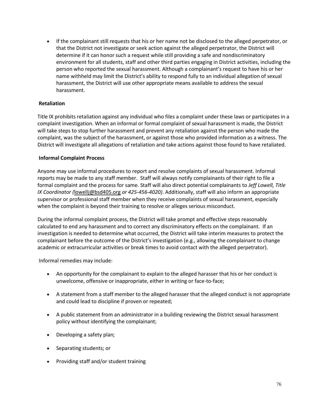• If the complainant still requests that his or her name not be disclosed to the alleged perpetrator, or that the District not investigate or seek action against the alleged perpetrator, the District will determine if it can honor such a request while still providing a safe and nondiscriminatory environment for all students, staff and other third parties engaging in District activities, including the person who reported the sexual harassment. Although a complainant's request to have his or her name withheld may limit the District's ability to respond fully to an individual allegation of sexual harassment, the District will use other appropriate means available to address the sexual harassment.

## **Retaliation**

Title IX prohibits retaliation against any individual who files a complaint under these laws or participates in a complaint investigation. When an informal or formal complaint of sexual harassment is made, the District will take steps to stop further harassment and prevent any retaliation against the person who made the complaint, was the subject of the harassment, or against those who provided information as a witness. The District will investigate all allegations of retaliation and take actions against those found to have retaliated.

## **Informal Complaint Process**

Anyone may use informal procedures to report and resolve complaints of sexual harassment. Informal reports may be made to any staff member. Staff will always notify complainants of their right to file a formal complaint and the process for same. Staff will also direct potential complainants to *Jeff Lowell, Title IX Coordinator (*[lowellj@bsd405.org](mailto:lowellj@bsd405.org) *or 425-456-4020)*. Additionally, staff will also inform an appropriate supervisor or professional staff member when they receive complaints of sexual harassment, especially when the complaint is beyond their training to resolve or alleges serious misconduct.

During the informal complaint process, the District will take prompt and effective steps reasonably calculated to end any harassment and to correct any discriminatory effects on the complainant. If an investigation is needed to determine what occurred, the District will take interim measures to protect the complainant before the outcome of the District's investigation (e.g., allowing the complainant to change academic or extracurricular activities or break times to avoid contact with the alleged perpetrator).

Informal remedies may include:

- An opportunity for the complainant to explain to the alleged harasser that his or her conduct is unwelcome, offensive or inappropriate, either in writing or face-to-face;
- A statement from a staff member to the alleged harasser that the alleged conduct is not appropriate and could lead to discipline if proven or repeated;
- A public statement from an administrator in a building reviewing the District sexual harassment policy without identifying the complainant;
- Developing a safety plan;
- Separating students; or
- Providing staff and/or student training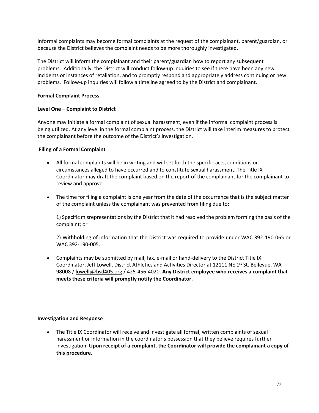Informal complaints may become formal complaints at the request of the complainant, parent/guardian, or because the District believes the complaint needs to be more thoroughly investigated.

The District will inform the complainant and their parent/guardian how to report any subsequent problems. Additionally, the District will conduct follow-up inquiries to see if there have been any new incidents or instances of retaliation, and to promptly respond and appropriately address continuing or new problems. Follow-up inquiries will follow a timeline agreed to by the District and complainant.

## **Formal Complaint Process**

## **Level One – Complaint to District**

Anyone may initiate a formal complaint of sexual harassment, even if the informal complaint process is being utilized. At any level in the formal complaint process, the District will take interim measures to protect the complainant before the outcome of the District's investigation.

## **Filing of a Formal Complaint**

- All formal complaints will be in writing and will set forth the specific acts, conditions or circumstances alleged to have occurred and to constitute sexual harassment. The Title IX Coordinator may draft the complaint based on the report of the complainant for the complainant to review and approve.
- The time for filing a complaint is one year from the date of the occurrence that is the subject matter of the complaint unless the complainant was prevented from filing due to:

1) Specific misrepresentations by the District that it had resolved the problem forming the basis of the complaint; or

2) Withholding of information that the District was required to provide under WAC 392-190-065 or WAC 392-190-005.

• Complaints may be submitted by mail, fax, e-mail or hand-delivery to the District Title IX Coordinator, Jeff Lowell, District Athletics and Activities Director at 12111 NE 1<sup>st</sup> St. Bellevue, WA 98008 / [lowellj@bsd405.org](mailto:lowellj@bsd405.org) / 425-456-4020. **Any District employee who receives a complaint that meets these criteria will promptly notify the Coordinator**.

#### **Investigation and Response**

• The Title IX Coordinator will receive and investigate all formal, written complaints of sexual harassment or information in the coordinator's possession that they believe requires further investigation. **Upon receipt of a complaint, the Coordinator will provide the complainant a copy of this procedure**.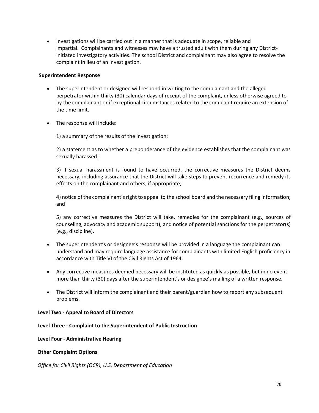• Investigations will be carried out in a manner that is adequate in scope, reliable and impartial. Complainants and witnesses may have a trusted adult with them during any Districtinitiated investigatory activities. The school District and complainant may also agree to resolve the complaint in lieu of an investigation.

#### **Superintendent Response**

- The superintendent or designee will respond in writing to the complainant and the alleged perpetrator within thirty (30) calendar days of receipt of the complaint, unless otherwise agreed to by the complainant or if exceptional circumstances related to the complaint require an extension of the time limit.
- The response will include:

1) a summary of the results of the investigation;

2) a statement as to whether a preponderance of the evidence establishes that the complainant was sexually harassed ;

3) if sexual harassment is found to have occurred, the corrective measures the District deems necessary, including assurance that the District will take steps to prevent recurrence and remedy its effects on the complainant and others, if appropriate;

4) notice of the complainant's right to appeal to the school board and the necessary filing information; and

5) any corrective measures the District will take, remedies for the complainant (e.g., sources of counseling, advocacy and academic support), and notice of potential sanctions for the perpetrator(s) (e.g., discipline).

- The superintendent's or designee's response will be provided in a language the complainant can understand and may require language assistance for complainants with limited English proficiency in accordance with Title VI of the Civil Rights Act of 1964.
- Any corrective measures deemed necessary will be instituted as quickly as possible, but in no event more than thirty (30) days after the superintendent's or designee's mailing of a written response.
- The District will inform the complainant and their parent/guardian how to report any subsequent problems.

#### **Level Two - Appeal to Board of Directors**

#### **Level Three - Complaint to the Superintendent of Public Instruction**

#### **Level Four - Administrative Hearing**

#### **Other Complaint Options**

*Office for Civil Rights (OCR), U.S. Department of Education*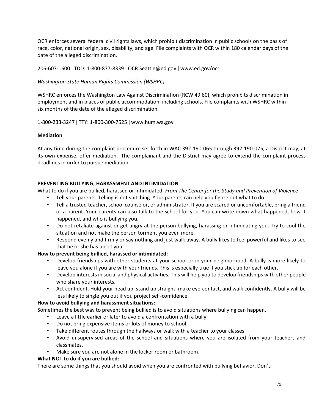OCR enforces several federal civil rights laws, which prohibit discrimination in public schools on the basis of race, color, national origin, sex, disability, and age. File complaints with OCR within 180 calendar days of the date of the alleged discrimination.

206-607-1600 ǀ TDD: 1-800-877-8339 ǀ OCR.Seattle@ed.gov ǀ www.ed.gov/ocr

## *Washington State Human Rights Commission (WSHRC)*

WSHRC enforces the Washington Law Against Discrimination (RCW 49.60), which prohibits discrimination in employment and in places of public accommodation, including schools. File complaints with WSHRC within six months of the date of the alleged discrimination.

1-800-233-3247 ǀ TTY: 1-800-300-7525 ǀ www.hum.wa.gov

#### **Mediation**

At any time during the complaint procedure set forth in WAC 392-190-065 through 392-190-075, a District may, at its own expense, offer mediation. The complainant and the District may agree to extend the complaint process deadlines in order to pursue mediation.

# **PREVENTING BULLYING, HARASSMENT AND INTIMIDATION**

What to do if you are bullied, harassed or intimidated: *From The Center for the Study and Prevention of Violence*

- Tell your parents. Telling is not snitching. Your parents can help you figure out what to do.
- Tell a trusted teacher, school counselor, or administrator. If you are scared or uncomfortable, bring a friend or a parent. Your parents can also talk to the school for you. You can write down what happened, how it happened, and who is bullying you.
- Do not retaliate against or get angry at the person bullying, harassing or intimidating you. Try to cool the situation and not make the person torment you even more.
- Respond evenly and firmly or say nothing and just walk away. A bully likes to feel powerful and likes to see that he or she has upset you.

# **How to prevent being bullied, harassed or intimidated:**

- Develop friendships with other students at your school or in your neighborhood. A bully is more likely to leave you alone if you are with your friends. This is especially true if you stick up for each other.
- Develop interests in social and physical activities. This will help you to develop friendships with other people who share your interests.
- Act confident. Hold your head up, stand up straight, make eye-contact, and walk confidently. A bully will be less likely to single you out if you project self-confidence.

#### **How to avoid bullying and harassment situations:**

Sometimes the best way to prevent being bullied is to avoid situations where bullying can happen.

- Leave a little earlier or later to avoid a confrontation with a bully.
- Do not bring expensive items or lots of money to school.
- Take different routes through the hallways or walk with a teacher to your classes.
- Avoid unsupervised areas of the school and situations where you are isolated from your teachers and classmates.
- Make sure you are not alone in the locker room or bathroom.

# **What NOT to do if you are bullied:**

There are some things that you should avoid when you are confronted with bullying behavior. Don't: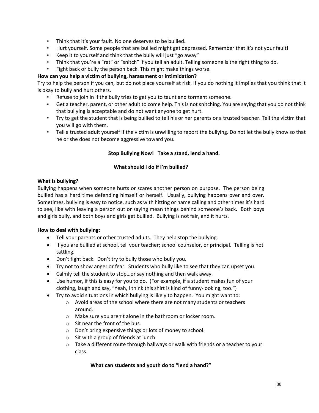- Think that it's your fault. No one deserves to be bullied.
- Hurt yourself. Some people that are bullied might get depressed. Remember that it's not your fault!
- Keep it to yourself and think that the bully will just "go away"
- Think that you're a "rat" or "snitch" if you tell an adult. Telling someone is the right thing to do.
- Fight back or bully the person back. This might make things worse.

## **How can you help a victim of bullying, harassment or intimidation?**

Try to help the person if you can, but do not place yourself at risk. If you do nothing it implies that you think that it is okay to bully and hurt others.

- Refuse to join in if the bully tries to get you to taunt and torment someone.
- Get a teacher, parent, or other adult to come help. This is not snitching. You are saying that you do not think that bullying is acceptable and do not want anyone to get hurt.
- Try to get the student that is being bullied to tell his or her parents or a trusted teacher. Tell the victim that you will go with them.
- Tell a trusted adult yourself if the victim is unwilling to report the bullying. Do not let the bully know so that he or she does not become aggressive toward you.

## **Stop Bullying Now! Take a stand, lend a hand.**

## **What should I do if I'm bullied?**

#### **What is bullying?**

Bullying happens when someone hurts or scares another person on purpose. The person being bullied has a hard time defending himself or herself. Usually, bullying happens over and over. Sometimes, bullying is easy to notice, such as with hitting or name calling and other times it's hard to see, like with leaving a person out or saying mean things behind someone's back. Both boys and girls bully, and both boys and girls get bullied. Bullying is not fair, and it hurts.

#### **How to deal with bullying:**

- Tell your parents or other trusted adults. They help stop the bullying.
- If you are bullied at school, tell your teacher; school counselor, or principal. Telling is not tattling.
- Don't fight back. Don't try to bully those who bully you.
- Try not to show anger or fear. Students who bully like to see that they can upset you.
- Calmly tell the student to stop…or say nothing and then walk away.
- Use humor, if this is easy for you to do. (For example, if a student makes fun of your clothing, laugh and say, "Yeah, I think this shirt is kind of funny-looking, too.")
- Try to avoid situations in which bullying is likely to happen. You might want to:
	- o Avoid areas of the school where there are not many students or teachers around.
	- o Make sure you aren't alone in the bathroom or locker room.
	- o Sit near the front of the bus.
	- o Don't bring expensive things or lots of money to school.
	- o Sit with a group of friends at lunch.
	- $\circ$  Take a different route through hallways or walk with friends or a teacher to your class.

#### **What can students and youth do to "lend a hand?"**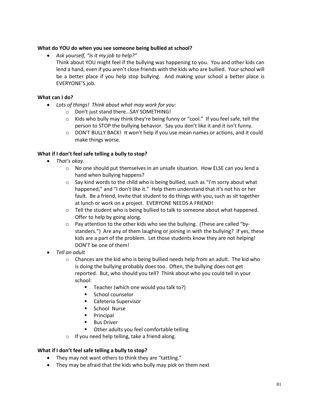## **What do YOU do when you see someone being bullied at school?**

• *Ask yourself, "Is it my job to help?"* Think about YOU might feel if the bullying was happening to you. You and other kids can lend a hand, even if you aren't close friends with the kids who are bullied. Your school will be a better place if you help stop bullying. And making your school a better place is EVERYONE'S job.

## **What can I do?**

- *Lots of things! Think about what may work for you:*
	- o Don't just stand there…SAY SOMETHING!
	- $\circ$  Kids who bully may think they're being funny or "cool." If you feel safe, tell the person to STOP the bullying behavior. Say you don't like it and it isn't funny.
	- $\circ$  DON'T BULLY BACK! It won't help if you use mean names or actions, and it could make things worse.

## **What if I don't feel safe telling a bully to stop?**

- *That's okay.* 
	- o No one should put themselves in an unsafe situation. How ELSE can you lend a hand when bullying happens?
	- o Say kind words to the child who is being bullied, such as "I'm sorry about what happened," and "I don't like it." Help them understand that it's not his or her fault. Be a friend, Invite that student to do things with you, such as sit together at lunch or work on a project. EVERYONE NEEDS A FRIEND!
	- $\circ$  Tell the student who is being bullied to talk to someone about what happened. Offer to help by going along.
	- $\circ$  Pay attention to the other kids who see the bullying. (These are called "bystanders.") Are any of them laughing or joining in with the bullying? If yes, these kids are a part of the problem. Let those students know they are not helping! DON'T be one of them!
- *Tell an adult*
	- $\circ$  Chances are the kid who is being bullied needs help from an adult. The kid who is doing the bullying probably does too. Often, the bullying does not get reported. But, who should you tell? Think about who you could tell in your school:
		- Teacher (which one would you talk to?)
		- School counselor
		- Cafeteria Supervisor
		- School Nurse
		- Principal
		- Bus Driver
		- Other adults you feel comfortable telling
	- o If you need help telling, take a friend along.

#### **What if I don't feel safe telling a bully to stop?**

- They may not want others to think they are "tattling."
- They may be afraid that the kids who bully may pick on them next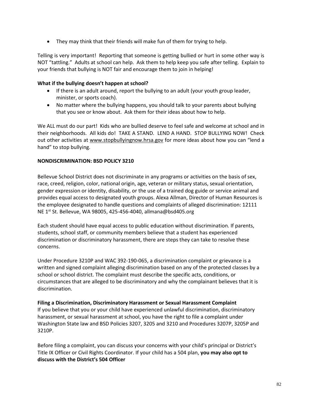• They may think that their friends will make fun of them for trying to help.

Telling is very important! Reporting that someone is getting bullied or hurt in some other way is NOT "tattling." Adults at school can help. Ask them to help keep you safe after telling. Explain to your friends that bullying is NOT fair and encourage them to join in helping!

## **What if the bullying doesn't happen at school?**

- If there is an adult around, report the bullying to an adult (your youth group leader, minister, or sports coach).
- No matter where the bullying happens, you should talk to your parents about bullying that you see or know about. Ask them for their ideas about how to help.

We ALL must do our part! Kids who are bullied deserve to feel safe and welcome at school and in their neighborhoods. All kids do! TAKE A STAND. LEND A HAND. STOP BULLYING NOW! Check out other activities at [www.stopbullyingnow.hrsa.gov](http://www.stopbullyingnow.hrsa.gov/) for more ideas about how you can "lend a hand" to stop bullying.

## **NONDISCRIMINATION: BSD POLICY 3210**

Bellevue School District does not discriminate in any programs or activities on the basis of sex, race, creed, religion, color, national origin, age, veteran or military status, sexual orientation, gender expression or identity, disability, or the use of a trained dog guide or service animal and provides equal access to designated youth groups. Alexa Allman, Director of Human Resources is the employee designated to handle questions and complaints of alleged discrimination: 12111 NE 1<sup>st</sup> St. Bellevue, WA 98005, 425-456-4040, allmana@bsd405.org

Each student should have equal access to public education without discrimination. If parents, students, school staff, or community members believe that a student has experienced discrimination or discriminatory harassment, there are steps they can take to resolve these concerns.

Under Procedure 3210P and WAC 392-190-065, a discrimination complaint or grievance is a written and signed complaint alleging discrimination based on any of the protected classes by a school or school district. The complaint must describe the specific acts, conditions, or circumstances that are alleged to be discriminatory and why the complainant believes that it is discrimination.

#### **Filing a Discrimination, Discriminatory Harassment or Sexual Harassment Complaint** If you believe that you or your child have experienced unlawful discrimination, discriminatory

harassment, or sexual harassment at school, you have the right to file a complaint under Washington State law and BSD Policies 3207, 3205 and 3210 and Procedures 3207P, 3205P and 3210P.

Before filing a complaint, you can discuss your concerns with your child's principal or District's Title IX Officer or Civil Rights Coordinator. If your child has a 504 plan, **[you may also opt to](http://www.bsd405.org/departments/student-services/section-504/)  [discuss with the District's 504 Officer](http://www.bsd405.org/departments/student-services/section-504/)**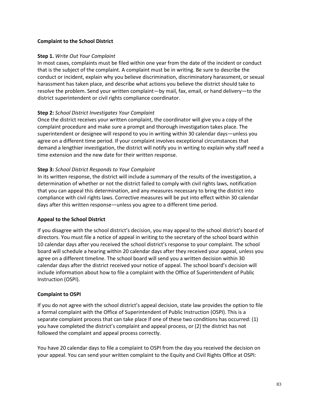#### **Complaint to the School District**

## **Step 1.** *Write Out Your Complaint*

In most cases, complaints must be filed within one year from the date of the incident or conduct that is the subject of the complaint. A complaint must be in writing. Be sure to describe the conduct or incident, explain why you believe discrimination, discriminatory harassment, or sexual harassment has taken place, and describe what actions you believe the district should take to resolve the problem. Send your written complaint—by mail, fax, email, or hand delivery—to the district superintendent or civil rights compliance coordinator.

## **Step 2:** *School District Investigates Your Complaint*

Once the district receives your written complaint, the coordinator will give you a copy of the complaint procedure and make sure a prompt and thorough investigation takes place. The superintendent or designee will respond to you in writing within 30 calendar days—unless you agree on a different time period. If your complaint involves exceptional circumstances that demand a lengthier investigation, the district will notify you in writing to explain why staff need a time extension and the new date for their written response.

## **Step 3:** *School District Responds to Your Complaint*

In its written response, the district will include a summary of the results of the investigation, a determination of whether or not the district failed to comply with civil rights laws, notification that you can appeal this determination, and any measures necessary to bring the district into compliance with civil rights laws. Corrective measures will be put into effect within 30 calendar days after this written response—unless you agree to a different time period.

# **Appeal to the School District**

If you disagree with the school district's decision, you may appeal to the school district's board of directors. You must file a notice of appeal in writing to the secretary of the school board within 10 calendar days after you received the school district's response to your complaint. The school board will schedule a hearing within 20 calendar days after they received your appeal, unless you agree on a different timeline. The school board will send you a written decision within 30 calendar days after the district received your notice of appeal. The school board's decision will include information about how to file a complaint with the Office of Superintendent of Public Instruction (OSPI).

#### **Complaint to OSPI**

If you do not agree with the school district's appeal decision, state law provides the option to file a formal complaint with the Office of Superintendent of Public Instruction (OSPI). This is a separate complaint process that can take place if one of these two conditions has occurred: (1) you have completed the district's complaint and appeal process, or (2) the district has not followed the complaint and appeal process correctly.

You have 20 calendar days to file a complaint to OSPI from the day you received the decision on your appeal. You can send your written complaint to the Equity and Civil Rights Office at OSPI: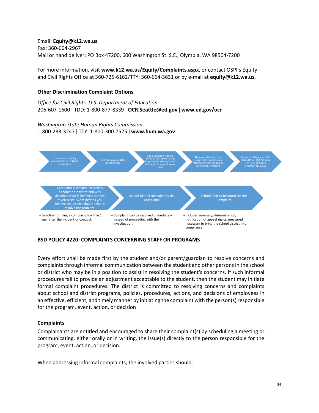Email: **[Equity@k12.wa.us](mailto:Equity@k12.wa.us)** Fax: 360-664-2967 Mail or hand deliver: PO Box 47200, 600 Washington St. S.E., Olympia, WA 98504-7200

For more information, visit **[www.k12.wa.us/Equity/Complaints.aspx](http://www.k12.wa.us/Equity/Complaints.aspx)**, or contact OSPI's Equity and Civil Rights Office at 360-725-6162/TTY: 360-664-3631 or by e-mail at **[equity@k12.wa.us](mailto:equity@k12.wa.us)**.

#### **Other Discrimination Complaint Options**

*Office for Civil Rights, U.S. Department of Education* 206-607-1600 ǀ TDD: 1-800-877-8339 ǀ **[OCR.Seattle@ed.gov](mailto:OCR.Seattle@ed.gov)** ǀ **[www.ed.gov/ocr](http://www.ed.gov/ocr)**

# *Washington State Human Rights Commission*

1-800-233-3247 ǀ TTY: 1-800-300-7525 ǀ **[www.hum.wa.gov](http://www.hum.wa.gov/)**



#### **BSD POLICY 4220: COMPLAINTS CONCERNING STAFF OR PROGRAMS**

Every effort shall be made first by the student and/or parent/guardian to resolve concerns and complaints through informal communication between the student and other persons in the school or district who may be in a position to assist in resolving the student's concerns. If such informal procedures fail to provide an adjustment acceptable to the student, then the student may initiate formal complaint procedures. The district is committed to resolving concerns and complaints about school and district programs, policies, procedures, actions, and decisions of employees in an effective, efficient, and timely manner by initiating the complaint with the person(s) responsible for the program, event, action, or decision

#### **Complaints**

Complainants are entitled and encouraged to share their complaint(s) by scheduling a meeting or communicating, either orally or in writing, the issue(s) directly to the person responsible for the program, event, action, or decision.

When addressing informal complaints, the involved parties should: